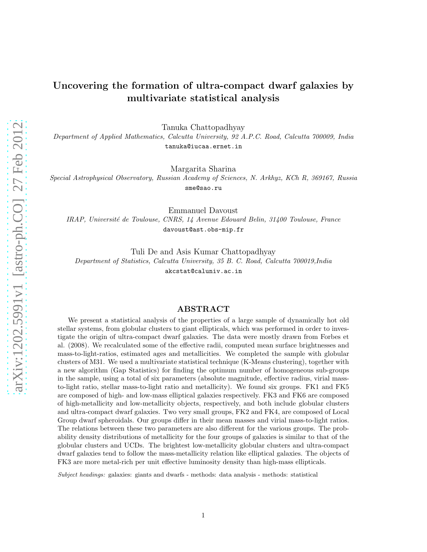# Uncovering the formation of ultra-compact dwarf galaxies by multivariate statistical analysis

Tanuka Chattopadhyay

Department of Applied Mathematics, Calcutta University, 92 A.P.C. Road, Calcutta 700009, India tanuka@iucaa.ernet.in

Margarita Sharina

Special Astrophysical Observatory, Russian Academy of Sciences, N. Arkhyz, KCh R, 369167, Russia sme@sao.ru

Emmanuel Davoust

IRAP, Université de Toulouse, CNRS, 14 Avenue Edouard Belin, 31400 Toulouse, France davoust@ast.obs-mip.fr

Tuli De and Asis Kumar Chattopadhyay

Department of Statistics, Calcutta University, 35 B. C. Road, Calcutta 700019,India akcstat@caluniv.ac.in

## ABSTRACT

We present a statistical analysis of the properties of a large sample of dynamically hot old stellar systems, from globular clusters to giant ellipticals, which was performed in order to investigate the origin of ultra-compact dwarf galaxies. The data were mostly drawn from Forbes et al. (2008). We recalculated some of the effective radii, computed mean surface brightnesses and mass-to-light-ratios, estimated ages and metallicities. We completed the sample with globular clusters of M31. We used a multivariate statistical technique (K-Means clustering), together with a new algorithm (Gap Statistics) for finding the optimum number of homogeneous sub-groups in the sample, using a total of six parameters (absolute magnitude, effective radius, virial massto-light ratio, stellar mass-to-light ratio and metallicity). We found six groups. FK1 and FK5 are composed of high- and low-mass elliptical galaxies respectively. FK3 and FK6 are composed of high-metallicity and low-metallicity objects, respectively, and both include globular clusters and ultra-compact dwarf galaxies. Two very small groups, FK2 and FK4, are composed of Local Group dwarf spheroidals. Our groups differ in their mean masses and virial mass-to-light ratios. The relations between these two parameters are also different for the various groups. The probability density distributions of metallicity for the four groups of galaxies is similar to that of the globular clusters and UCDs. The brightest low-metallicity globular clusters and ultra-compact dwarf galaxies tend to follow the mass-metallicity relation like elliptical galaxies. The objects of FK3 are more metal-rich per unit effective luminosity density than high-mass ellipticals.

Subject headings: galaxies: giants and dwarfs - methods: data analysis - methods: statistical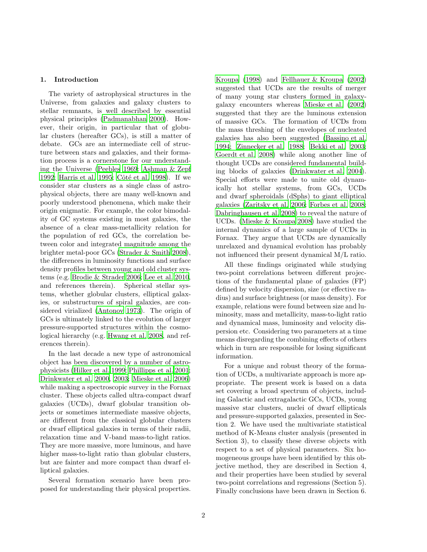## 1. Introduction

The variety of astrophysical structures in the Universe, from galaxies and galaxy clusters to stellar remnants, is well described by essential physical principles [\(Padmanabhan 2000](#page-14-0)). However, their origin, in particular that of globular clusters (hereafter GCs), is still a matter of debate. GCs are an intermediate cell of structure between stars and galaxies, and their formation process is a cornerstone for our understanding the Universe [\(Peebles 1969;](#page-14-1) [Ashman & Zepf](#page-12-0) [1992;](#page-12-0) [Harris et al. 1995;](#page-13-0) Côté et al. 1998). If we consider star clusters as a single class of astrophysical objects, there are many well-known and poorly understood phenomena, which make their origin enigmatic. For example, the color bimodality of GC systems existing in most galaxies, the absence of a clear mass-metallicity relation for the population of red GCs, the correlation between color and integrated magnitude among the brighter metal-poor GCs [\(Strader & Smith 2008\)](#page-15-0), the differences in luminosity functions and surface density profiles between young and old cluster systems (e.g. [Brodie & Strader 2006;](#page-12-2) [Lee et al. 2010,](#page-14-2) and references therein). Spherical stellar systems, whether globular clusters, elliptical galaxies, or substructures of spiral galaxies, are considered virialized [\(Antonov 1973](#page-12-3)). The origin of GCs is ultimately linked to the evolution of larger pressure-supported structures within the cosmological hierarchy (e.g. [Hwang et al. 2008](#page-14-3), and references therein).

In the last decade a new type of astronomical object has been discovered by a number of astrophysicists [\(Hilker et al. 1999;](#page-13-1) [Phillipps et al. 2001;](#page-14-4) [Drinkwater et al. 2000,](#page-13-2) [2003;](#page-13-3) [Mieske et al. 2006\)](#page-14-5) while making a spectroscopic survey in the Fornax cluster. These objects called ultra-compact dwarf galaxies (UCDs), dwarf globular transition objects or sometimes intermediate massive objects, are different from the classical globular clusters or dwarf elliptical galaxies in terms of their radii, relaxation time and V-band mass-to-light ratios. They are more massive, more luminous, and have higher mass-to-light ratio than globular clusters, but are fainter and more compact than dwarf elliptical galaxies.

Several formation scenario have been proposed for understanding their physical properties. [Kroupa \(1998](#page-14-6)) and [Fellhauer & Kroupa \(2002\)](#page-13-4) suggested that UCDs are the results of merger of many young star clusters formed in galaxygalaxy encounters whereas [Mieske et al. \(2002\)](#page-14-7) suggested that they are the luminous extension of massive GCs. The formation of UCDs from the mass threshing of the envelopes of nucleated galaxies has also been suggested [\(Bassino et al.](#page-12-4) [1994;](#page-12-4) [Zinnecker et al. 1988;](#page-15-1) [Bekki et al. 2003;](#page-12-5) [Goerdt et al. 2008\)](#page-13-5) while along another line of thought UCDs are considered fundamental building blocks of galaxies [\(Drinkwater et al. 2004\)](#page-13-6). Special efforts were made to unite old dynamically hot stellar systems, from GCs, UCDs and dwarf spheroidals (dSphs) to giant elliptical galaxies [\(Zaritsky et al. 2006;](#page-15-2) [Forbes et al. 2008;](#page-13-7) [Dabringhausen et al. 2008](#page-12-6)) to reveal the nature of UCDs. [\(Mieske & Kroupa 2008\)](#page-14-8) have studied the internal dynamics of a large sample of UCDs in Fornax. They argue that UCDs are dynamically unrelaxed and dynamical evolution has probably not influenced their present dynamical M/L ratio.

All these findings originated while studying two-point correlations between different projections of the fundamental plane of galaxies (FP) defined by velocity dispersion, size (or effective radius) and surface brightness (or mass density). For example, relations were found between size and luminosity, mass and metallicity, mass-to-light ratio and dynamical mass, luminosity and velocity dispersion etc. Considering two parameters at a time means disregarding the combining effects of others which in turn are responsible for losing significant information.

For a unique and robust theory of the formation of UCDs, a multivariate approach is more appropriate. The present work is based on a data set covering a broad spectrum of objects, including Galactic and extragalactic GCs, UCDs, young massive star clusters, nuclei of dwarf ellipticals and pressure-supported galaxies, presented in Section 2. We have used the multivariate statistical method of K-Means cluster analysis (presented in Section 3), to classify these diverse objects with respect to a set of physical parameters. Six homogeneous groups have been identified by this objective method, they are described in Section 4, and their properties have been studied by several two-point correlations and regressions (Section 5). Finally conclusions have been drawn in Section 6.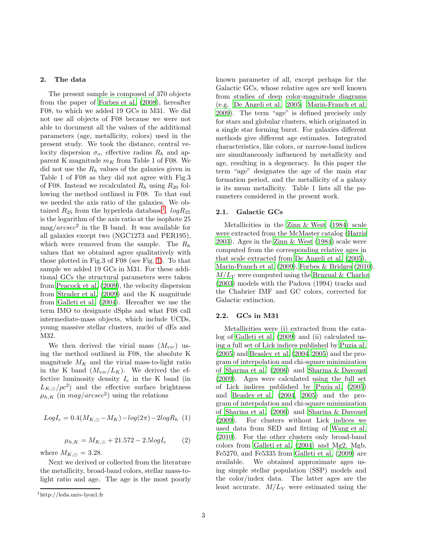## 2. The data

The present sample is composed of 370 objects from the paper of [Forbes et al. \(2008\)](#page-13-7), hereafter F08, to which we added 19 GCs in M31. We did not use all objects of F08 because we were not able to document all the values of the additional parameters (age, metallicity, colors) used in the present study. We took the distance, central velocity dispersion  $\sigma_o$ , effective radius  $R_h$  and apparent K magnitude  $m_K$  from Table 1 of F08. We did not use the  $R_h$  values of the galaxies given in Table 1 of F08 as they did not agree with Fig.3 of F08. Instead we recalculated  $R_h$  using  $R_{20}$  following the method outlined in F08. To that end we needed the axis ratio of the galaxies. We obtained  $R_{25}$  from the hyperleda database<sup>[1](#page-15-3)</sup>.  $log R_{25}$ is the logarithm of the axis ratio at the isophote 25  $\text{mag}/\text{arcsec}^2$  in the B band. It was available for all galaxies except two (NGC1273 and PER195), which were removed from the sample. The  $R_h$ values that we obtained agree qualitatively with those plotted in Fig.3 of F08 (see Fig. [1\)](#page-16-0). To that sample we added 19 GCs in M31. For these additional GCs the structural parameters were taken from [Peacock et al. \(2009\)](#page-14-9), the velocity dispersion from [Strader et al. \(2009](#page-15-4)) and the K magnitude from [Galleti et al. \(2004\)](#page-13-8). Hereafter we use the term IMO to designate dSphs and what F08 call intermediate-mass objects, which include UCDs, young massive stellar clusters, nuclei of dEs and M32.

We then derived the virial mass  $(M_{vir})$  using the method outlined in F08, the absolute K magnitude  $M_K$  and the virial mass-to-light ratio in the K band  $(M_{vir}/L_K)$ . We derived the effective luminosity density  $I_e$  in the K band (in  $L_{K,\odot}/pc^2$  and the effective surface brightness  $\mu_{h,K}$  (in  $mag/arcsec^2$ ) using the relations

$$
Log I_e = 0.4(M_{K,\odot} - M_K) - log(2\pi) - 2log R_h \text{ (1)}
$$

$$
\mu_{h,K} = M_{K,\odot} + 21.572 - 2.5\log I_e \tag{2}
$$

where  $M_{K,\odot} = 3.28$ .

Next we derived or collected from the literature the metallicity, broad-band colors, stellar mass-tolight ratio and age. The age is the most poorly known parameter of all, except perhaps for the Galactic GCs, whose relative ages are well known from studies of deep color-magnitude diagrams (e.g. [De Angeli et al. 2005](#page-13-9); [Marin-Franch et al.](#page-14-10) [2009\)](#page-14-10). The term "age" is defined precisely only for stars and globular clusters, which originated in a single star forming burst. For galaxies different methods give different age estimates. Integrated characteristics, like colors, or narrow-band indices are simultaneously influenced by metallicity and age, resulting in a degeneracy. In this paper the term "age" designates the age of the main star formation period, and the metallicity of a galaxy is its mean metallicity. Table 1 lists all the parameters considered in the present work.

## 2.1. Galactic GCs

Metallicities in the [Zinn & West \(1984](#page-15-5)) scale were extracted from the McMaster catalog [\(Harris](#page-13-10) [2003\)](#page-13-10). Ages in the [Zinn & West \(1984\)](#page-15-5) scale were computed from the corresponding relative ages in that scale extracted from [De Angeli et al. \(2005\)](#page-13-9), [Marin-Franch et al. \(2009\)](#page-14-10), [Forbes & Bridges \(2010](#page-13-11)).  $M/L_V$  were computed using the [Bruzual & Charlot](#page-12-7) [\(2003\)](#page-12-7) models with the Padova (1994) tracks and the Chabrier IMF and GC colors, corrected for Galactic extinction.

## 2.2. GCs in M31

Metallicities were (i) extracted from the catalog of [Galleti et al. \(2009\)](#page-13-12) and (ii) calculated using a full set of Lick indices published by [Puzia al.](#page-15-6) [\(2005\)](#page-15-6) and [Beasley et al. \(2004](#page-12-8), [2005\)](#page-12-9) and the program of interpolation and chi-square minimization of [Sharina et al. \(2006](#page-15-7)) and [Sharina & Davoust](#page-15-8) [\(2009\)](#page-15-8). Ages were calculated using the full set of Lick indices published by [Puzia al. \(2005\)](#page-15-6) and [Beasley et al. \(2004,](#page-12-8) [2005\)](#page-12-9) and the program of interpolation and chi-square minimization of [Sharina et al. \(2006](#page-15-7)) and [Sharina & Davoust](#page-15-8) [\(2009\)](#page-15-8). For clusters without Lick indices we used data from SED and fitting of [Wang et al.](#page-15-9) [\(2010\)](#page-15-9). For the other clusters only broad-band colors from [Galleti et al. \(2004](#page-13-8)) and Mg2, Mgb, Fe5270, and Fe5335 from [Galleti et al. \(2009\)](#page-13-12) are available. We obtained approximate ages using simple stellar population (SSP) models and the color/index data. The latter ages are the least accurate.  $M/L_V$  were estimated using the

<sup>1</sup>http://leda.univ-lyon1.fr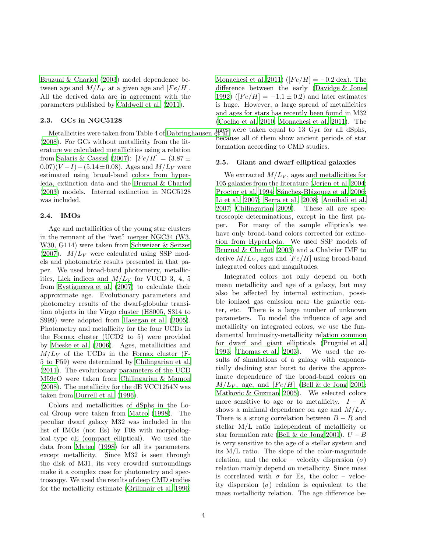[Bruzual & Charlot \(2003\)](#page-12-7) model dependence between age and  $M/L_V$  at a given age and  $[Fe/H]$ . All the derived data are in agreement with the parameters published by [Caldwell et al. \(2011\)](#page-12-10).

#### 2.3. GCs in NGC5128

Metallicities were taken from Table 4 of Dabringhausen [\(2008\)](#page-12-6). For GCs without metallicity from the literature we calculated metallicities using a relation from [Salaris & Cassisi \(2007](#page-15-10)):  $[Fe/H] = (3.87 \pm$  $(0.07)(V-I) - (5.14 \pm 0.08)$ . Ages and  $M/L_V$  were estimated using broad-band colors from hyperleda, extinction data and the [Bruzual & Charlot](#page-12-7) [\(2003\)](#page-12-7) models. Internal extinction in NGC5128 was included.

#### 2.4. IMOs

Age and metallicities of the young star clusters in the remnant of the "wet" merger NGC34 (W3, W30, G114) were taken from [Schweizer & Seitzer](#page-15-11) [\(2007\)](#page-15-11).  $M/L_V$  were calculated using SSP models and photometric results presented in that paper. We used broad-band photometry, metallicities, Lick indices and  $M/L_V$  for VUCD 3, 4, 5 from [Evstigneeva et al. \(2007](#page-13-13)) to calculate their approximate age. Evolutionary parameters and photometry results of the dwarf-globular transition objects in the Virgo cluster (H8005, S314 to S999) were adopted from [Hasegan et al. \(2005\)](#page-13-14). Photometry and metallicity for the four UCDs in the Fornax cluster (UCD2 to 5) were provided by [Mieske et al. \(2006\)](#page-14-5). Ages, metallicities and  $M/L_V$  of the UCDs in the Fornax cluster (F-5 to F59) were determined by [Chilingarian et al.](#page-12-11) [\(2011\)](#page-12-11). The evolutionary parameters of the UCD M59cO were taken from [Chilingarian & Mamon](#page-12-12) [\(2008\)](#page-12-12). The metallicity for the dE VCC1254N was taken from [Durrell et al. \(1996\)](#page-13-15).

Colors and metallicities of dSphs in the Local Group were taken from [Mateo \(1998](#page-14-11)). The peculiar dwarf galaxy M32 was included in the list of IMOs (not Es) by F08 with morphological type cE (compact elliptical). We used the data from [Mateo \(1998\)](#page-14-11) for all its parameters, except metallicity. Since M32 is seen through the disk of M31, its very crowded surroundings make it a complex case for photometry and spectroscopy. We used the results of deep CMD studies for the metallicity estimate [\(Grillmair et al. 1996;](#page-13-16) [Monachesi et al. 2011](#page-14-12)) ( $[Fe/H] = -0.2$  dex). The difference between the early [\(Davidge & Jones](#page-12-13) [1992\)](#page-12-13) ( $[Fe/H] = -1.1 \pm 0.2$ ) and later estimates is huge. However, a large spread of metallicities and ages for stars has recently been found in M32 [\(Coelho et al. 2010](#page-12-14); [Monachesi et al. 2011\)](#page-14-12). The ages were taken equal to 13 Gyr for all dSphs, because all of them show ancient periods of star formation according to CMD studies.

#### 2.5. Giant and dwarf elliptical galaxies

We extracted  $M/L_V$ , ages and metallicities for 105 galaxies from the literature [\(Jerjen et al. 2004;](#page-14-13) [Proctor et al. 1994;](#page-15-12) Sánchez-Blázquez et al. 2006; [Li et al. 2007](#page-14-14); [Serra et al. 2008;](#page-15-14) [Annibali et al.](#page-12-15) [2007;](#page-12-15) [Chilingarian 2009\)](#page-12-16). These all are spectroscopic determinations, except in the first paper. For many of the sample ellipticals we have only broad-band colors corrected for extinction from HyperLeda. We used SSP models of [Bruzual & Charlot \(2003\)](#page-12-7) and a Chabrier IMF to derive  $M/L_V$ , ages and  $[Fe/H]$  using broad-band integrated colors and magnitudes.

Integrated colors not only depend on both mean metallicity and age of a galaxy, but may also be affected by internal extinction, possible ionized gas emission near the galactic center, etc. There is a large number of unknown parameters. To model the influence of age and metallicity on integrated colors, we use the fundamental luminosity-metallicity relation common for dwarf and giant ellipticals [\(Prugniel et al.](#page-14-15) [1993;](#page-14-15) [Thomas et al. 2003\)](#page-15-15). We used the results of simulations of a galaxy with exponentially declining star burst to derive the approximate dependence of the broad-band colors on  $M/L_V$ , age, and  $[Fe/H]$  [\(Bell & de Jong 2001;](#page-12-17) [Matkovic & Guzman 2005\)](#page-14-16). We selected colors more sensitive to age or to metallicity.  $I - K$ shows a minimal dependence on age and  $M/L_V$ . There is a strong correlation between  $B - R$  and stellar M/L ratio independent of metallicity or star formation rate [\(Bell & de Jong 2001\)](#page-12-17).  $U - B$ is very sensitive to the age of a stellar system and its M/L ratio. The slope of the color-magnitude relation, and the color – velocity dispersion  $(\sigma)$ relation mainly depend on metallicity. Since mass is correlated with  $\sigma$  for Es, the color – velocity dispersion  $(\sigma)$  relation is equivalent to the mass metallicity relation. The age difference be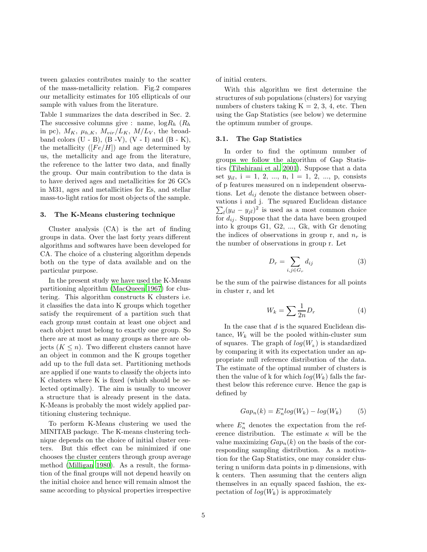tween galaxies contributes mainly to the scatter of the mass-metallicity relation. Fig.2 compares our metallicity estimates for 105 ellipticals of our sample with values from the literature.

Table 1 summarizes the data described in Sec. 2. The successive columns give : name,  $log R_h$  ( $R_h$ ) in pc),  $M_K$ ,  $\mu_{h,K}$ ,  $M_{vir}/L_K$ ,  $M/L_V$ , the broadband colors  $(U - B)$ ,  $(B - V)$ ,  $(V - I)$  and  $(B - K)$ , the metallicity ( $[Fe/H]$ ) and age determined by us, the metallicity and age from the literature, the reference to the latter two data, and finally the group. Our main contribution to the data is to have derived ages and metallicities for 26 GCs in M31, ages and metallicities for Es, and stellar mass-to-light ratios for most objects of the sample.

#### 3. The K-Means clustering technique

Cluster analysis (CA) is the art of finding groups in data. Over the last forty years different algorithms and softwares have been developed for CA. The choice of a clustering algorithm depends both on the type of data available and on the particular purpose.

In the present study we have used the K-Means partitioning algorithm [\(MacQueen 1967](#page-14-17)) for clustering. This algorithm constructs K clusters i.e. it classifies the data into K groups which together satisfy the requirement of a partition such that each group must contain at least one object and each object must belong to exactly one group. So there are at most as many groups as there are objects  $(K \leq n)$ . Two different clusters cannot have an object in common and the K groups together add up to the full data set. Partitioning methods are applied if one wants to classify the objects into K clusters where K is fixed (which should be selected optimally). The aim is usually to uncover a structure that is already present in the data. K-Means is probably the most widely applied partitioning clustering technique.

To perform K-Means clustering we used the MINITAB package. The K-means clustering technique depends on the choice of initial cluster centers. But this effect can be minimized if one chooses the cluster centers through group average method [\(Milligan 1980](#page-14-18)). As a result, the formation of the final groups will not depend heavily on the initial choice and hence will remain almost the same according to physical properties irrespective

of initial centers.

With this algorithm we first determine the structures of sub populations (clusters) for varying numbers of clusters taking  $K = 2, 3, 4$ , etc. Then using the Gap Statistics (see below) we determine the optimum number of groups.

#### 3.1. The Gap Statistics

In order to find the optimum number of groups we follow the algorithm of Gap Statistics [\(Tibshirani et al. 2001\)](#page-15-16). Suppose that a data set  $y_{il}$ , i = 1, 2, ..., n, 1 = 1, 2, ..., p, consists of p features measured on n independent observations. Let  $d_{ij}$  denote the distance between observations i and j. The squared Euclidean distance  $\sum_{l}(y_{il} - y_{jl})^2$  is used as a most common choice for  $d_{ij}$ . Suppose that the data have been grouped into k groups G1, G2, ..., Gk, with Gr denoting the indices of observations in group r, and  $n_r$  is the number of observations in group r. Let

$$
D_r = \sum_{i,j \in G_r} d_{ij} \tag{3}
$$

be the sum of the pairwise distances for all points in cluster r, and let

$$
W_k = \sum \frac{1}{2n} D_r \tag{4}
$$

In the case that d is the squared Euclidean distance,  $W_k$  will be the pooled within-cluster sum of squares. The graph of  $log(W_k)$  is standardized by comparing it with its expectation under an appropriate null reference distribution of the data. The estimate of the optimal number of clusters is then the value of k for which  $log(W_k)$  falls the farthest below this reference curve. Hence the gap is defined by

$$
Gap_n(k) = E_n^* log(W_k) - log(W_k)
$$
 (5)

where  $E_n^*$  denotes the expectation from the reference distribution. The estimate  $\kappa$  will be the value maximizing  $Gap_n(k)$  on the basis of the corresponding sampling distribution. As a motivation for the Gap Statistics, one may consider clustering n uniform data points in p dimensions, with k centers. Then assuming that the centers align themselves in an equally spaced fashion, the expectation of  $log(W_k)$  is approximately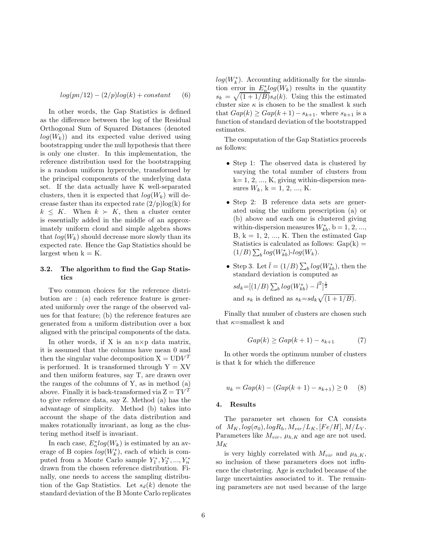$$
log(pn/12) - (2/p)log(k) + constant \t(6)
$$

In other words, the Gap Statistics is defined as the difference between the log of the Residual Orthogonal Sum of Squared Distances (denoted  $log(W_k)$  and its expected value derived using bootstrapping under the null hypothesis that there is only one cluster. In this implementation, the reference distribution used for the bootstrapping is a random uniform hypercube, transformed by the principal components of the underlying data set. If the data actually have K well-separated clusters, then it is expected that  $log(W_k)$  will decrease faster than its expected rate  $(2/p)log(k)$  for  $k \leq K$ . When  $k \geq K$ , then a cluster center is essentially added in the middle of an approximately uniform cloud and simple algebra shows that  $log(W_k)$  should decrease more slowly than its expected rate. Hence the Gap Statistics should be largest when  $k = K$ .

## 3.2. The algorithm to find the Gap Statistics

Two common choices for the reference distribution are : (a) each reference feature is generated uniformly over the range of the observed values for that feature; (b) the reference features are generated from a uniform distribution over a box aligned with the principal components of the data.

In other words, if  $X$  is an  $n \times p$  data matrix, it is assumed that the columns have mean 0 and then the singular value decomposition  $X = U D V^T$ is performed. It is transformed through  $Y = XV$ and then uniform features, say T, are drawn over the ranges of the columns of Y, as in method (a) above. Finally it is back-transformed via  $Z = TV<sup>T</sup>$ to give reference data, say Z. Method (a) has the advantage of simplicity. Method (b) takes into account the shape of the data distribution and makes rotationally invariant, as long as the clustering method itself is invariant.

In each case,  $E_n^*log(W_k)$  is estimated by an average of B copies  $log(W_k^*)$ , each of which is computed from a Monte Carlo sample  $Y_1^*, Y_2^*, ..., Y_n^*$ drawn from the chosen reference distribution. Finally, one needs to access the sampling distribution of the Gap Statistics. Let  $s_d(k)$  denote the standard deviation of the B Monte Carlo replicates

 $log(W_k^*)$ . Accounting additionally for the simulation error in  $E_n^*log(W_k)$  results in the quantity  $s_k = \sqrt{\left(1 + 1/B\right)} s_d(k)$ . Using this the estimated cluster size  $\kappa$  is chosen to be the smallest k such that  $Gap(k) \geq Gap(k+1)-s_{k+1}$ , where  $s_{k+1}$  is a function of standard deviation of the bootstrapped estimates.

The computation of the Gap Statistics proceeds as follows:

- Step 1: The observed data is clustered by varying the total number of clusters from  $k= 1, 2, ..., K$ , giving within-dispersion measures  $W_k$ ,  $k = 1, 2, ..., K$ .
- Step 2: B reference data sets are generated using the uniform prescription (a) or (b) above and each one is clustered giving within-dispersion measures  $W_{kb}^*$ , b = 1, 2, ..., B,  $k = 1, 2, ..., K$ . Then the estimated Gap Statistics is calculated as follows:  $Gap(k) =$  $(1/B)\sum_b log(W_{kb}^*)$ -log(W<sub>k</sub>).
- Step 3. Let  $\bar{l} = (1/B) \sum_b log(W_{kb}^*)$ , then the standard deviation is computed as

 $sd_k = [(1/B) \sum_b log(W_{kb}^*) - \overline{l}^2]^{\frac{1}{2}}$ and  $s_k$  is defined as  $s_k = sd_k\sqrt{(1 + 1/B)}$ .

Finally that number of clusters are chosen such that  $\kappa$ =smallest k and

$$
Gap(k) \ge Gap(k+1) - s_{k+1} \tag{7}
$$

In other words the optimum number of clusters is that k for which the difference

$$
u_k = Gap(k) - (Gap(k+1) - s_{k+1}) \ge 0 \tag{8}
$$

#### 4. Results

The parameter set chosen for CA consists of  $M_K$ ,  $log(\sigma_0)$ ,  $logR_h$ ,  $M_{vir}/L_K$ ,  $[Fe/H]$ ,  $M/L_V$ . Parameters like  $M_{vir}$ ,  $\mu_{h,K}$  and age are not used.  $M_K$ 

is very highly correlated with  $M_{vir}$  and  $\mu_{h,K}$ , so inclusion of these parameters does not influence the clustering. Age is excluded because of the large uncertainties associated to it. The remaining parameters are not used because of the large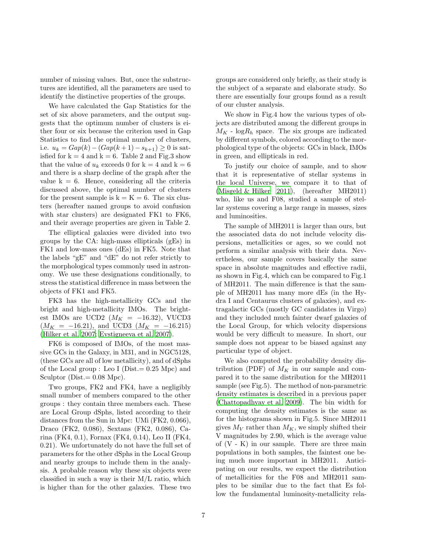number of missing values. But, once the substructures are identified, all the parameters are used to identify the distinctive properties of the groups.

We have calculated the Gap Statistics for the set of six above parameters, and the output suggests that the optimum number of clusters is either four or six because the criterion used in Gap Statistics to find the optimal number of clusters, i.e.  $u_k = Gap(k)-(Gap(k+1)-s_{k+1})\geq 0$  is satisfied for  $k = 4$  and  $k = 6$ . Table 2 and Fig.3 show that the value of  $u_k$  exceeds 0 for  $k = 4$  and  $k = 6$ and there is a sharp decline of the graph after the value  $k = 6$ . Hence, considering all the criteria discussed above, the optimal number of clusters for the present sample is  $k = K = 6$ . The six clusters (hereafter named groups to avoid confusion with star clusters) are designated FK1 to FK6, and their average properties are given in Table 2.

The elliptical galaxies were divided into two groups by the CA: high-mass ellipticals (gEs) in FK1 and low-mass ones (dEs) in FK5. Note that the labels "gE" and "dE" do not refer strictly to the morphological types commonly used in astronomy. We use these designations conditionally, to stress the statistical difference in mass between the objects of FK1 and FK5.

FK3 has the high-metallicity GCs and the bright and high-metallicity IMOs. The brightest IMOs are UCD2 ( $M_K = -16.32$ ), VUCD3  $(M_K = -16.21)$ , and UCD3  $(M_K = -16.215)$ [\(Hilker et al. 2007;](#page-13-17) [Evstigneeva et al. 2007\)](#page-13-13).

FK6 is composed of IMOs, of the most massive GCs in the Galaxy, in M31, and in NGC5128, (these GCs are all of low metallicity), and of dSphs of the Local group : Leo I ( $Dist = 0.25$  Mpc) and Sculptor ( $Dist = 0.08$  Mpc).

Two groups, FK2 and FK4, have a negligibly small number of members compared to the other groups : they contain three members each. These are Local Group dSphs, listed according to their distances from the Sun in Mpc: UMi (FK2, 0.066), Draco (FK2, 0.086), Sextans (FK2, 0.086), Carina (FK4, 0.1), Fornax (FK4, 0.14), Leo II (FK4, 0.21). We unfortunately do not have the full set of parameters for the other dSphs in the Local Group and nearby groups to include them in the analysis. A probable reason why these six objects were classified in such a way is their M/L ratio, which is higher than for the other galaxies. These two groups are considered only briefly, as their study is the subject of a separate and elaborate study. So there are essentially four groups found as a result of our cluster analysis.

We show in Fig.4 how the various types of objects are distributed among the different groups in  $M_K$  - log $R_h$  space. The six groups are indicated by different symbols, colored according to the morphological type of the objects: GCs in black, IMOs in green, and ellipticals in red.

To justify our choice of sample, and to show that it is representative of stellar systems in the local Universe, we compare it to that of [\(Misgeld & Hilker 2011\)](#page-14-19), (hereafter MH2011) who, like us and F08, studied a sample of stellar systems covering a large range in masses, sizes and luminosities.

The sample of MH2011 is larger than ours, but the associated data do not include velocity dispersions, metallicities or ages, so we could not perform a similar analysis with their data. Nevertheless, our sample covers basically the same space in absolute magnitudes and effective radii, as shown in Fig.4, which can be compared to Fig.1 of MH2011. The main difference is that the sample of MH2011 has many more dEs (in the Hydra I and Centaurus clusters of galaxies), and extragalactic GCs (mostly GC candidates in Virgo) and they included much fainter dwarf galaxies of the Local Group, for which velocity dispersions would be very difficult to measure. In short, our sample does not appear to be biased against any particular type of object.

We also computed the probability density distribution (PDF) of  $M_K$  in our sample and compared it to the same distribution for the MH2011 sample (see Fig.5). The method of non-parametric density estimates is described in a previous paper [\(Chattopadhyay et al. 2009\)](#page-12-18). The bin width for computing the density estimates is the same as for the histograms shown in Fig.5. Since MH2011 gives  $M_V$  rather than  $M_K$ , we simply shifted their V magnitudes by 2.90, which is the average value of  $(V - K)$  in our sample. There are three main populations in both samples, the faintest one being much more important in MH2011. Anticipating on our results, we expect the distribution of metallicities for the F08 and MH2011 samples to be similar due to the fact that Es follow the fundamental luminosity-metallicity rela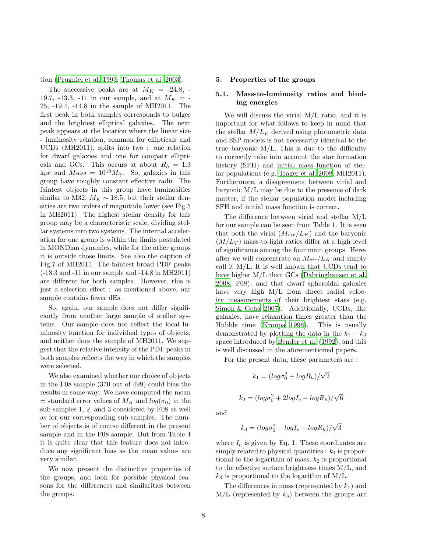tion [\(Prugniel et al. 1993;](#page-14-15) [Thomas et al. 2003](#page-15-15)).

The successive peaks are at  $M_K = -24.8$ , -19.7, -13.3, -11 in our sample, and at  $M_K = -$ 25, -19.4, -14.8 in the sample of MH2011. The first peak in both samples corresponds to bulges and the brightest elliptical galaxies. The next peak appears at the location where the linear size - luminosity relation, common for ellipticals and UCDs (MH2011), splits into two : one relation for dwarf galaxies and one for compact ellipticals and GCs. This occurs at about  $R_h = 1.3$ kpc and  $Mass = 10^{10} M_{\odot}$ . So, galaxies in this group have roughly constant effective radii. The faintest objects in this group have luminosities similar to M32,  $M_K \sim 18.5$ , but their stellar densities are two orders of magnitude lower (see Fig.5 in MH2011). The highest stellar density for this group may be a characteristic scale, dividing stellar systems into two systems. The internal acceleration for one group is within the limits postulated in MONDian dynamics, while for the other groups it is outside those limits. See also the caption of Fig.7 of MH2011. The faintest broad PDF peaks (-13.3 and -11 in our sample and -14.8 in MH2011) are different for both samples. However, this is just a selection effect : as mentioned above, our sample contains fewer dEs.

So, again, our sample does not differ significantly from another large sample of stellar systems. Our sample does not reflect the local luminosity function for individual types of objects, and neither does the sample of MH2011. We suggest that the relative intensity of the PDF peaks in both samples reflects the way in which the samples were selected.

We also examined whether our choice of objects in the F08 sample (370 out of 499) could bias the results in some way. We have computed the mean  $\pm$  standard error values of  $M_K$  and  $log(\sigma_0)$  in the sub samples 1, 2, and 3 considered by F08 as well as for our corresponding sub samples. The number of objects is of course different in the present sample and in the F08 sample. But from Table 4 it is quite clear that this feature does not introduce any significant bias as the mean values are very similar.

We now present the distinctive properties of the groups, and look for possible physical reasons for the differences and similarities between the groups.

#### 5. Properties of the groups

## 5.1. Mass-to-luminosity ratios and binding energies

We will discuss the virial M/L ratio, and it is important for what follows to keep in mind that the stellar  $M/L_V$  derived using photometric data and SSP models is not necessarily identical to the true baryonic M/L. This is due to the difficulty to correctly take into account the star formation history (SFH) and initial mass function of stellar populations (e.g. [Trager et al. 2008,](#page-15-17) MH2011). Furthermore, a disagreement between virial and baryonic M/L may be due to the presence of dark matter, if the stellar population model including SFH and initial mass function is correct.

The difference between virial and stellar M/L for our sample can be seen from Table 1. It is seen that both the virial  $(M_{vir}/L_K)$  and the baryonic  $(M/L_V)$  mass-to-light ratios differ at a high level of significance among the four main groups. Hereafter we will concentrate on  $M_{vir}/L_K$  and simply call it M/L. It is well known that UCDs tend to have higher M/L than GCs [\(Dabringhausen et al.](#page-12-6) [2008,](#page-12-6) F08), and that dwarf spheroidal galaxies have very high M/L from direct radial velocity measurements of their brightest stars (e.g. [Simon & Geha 2007\)](#page-15-18). Additionally, UCDs, like galaxies, have relaxation times greater than the Hubble time [\(Kroupa 1998\)](#page-14-6). This is usually demonstrated by plotting the data in the  $k_1 - k_3$ space introduced by [Bender et al. \(1992](#page-12-19)), and this is well discussed in the aforementioned papers.

For the present data, these parameters are :

$$
k_1 = (log\sigma_0^2 + logR_h)/\sqrt{2}
$$

$$
k_2 = (log\sigma_0^2 + 2logI_e - logR_h)/\sqrt{6}
$$

and

$$
k_3 = (log\sigma_0^2 - logI_e - logR_h)/\sqrt{3}
$$

where  $I_e$  is given by Eq. 1. These coordinates are simply related to physical quantities  $: k_1$  is proportional to the logarithm of mass,  $k_2$  is proportional to the effective surface brightness times M/L, and  $k_3$  is proportional to the logarithm of M/L.

The differences in mass (represented by  $k_1$ ) and  $M/L$  (represented by  $k_3$ ) between the groups are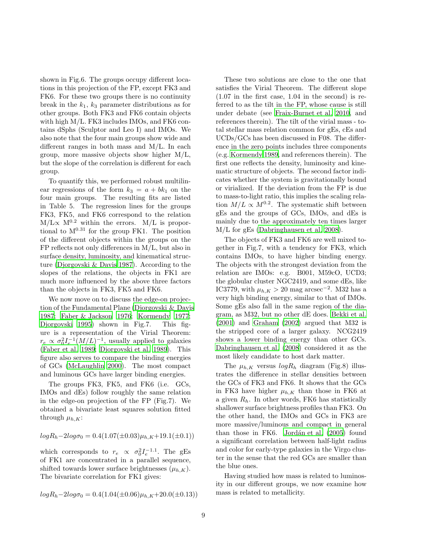shown in Fig.6. The groups occupy different locations in this projection of the FP, except FK3 and FK6. For these two groups there is no continuity break in the  $k_1$ ,  $k_3$  parameter distributions as for other groups. Both FK3 and FK6 contain objects with high M/L. FK3 includes IMOs, and FK6 contains dSphs (Sculptor and Leo I) and IMOs. We also note that the four main groups show wide and different ranges in both mass and M/L. In each group, more massive objects show higher M/L, but the slope of the correlation is different for each group.

To quantify this, we performed robust multilinear regressions of the form  $k_3 = a + bk_1$  on the four main groups. The resulting fits are listed in Table 5. The regression lines for the groups FK3, FK5, and FK6 correspond to the relation  $M/L\propto M^{0.2}$  within the errors.  $M/L$  is proportional to  $M^{0.31}$  for the group FK1. The position of the different objects within the groups on the FP reflects not only differences in M/L, but also in surface density, luminosity, and kinematical structure [\(Djorgovski & Davis 1987](#page-13-18)). According to the slopes of the relations, the objects in FK1 are much more influenced by the above three factors than the objects in FK3, FK5 and FK6.

We now move on to discuss the edge-on projection of the Fundamental Plane [\(Djorgovski & Davis](#page-13-18) [1987;](#page-13-18) [Faber & Jackson 1976;](#page-13-19) [Kormendy 1977;](#page-14-20) [Djorgovski 1995](#page-13-20)) shown in Fig.7. This figure is a representation of the Virial Theorem:  $r_e \propto \sigma_0^2 I_e^{-1} (M/L)^{-1}$ , usually applied to galaxies [\(Faber et al. 1989](#page-13-21); [Djorgovski et al. 1989\)](#page-13-22). This figure also serves to compare the binding energies of GCs [\(McLaughlin 2000](#page-14-21)). The most compact and luminous GCs have larger binding energies.

The groups FK3, FK5, and FK6 (i.e. GCs, IMOs and dEs) follow roughly the same relation in the edge-on projection of the FP (Fig.7). We obtained a bivariate least squares solution fitted through  $\mu_{h,K}$ :

$$
log R_h - 2log \sigma_0 = 0.4(1.07(\pm 0.03)\mu_{h,K} + 19.1(\pm 0.1))
$$

which corresponds to  $r_e \propto \sigma_0^2 I_e^{-1.1}$ . The gEs of FK1 are concentrated in a parallel sequence, shifted towards lower surface brightnesses  $(\mu_{h,K})$ . The bivariate correlation for FK1 gives:

$$
logR_{h} - 2log\sigma_{0} = 0.4(1.04(\pm 0.06)\mu_{h,K} + 20.0(\pm 0.13))
$$

These two solutions are close to the one that satisfies the Virial Theorem. The different slope  $(1.07 \text{ in the first case}, 1.04 \text{ in the second})$  is referred to as the tilt in the FP, whose cause is still under debate (see [Fraix-Burnet et al. 2010,](#page-13-23) and references therein). The tilt of the virial mass - total stellar mass relation common for gEs, cEs and UCDs/GCs has been discussed in F08. The difference in the zero points includes three components (e.g. [Kormendy 1989,](#page-14-22) and references therein). The first one reflects the density, luminosity and kinematic structure of objects. The second factor indicates whether the system is gravitationally bound or virialized. If the deviation from the FP is due to mass-to-light ratio, this implies the scaling relation  $M/L \propto M^{0.2}$ . The systematic shift between gEs and the groups of GCs, IMOs, and dEs is mainly due to the approximately ten times larger M/L for gEs [\(Dabringhausen et al. 2008\)](#page-12-6).

The objects of FK3 and FK6 are well mixed together in Fig.7, with a tendency for FK3, which contains IMOs, to have higher binding energy. The objects with the strongest deviation from the relation are IMOs: e.g. B001, M59cO, UCD3; the globular cluster NGC2419, and some dEs, like IC3779, with  $\mu_{h,K} > 20$  mag arcsec<sup>-2</sup>. M32 has a very high binding energy, similar to that of IMOs. Some gEs also fall in the same region of the diagram, as M32, but no other dE does. [Bekki et al.](#page-12-20) [\(2001\)](#page-12-20) and [Graham \(2002\)](#page-13-24) argued that M32 is the stripped core of a larger galaxy. NCG2419 shows a lower binding energy than other GCs. [Dabringhausen et al. \(2008\)](#page-12-6) considered it as the most likely candidate to host dark matter.

The  $\mu_{h,K}$  versus  $logR_h$  diagram (Fig.8) illustrates the difference in stellar densities between the GCs of FK3 and FK6. It shows that the GCs in FK3 have higher  $\mu_{h,K}$  than those in FK6 at a given  $R_h$ . In other words, FK6 has statistically shallower surface brightness profiles than FK3. On the other hand, the IMOs and GCs in FK3 are more massive/luminous and compact in general than those in FK6. Jordán et al.  $(2005)$  found a significant correlation between half-light radius and color for early-type galaxies in the Virgo cluster in the sense that the red GCs are smaller than the blue ones.

Having studied how mass is related to luminosity in our different groups, we now examine how mass is related to metallicity.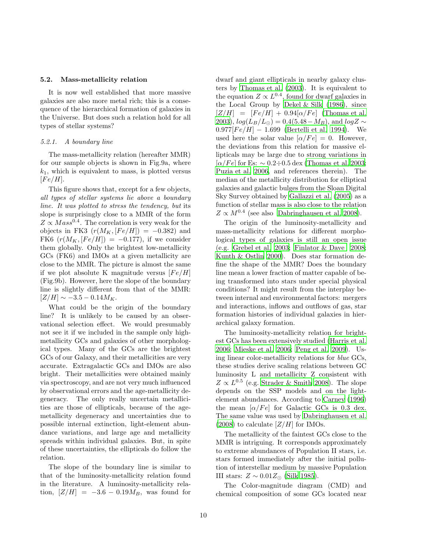#### 5.2. Mass-metallicity relation

It is now well established that more massive galaxies are also more metal rich; this is a consequence of the hierarchical formation of galaxies in the Universe. But does such a relation hold for all types of stellar systems?

#### 5.2.1. A boundary line

The mass-metallicity relation (hereafter MMR) for our sample objects is shown in Fig.9a, where  $k_1$ , which is equivalent to mass, is plotted versus  $[Fe/H].$ 

This figure shows that, except for a few objects, all types of stellar systems lie above a boundary line. It was plotted to stress the tendency, but its slope is surprisingly close to a MMR of the form  $Z \propto Mass^{0.4}$ . The correlation is very weak for the objects in FK3  $(r(M_K, [Fe/H]) = -0.382)$  and FK6  $(r(M_K, [Fe/H]) = -0.177)$ , if we consider them globally. Only the brightest low-metallicity GCs (FK6) and IMOs at a given metallicity are close to the MMR. The picture is almost the same if we plot absolute K magnitude versus  $[Fe/H]$ (Fig.9b). However, here the slope of the boundary line is slightly different from that of the MMR:  $[Z/H] \sim -3.5 - 0.14 M_K.$ 

What could be the origin of the boundary line? It is unlikely to be caused by an observational selection effect. We would presumably not see it if we included in the sample only highmetallicity GCs and galaxies of other morphological types. Many of the GCs are the brightest GCs of our Galaxy, and their metallicities are very accurate. Extragalactic GCs and IMOs are also bright. Their metallicities were obtained mainly via spectroscopy, and are not very much influenced by observational errors and the age-metallicity degeneracy. The only really uncertain metallicities are those of ellipticals, because of the agemetallicity degeneracy and uncertainties due to possible internal extinction, light-element abundance variations, and large age and metallicity spreads within individual galaxies. But, in spite of these uncertainties, the ellipticals do follow the relation.

The slope of the boundary line is similar to that of the luminosity-metallicity relation found in the literature. A luminosity-metallicity relation,  $[Z/H] = -3.6 - 0.19M_B$ , was found for dwarf and giant ellipticals in nearby galaxy clusters by [Thomas et al. \(2003\)](#page-15-15). It is equivalent to the equation  $Z \propto L^{0.4}$ , found for dwarf galaxies in the Local Group by [Dekel & Silk \(1986\)](#page-13-25), since  $[Z/H] = [Fe/H] + 0.94[\alpha/Fe]$  [\(Thomas et al.](#page-15-15) [2003\)](#page-15-15),  $log(L_B/L_{\odot}) = 0.4(5.48 - M_B)$ , and  $log Z \sim$  $0.977[Fe/H] - 1.699$  [\(Bertelli et al. 1994\)](#page-12-21). We used here the solar value  $\left[\alpha/Fe\right] = 0$ . However, the deviations from this relation for massive ellipticals may be large due to strong variations in  $\alpha/Fe$  for Es:  $\sim 0.2 \div 0.5$  dex [\(Thomas et al. 2003;](#page-15-15) [Puzia et al. 2006,](#page-15-19) and references therein). The median of the metallicity distribution for elliptical galaxies and galactic bulges from the Sloan Digital Sky Survey obtained by [Gallazzi et al. \(2005](#page-13-26)) as a function of stellar mass is also close to the relation  $Z \propto M^{0.4}$  (see also [Dabringhausen et al. 2008\)](#page-12-6).

The origin of the luminosity-metallicity and mass-metallicity relations for different morphological types of galaxies is still an open issue (e.g. [Grebel et al. 2003](#page-13-27); [Finlator & Dave 2008;](#page-13-28) [Kunth & Ostlin 2000](#page-14-24)). Does star formation define the shape of the MMR? Does the boundary line mean a lower fraction of matter capable of being transformed into stars under special physical conditions? It might result from the interplay between internal and environmental factors: mergers and interactions, inflows and outflows of gas, star formation histories of individual galaxies in hierarchical galaxy formation.

The luminosity-metallicity relation for brightest GCs has been extensively studied [\(Harris et al.](#page-13-29) [2006;](#page-13-29) [Mieske et al. 2006;](#page-14-5) [Peng et al. 2009\)](#page-14-25). Using linear color-metallicity relations for blue GCs, these studies derive scaling relations between GC luminosity L and metallicity Z consistent with  $Z \propto L^{0.5}$  (e.g. [Strader & Smith 2008\)](#page-15-0). The slope depends on the SSP models and on the lightelement abundances. According to [Carney \(1996\)](#page-12-22) the mean  $\left[\alpha/Fe\right]$  for Galactic GCs is 0.3 dex. The same value was used by [Dabringhausen et al.](#page-12-6)  $(2008)$  to calculate  $[Z/H]$  for IMOs.

The metallicity of the faintest GCs close to the MMR is intriguing. It corresponds approximately to extreme abundances of Population II stars, i.e. stars formed immediately after the initial pollution of interstellar medium by massive Population III stars:  $Z \sim 0.01 Z_{\odot}$  [\(Silk 1985\)](#page-15-20).

The Color-magnitude diagram (CMD) and chemical composition of some GCs located near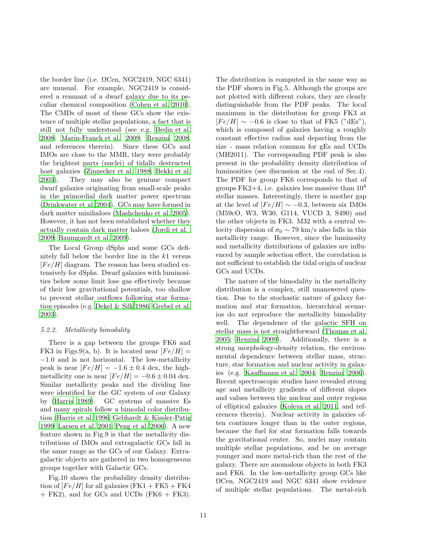the border line (i.e.  $\Omega$ Cen, NGC2419, NGC 6341) are unusual. For example, NGC2419 is considered a remnant of a dwarf galaxy due to its peculiar chemical composition [\(Cohen et al. 2010\)](#page-12-23). The CMDs of most of these GCs show the existence of multiple stellar populations, a fact that is still not fully understood (see e.g. [Bedin et al.](#page-12-24) [2008;](#page-12-24) [Marin-Franch et al. 2009](#page-14-10); [Renzini 2008,](#page-15-21) and references therein). Since these GCs and IMOs are close to the MMR, they were probably the brightest parts (nuclei) of tidally destructed host galaxies [\(Zinnecker et al. 1988;](#page-15-1) [Bekki et al.](#page-12-5) [2003\)](#page-12-5). They may also be geniune compact dwarf galaxies originating from small-scale peaks in the primordial dark matter power spectrum [\(Drinkwater et al. 2004\)](#page-13-6). GCs may have formed in dark matter minihaloes [\(Mashchenko et al. 2005\)](#page-14-26). However, it has not been established whether they actually contain dark matter haloes [\(Jordi et al.](#page-14-27) [2009;](#page-14-27) [Baumgardt et al. 2009\)](#page-12-25).

The Local Group dSphs and some GCs definitely fall below the border line in the k1 versus  $[Fe/H]$  diagram. The reason has been studied extensively for dSphs. Dwarf galaxies with luminosities below some limit lose gas effectively because of their low gravitational potentials, too shallow to prevent stellar outflows following star formation episodes (e.g. [Dekel & Silk 1986;](#page-13-25) [Grebel et al.](#page-13-27) [2003\)](#page-13-27).

## 5.2.2. Metallicity bimodality

There is a gap between the groups FK6 and FK3 in Figs.9(a, b). It is located near  $[Fe/H] =$ −1.0 and is not horizontal. The low-metallicity peak is near  $[Fe/H] = -1.6 \pm 0.4$  dex, the highmetallicity one is near  $[Fe/H] = -0.6 \pm 0.04$  dex. Similar metallicity peaks and the dividing line were identified for the GC system of our Galaxy by [\(Harris 1989\)](#page-13-30). GC systems of massive Es and many spirals follow a bimodal color distribution [\(Harris et al. 1996](#page-13-31); [Gebhardt & Kissler-Patig](#page-13-32) [1999;](#page-13-32) [Larsen et al. 2001](#page-14-28); [Peng et al. 2006\)](#page-14-29). A new feature shown in Fig.9 is that the metallicity distributions of IMOs and extragalactic GCs fall in the same range as the GCs of our Galaxy. Extragalactic objects are gathered in two homogeneous groups together with Galactic GCs.

Fig.10 shows the probability density distribution of  $[Fe/H]$  for all galaxies  $(FK1 + FK5 + FK4)$  $+$  FK2), and for GCs and UCDs (FK6  $+$  FK3). The distribution is computed in the same way as the PDF shown in Fig.5. Although the groups are not plotted with different colors, they are clearly distinguishable from the PDF peaks. The local maximum in the distribution for group FK3 at  $[Fe/H] \sim -0.6$  is close to that of FK5 ("dEs"), which is composed of galaxies having a roughly constant effective radius and departing from the size - mass relation common for gEs and UCDs (MH2011). The corresponding PDF peak is also present in the probability density distribution of luminosities (see discussion at the end of Sec.4). The PDF for group FK6 corresponds to that of groups FK2+4, i.e. galaxies less massive than  $10^8$ stellar masses. Interestingly, there is another gap at the level of  $[Fe/H] \sim -0.3$ , between six IMOs (M59cO, W3, W30, G114, VUCD 3, S490) and the other objects in FK3. M32 with a central velocity dispersion of  $\sigma_0 \sim 79 \text{ km/s}$  also falls in this metallicity range. However, since the luminosity and metallicity distributions of galaxies are influenced by sample selection effect, the correlation is not sufficient to establish the tidal origin of nuclear GCs and UCDs.

The nature of the bimodality in the metallicity distribution is a complex, still unanswered question. Due to the stochastic nature of galaxy formation and star formation, hierarchical scenarios do not reproduce the metallicity bimodality well. The dependence of the galactic SFH on stellar mass is not straightforward [\(Thomas et al.](#page-15-22) [2005;](#page-15-22) [Renzini 2009](#page-15-23)). Additionally, there is a strong morphology-density relation, the environmental dependence between stellar mass, structure, star formation and nuclear activity in galaxies (e.g. [Kauffmann et al. 2004;](#page-14-30) [Renzini 2006\)](#page-15-24). Recent spectroscopic studies have revealed strong age and metallicity gradients of different slopes and values between the nuclear and outer regions of elliptical galaxies [\(Koleva et al. 2011,](#page-14-31) and references therein). Nuclear activity in galaxies often continues longer than in the outer regions, because the fuel for star formation falls towards the gravitational center. So, nuclei may contain multiple stellar populations, and be on average younger and more metal-rich than the rest of the galaxy. There are anomalous objects in both FK3 and FK6. In the low-metallicity group GCs like ΩCen, NGC2419 and NGC 6341 show evidence of multiple stellar populations. The metal-rich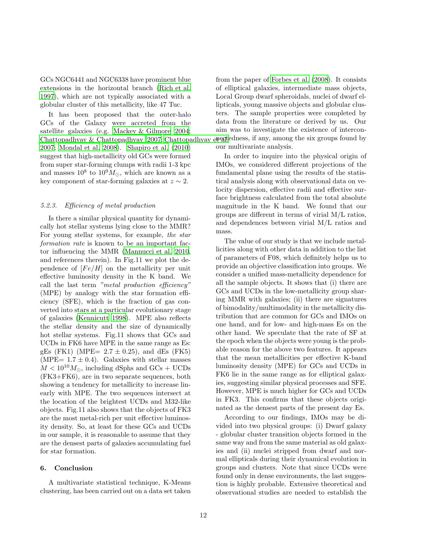GCs NGC6441 and NGC6338 have prominent blue extensions in the horizontal branch [\(Rich et al.](#page-15-25) [1997\)](#page-15-25), which are not typically associated with a globular cluster of this metallicity, like 47 Tuc.

It has been proposed that the outer-halo GCs of the Galaxy were accreted from the satellite galaxies (e.g. [Mackey & Gilmore 2004;](#page-14-32) [Chattopadhyay & Chattopadhyay 2007;](#page-12-26) Chattopadhyay [2007;](#page-12-27) [Mondal et al. 2008\)](#page-14-33). [Shapiro et al. \(2010\)](#page-15-26) suggest that high-metallicity old GCs were formed from super star-forming clumps with radii 1-3 kpc and masses  $10^8$  to  $10^9 M_{\odot}$ , which are known as a key component of star-forming galaxies at  $z \sim 2$ .

#### 5.2.3. Efficiency of metal production

Is there a similar physical quantity for dynamically hot stellar systems lying close to the MMR? For young stellar systems, for example, the star formation rate is known to be an important factor influencing the MMR [\(Mannucci et al. 2010,](#page-14-34) and references therein). In Fig.11 we plot the dependence of  $[Fe/H]$  on the metallicity per unit effective luminosity density in the K band. We call the last term "metal production efficiency" (MPE) by analogy with the star formation efficiency (SFE), which is the fraction of gas converted into stars at a particular evolutionary stage of galaxies [\(Kennicutt 1998\)](#page-14-35). MPE also reflects the stellar density and the size of dynamically hot stellar systems. Fig.11 shows that GCs and UCDs in FK6 have MPE in the same range as Es: gEs (FK1) (MPE=  $2.7 \pm 0.25$ ), and dEs (FK5) (MPE=  $1.7 \pm 0.4$ ). Galaxies with stellar masses  $M < 10^{10} M_{\odot}$ , including dSphs and GCs + UCDs (FK3+FK6), are in two separate sequences, both showing a tendency for metallicity to increase linearly with MPE. The two sequences intersect at the location of the brightest UCDs and M32-like objects. Fig.11 also shows that the objects of FK3 are the most metal-rich per unit effective luminosity density. So, at least for these GCs and UCDs in our sample, it is reasonable to assume that they are the densest parts of galaxies accumulating fuel for star formation.

#### 6. Conclusion

A multivariate statistical technique, K-Means clustering, has been carried out on a data set taken

from the paper of [Forbes et al. \(2008\)](#page-13-7). It consists of elliptical galaxies, intermediate mass objects, Local Group dwarf spheroidals, nuclei of dwarf ellipticals, young massive objects and globular clusters. The sample properties were completed by data from the literature or derived by us. Our aim was to investigate the existence of interconnectedness, if any, among the six groups found by our multivariate analysis.

In order to inquire into the physical origin of IMOs, we considered different projections of the fundamental plane using the results of the statistical analysis along with observational data on velocity dispersion, effective radii and effective surface brightness calculated from the total absolute magnitude in the K band. We found that our groups are different in terms of virial M/L ratios, and dependences between virial M/L ratios and mass.

The value of our study is that we include metallicities along with other data in addition to the list of parameters of F08, which definitely helps us to provide an objective classification into groups. We consider a unified mass-metallicity dependence for all the sample objects. It shows that (i) there are GCs and UCDs in the low-metallicity group sharing MMR with galaxies; (ii) there are signatures of bimodality/multimodality in the metallicity distribution that are common for GCs and IMOs on one hand, and for low- and high-mass Es on the other hand. We speculate that the rate of SF at the epoch when the objects were young is the probable reason for the above two features. It appears that the mean metallicities per effective K-band luminosity density (MPE) for GCs and UCDs in FK6 lie in the same range as for elliptical galaxies, suggesting similar physical processes and SFE. However, MPE is much higher for GCs and UCDs in FK3. This confirms that these objects originated as the densest parts of the present day Es.

According to our findings, IMOs may be divided into two physical groups: (i) Dwarf galaxy - globular cluster transition objects formed in the same way and from the same material as old galaxies and (ii) nuclei stripped from dwarf and normal ellipticals during their dynamical evolution in groups and clusters. Note that since UCDs were found only in dense environments, the last suggestion is highly probable. Extensive theoretical and observational studies are needed to establish the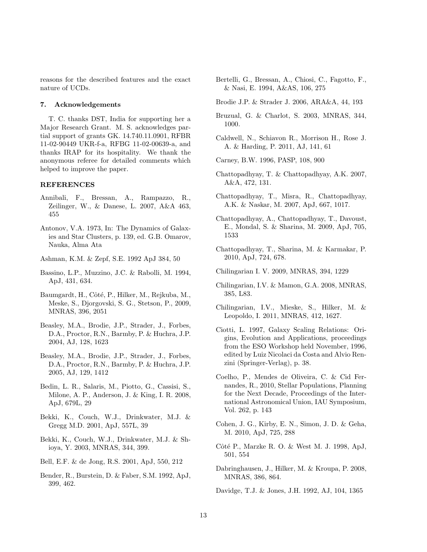reasons for the described features and the exact nature of UCDs.

#### 7. Acknowledgements

T. C. thanks DST, India for supporting her a Major Research Grant. M. S. acknowledges partial support of grants GK. 14.740.11.0901, RFBR 11-02-90449 UKR-f-a, RFBG 11-02-00639-a, and thanks IRAP for its hospitality. We thank the anonymous referee for detailed comments which helped to improve the paper.

#### REFERENCES

- <span id="page-12-15"></span>Annibali, F., Bressan, A., Rampazzo, R., Zeilinger, W., & Danese, L. 2007, A&A 463, 455
- <span id="page-12-3"></span>Antonov, V.A. 1973, In: The Dynamics of Galaxies and Star Clusters, p. 139, ed. G.B. Omarov, Nauka, Alma Ata
- <span id="page-12-0"></span>Ashman, K.M. & Zepf, S.E. 1992 ApJ 384, 50
- <span id="page-12-4"></span>Bassino, L.P., Muzzino, J.C. & Rabolli, M. 1994, ApJ, 431, 634.
- <span id="page-12-25"></span>Baumgardt, H., Côté, P., Hilker, M., Rejkuba, M., Meske, S., Djorgovski, S. G., Stetson, P., 2009, MNRAS, 396, 2051
- <span id="page-12-8"></span>Beasley, M.A., Brodie, J.P., Strader, J., Forbes, D.A., Proctor, R.N., Barmby, P. & Huchra, J.P. 2004, AJ, 128, 1623
- <span id="page-12-9"></span>Beasley, M.A., Brodie, J.P., Strader, J., Forbes, D.A., Proctor, R.N., Barmby, P. & Huchra, J.P. 2005, AJ, 129, 1412
- <span id="page-12-24"></span>Bedin, L. R., Salaris, M., Piotto, G., Cassisi, S., Milone, A. P., Anderson, J. & King, I. R. 2008, ApJ, 679L, 29
- <span id="page-12-20"></span>Bekki, K., Couch, W.J., Drinkwater, M.J. & Gregg M.D. 2001, ApJ, 557L, 39
- <span id="page-12-5"></span>Bekki, K., Couch, W.J., Drinkwater, M.J. & Shioya, Y. 2003, MNRAS, 344, 399.
- <span id="page-12-17"></span>Bell, E.F. & de Jong, R.S. 2001, ApJ, 550, 212
- <span id="page-12-19"></span>Bender, R., Burstein, D. & Faber, S.M. 1992, ApJ, 399, 462.
- <span id="page-12-21"></span>Bertelli, G., Bressan, A., Chiosi, C., Fagotto, F., & Nasi, E. 1994, A&AS, 106, 275
- <span id="page-12-2"></span>Brodie J.P. & Strader J. 2006, ARA&A, 44, 193
- <span id="page-12-7"></span>Bruzual, G. & Charlot, S. 2003, MNRAS, 344, 1000.
- <span id="page-12-10"></span>Caldwell, N., Schiavon R., Morrison H., Rose J. A. & Harding, P. 2011, AJ, 141, 61
- <span id="page-12-22"></span>Carney, B.W. 1996, PASP, 108, 900
- <span id="page-12-26"></span>Chattopadhyay, T. & Chattopadhyay, A.K. 2007, A&A, 472, 131.
- <span id="page-12-27"></span>Chattopadhyay, T., Misra, R., Chattopadhyay, A.K. & Naskar, M. 2007, ApJ, 667, 1017.
- <span id="page-12-18"></span>Chattopadhyay, A., Chattopadhyay, T., Davoust, E., Mondal, S. & Sharina, M. 2009, ApJ, 705, 1533
- Chattopadhyay, T., Sharina, M. & Karmakar, P. 2010, ApJ, 724, 678.
- <span id="page-12-16"></span>Chilingarian I. V. 2009, MNRAS, 394, 1229
- <span id="page-12-12"></span>Chilingarian, I.V. & Mamon, G.A. 2008, MNRAS, 385, L83.
- <span id="page-12-11"></span>Chilingarian, I.V., Mieske, S., Hilker, M. & Leopoldo, I. 2011, MNRAS, 412, 1627.
- Ciotti, L. 1997, Galaxy Scaling Relations: Origins, Evolution and Applications, proceedings from the ESO Workshop held November, 1996, edited by Luiz Nicolaci da Costa and Alvio Renzini (Springer-Verlag), p. 38.
- <span id="page-12-14"></span>Coelho, P., Mendes de Oliveira, C. & Cid Fernandes, R., 2010, Stellar Populations, Planning for the Next Decade, Proceedings of the International Astronomical Union, IAU Symposium, Vol. 262, p. 143
- <span id="page-12-23"></span>Cohen, J. G., Kirby, E. N., Simon, J. D. & Geha, M. 2010, ApJ, 725, 288
- <span id="page-12-1"></span>Côté P., Marzke R. O. & West M. J. 1998, ApJ, 501, 554
- <span id="page-12-6"></span>Dabringhausen, J., Hilker, M. & Kroupa, P. 2008, MNRAS, 386, 864.
- <span id="page-12-13"></span>Davidge, T.J. & Jones, J.H. 1992, AJ, 104, 1365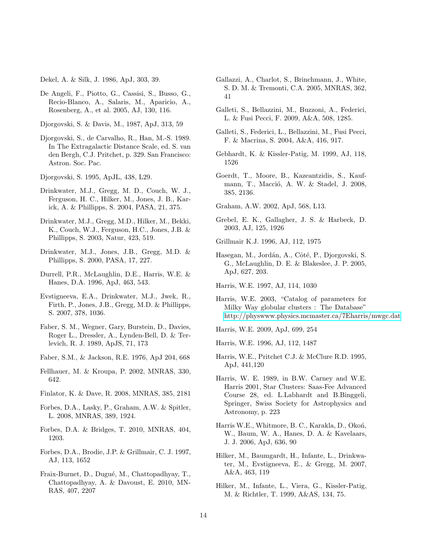<span id="page-13-25"></span>Dekel, A. & Silk, J. 1986, ApJ, 303, 39.

<span id="page-13-9"></span>De Angeli, F., Piotto, G., Cassisi, S., Busso, G., Recio-Blanco, A., Salaris, M., Aparicio, A., Rosenberg, A., et al. 2005, AJ, 130, 116.

<span id="page-13-18"></span>Djorgovski, S. & Davis, M., 1987, ApJ, 313, 59

<span id="page-13-22"></span>Djorgovski, S., de Carvalho, R., Han, M.-S. 1989. In The Extragalactic Distance Scale, ed. S. van den Bergh, C.J. Pritchet, p. 329. San Francisco: Astron. Soc. Pac.

<span id="page-13-20"></span>Djorgovski, S. 1995, ApJL, 438, L29.

- <span id="page-13-6"></span>Drinkwater, M.J., Gregg, M. D., Couch, W. J., Ferguson, H. C., Hilker, M., Jones, J. B., Karick, A. & Phillipps, S. 2004, PASA, 21, 375.
- <span id="page-13-3"></span>Drinkwater, M.J., Gregg, M.D., Hilker, M., Bekki, K., Couch, W.J., Ferguson, H.C., Jones, J.B. & Phillipps, S. 2003, Natur, 423, 519.
- <span id="page-13-2"></span>Drinkwater, M.J., Jones, J.B., Gregg, M.D. & Phillipps, S. 2000, PASA, 17, 227.
- <span id="page-13-15"></span>Durrell, P.R., McLaughlin, D.E., Harris, W.E. & Hanes, D.A. 1996, ApJ, 463, 543.
- <span id="page-13-13"></span>Evstigneeva, E.A., Drinkwater, M.J., Jwek, R., Firth, P., Jones, J.B., Gregg, M.D. & Phillipps, S. 2007, 378, 1036.
- <span id="page-13-21"></span>Faber, S. M., Wegner, Gary, Burstein, D., Davies, Roger L., Dressler, A., Lynden-Bell, D. & Terlevich, R. J. 1989, ApJS, 71, 173
- <span id="page-13-19"></span>Faber, S.M., & Jackson, R.E. 1976, ApJ 204, 668
- <span id="page-13-4"></span>Fellhauer, M. & Kroupa, P. 2002, MNRAS, 330, 642.
- <span id="page-13-28"></span>Finlator, K. & Dave, R. 2008, MNRAS, 385, 2181
- <span id="page-13-7"></span>Forbes, D.A., Lasky, P., Graham, A.W. & Spitler, L. 2008, MNRAS, 389, 1924.
- <span id="page-13-11"></span>Forbes, D.A. & Bridges, T. 2010, MNRAS, 404, 1203.
- Forbes, D.A., Brodie, J.P. & Grillmair, C. J. 1997, AJ, 113, 1652
- <span id="page-13-23"></span>Fraix-Burnet, D., Dugué, M., Chattopadhyay, T., Chattopadhyay, A. & Davoust, E. 2010, MN-RAS, 407, 2207
- <span id="page-13-26"></span>Gallazzi, A., Charlot, S., Brinchmann, J., White, S. D. M. & Tremonti, C.A. 2005, MNRAS, 362, 41
- <span id="page-13-12"></span>Galleti, S., Bellazzini, M., Buzzoni, A., Federici, L. & Fusi Pecci, F. 2009, A&A, 508, 1285.
- <span id="page-13-8"></span>Galleti, S., Federici, L., Bellazzini, M., Fusi Pecci, F. & Macrina, S. 2004, A&A, 416, 917.
- <span id="page-13-32"></span>Gebhardt, K. & Kissler-Patig, M. 1999, AJ, 118, 1526
- <span id="page-13-5"></span>Goerdt, T., Moore, B., Kazeantzidis, S., Kaufmann, T., Macció, A. W. & Stadel, J. 2008, 385, 2136.

<span id="page-13-24"></span>Graham, A.W. 2002, ApJ, 568, L13.

<span id="page-13-27"></span>Grebel, E. K., Gallagher, J. S. & Harbeck, D. 2003, AJ, 125, 1926

<span id="page-13-16"></span>Grillmair K.J. 1996, AJ, 112, 1975

<span id="page-13-14"></span>Hasegan, M., Jordán, A., Côté, P., Djorgovski, S. G., McLaughlin, D. E. & Blakeslee, J. P. 2005, ApJ, 627, 203.

Harris, W.E. 1997, AJ, 114, 1030

<span id="page-13-10"></span>Harris, W.E. 2003, "Catalog of parameters for Milky Way globular clusters : The Database" <http://physwww.physics.mcmaster.ca/7Eharris/mwgc.dat>

Harris, W.E. 2009, ApJ, 699, 254

<span id="page-13-31"></span>Harris, W.E. 1996, AJ, 112, 1487

- <span id="page-13-0"></span>Harris, W.E., Pritchet C.J. & McClure R.D. 1995, ApJ, 441,120
- <span id="page-13-30"></span>Harris, W. E. 1989, in B.W. Carney and W.E. Harris 2001, Star Clusters: Saas-Fee Advanced Course 28, ed. L.Labhardt and B.Binggeli, Springer, Swiss Society for Astrophysics and Astronomy, p. 223
- <span id="page-13-29"></span>Harris W.E., Whitmore, B. C., Karakla, D., Okoń, W., Baum, W. A., Hanes, D. A. & Kavelaars, J. J. 2006, ApJ, 636, 90
- <span id="page-13-17"></span>Hilker, M., Baumgardt, H., Infante, L., Drinkwater, M., Evstigneeva, E., & Gregg, M. 2007, A&A, 463, 119
- <span id="page-13-1"></span>Hilker, M., Infante, L., Viera, G., Kissler-Patig, M. & Richtler, T. 1999, A&AS, 134, 75.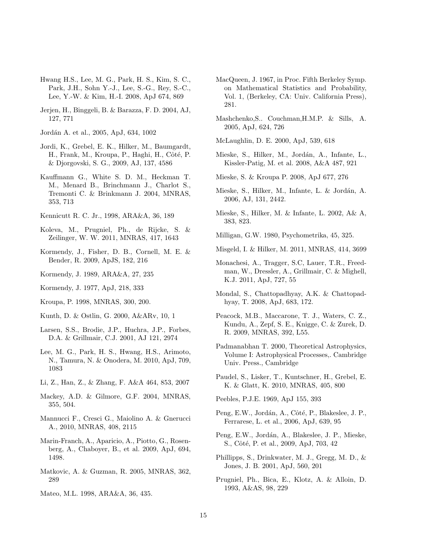- <span id="page-14-3"></span>Hwang H.S., Lee, M. G., Park, H. S., Kim, S. C., Park, J.H., Sohn Y.-J., Lee, S.-G., Rey, S.-C., Lee, Y.-W. & Kim, H.-I. 2008, ApJ 674, 869
- <span id="page-14-13"></span>Jerjen, H., Binggeli, B. & Barazza, F. D. 2004, AJ, 127, 771

<span id="page-14-23"></span>Jordán A. et al., 2005, ApJ, 634, 1002

- <span id="page-14-27"></span>Jordi, K., Grebel, E. K., Hilker, M., Baumgardt, H., Frank, M., Kroupa, P., Haghi, H., Côté, P. & Djorgovski, S. G., 2009, AJ, 137, 4586
- <span id="page-14-30"></span>Kauffmann G., White S. D. M., Heckman T. M., Menard B., Brinchmann J., Charlot S., Tremonti C. & Brinkmann J. 2004, MNRAS, 353, 713
- <span id="page-14-35"></span>Kennicutt R. C. Jr., 1998, ARA&A, 36, 189
- <span id="page-14-31"></span>Koleva, M., Prugniel, Ph., de Rijcke, S. & Zeilinger, W. W. 2011, MNRAS, 417, 1643
- Kormendy, J., Fisher, D. B., Cornell, M. E. & Bender, R. 2009, ApJS, 182, 216
- <span id="page-14-22"></span>Kormendy, J. 1989, ARA&A, 27, 235

<span id="page-14-20"></span>Kormendy, J. 1977, ApJ, 218, 333

- <span id="page-14-6"></span>Kroupa, P. 1998, MNRAS, 300, 200.
- <span id="page-14-24"></span>Kunth, D. & Ostlin, G. 2000, A&ARv, 10, 1
- <span id="page-14-28"></span>Larsen, S.S., Brodie, J.P., Huchra, J.P., Forbes, D.A. & Grillmair, C.J. 2001, AJ 121, 2974
- <span id="page-14-2"></span>Lee, M. G., Park, H. S., Hwang, H.S., Arimoto, N., Tamura, N. & Onodera, M. 2010, ApJ, 709, 1083
- <span id="page-14-14"></span>Li, Z., Han, Z., & Zhang, F. A&A 464, 853, 2007
- <span id="page-14-32"></span>Mackey, A.D. & Gilmore, G.F. 2004, MNRAS, 355, 504.
- <span id="page-14-34"></span>Mannucci F., Cresci G., Maiolino A. & Gnerucci A., 2010, MNRAS, 408, 2115
- <span id="page-14-10"></span>Marin-Franch, A., Aparicio, A., Piotto, G., Rosenberg, A., Chaboyer, B., et al. 2009, ApJ, 694, 1498.
- <span id="page-14-16"></span>Matkovic, A. & Guzman, R. 2005, MNRAS, 362, 289
- <span id="page-14-11"></span>Mateo, M.L. 1998, ARA&A, 36, 435.
- <span id="page-14-17"></span>MacQueen, J. 1967, in Proc. Fifth Berkeley Symp. on Mathematical Statistics and Probability, Vol. 1, (Berkeley, CA: Univ. California Press), 281.
- <span id="page-14-26"></span>Mashchenko,S.. Couchman,H.M.P. & Sills, A. 2005, ApJ, 624, 726

<span id="page-14-21"></span>McLaughlin, D. E. 2000, ApJ, 539, 618

- Mieske, S., Hilker, M., Jordán, A., Infante, L., Kissler-Patig, M. et al. 2008, A&A 487, 921
- <span id="page-14-8"></span>Mieske, S. & Kroupa P. 2008, ApJ 677, 276
- <span id="page-14-5"></span>Mieske, S., Hilker, M., Infante, L. & Jordán, A. 2006, AJ, 131, 2442.
- <span id="page-14-7"></span>Mieske, S., Hilker, M. & Infante, L. 2002, A& A, 383, 823.
- <span id="page-14-18"></span>Milligan, G.W. 1980, Psychometrika, 45, 325.
- <span id="page-14-19"></span>Misgeld, I. & Hilker, M. 2011, MNRAS, 414, 3699
- <span id="page-14-12"></span>Monachesi, A., Tragger, S.C, Lauer, T.R., Freedman, W., Dressler, A., Grillmair, C. & Mighell, K.J. 2011, ApJ, 727, 55
- <span id="page-14-33"></span>Mondal, S., Chattopadhyay, A.K. & Chattopadhyay, T. 2008, ApJ, 683, 172.
- <span id="page-14-9"></span>Peacock, M.B., Maccarone, T. J., Waters, C. Z., Kundu, A., Zepf, S. E., Knigge, C. & Zurek, D. R. 2009, MNRAS, 392, L55.
- <span id="page-14-0"></span>Padmanabhan T. 2000, Theoretical Astrophysics, Volume I: Astrophysical Processes,. Cambridge Univ. Press., Cambridge
- Paudel, S., Lisker, T., Kuntschner, H., Grebel, E. K. & Glatt, K. 2010, MNRAS, 405, 800

<span id="page-14-1"></span>Peebles, P.J.E. 1969, ApJ 155, 393

- <span id="page-14-29"></span>Peng, E.W., Jordán, A., Côté, P., Blakeslee, J. P., Ferrarese, L. et al., 2006, ApJ, 639, 95
- <span id="page-14-25"></span>Peng, E.W., Jordán, A., Blakeslee, J. P., Mieske, S., Côté, P. et al., 2009, ApJ, 703, 42
- <span id="page-14-4"></span>Phillipps, S., Drinkwater, M. J., Gregg, M. D., & Jones, J. B. 2001, ApJ, 560, 201
- <span id="page-14-15"></span>Prugniel, Ph., Bica, E., Klotz, A. & Alloin, D. 1993, A&AS, 98, 229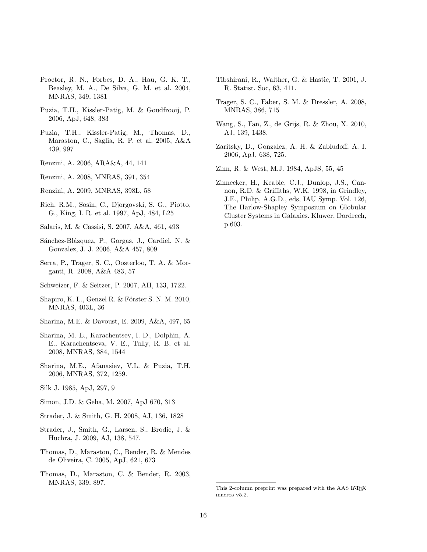- <span id="page-15-12"></span>Proctor, R. N., Forbes, D. A., Hau, G. K. T., Beasley, M. A., De Silva, G. M. et al. 2004, MNRAS, 349, 1381
- <span id="page-15-19"></span>Puzia, T.H., Kissler-Patig, M. & Goudfrooij, P. 2006, ApJ, 648, 383
- <span id="page-15-6"></span>Puzia, T.H., Kissler-Patig, M., Thomas, D., Maraston, C., Saglia, R. P. et al. 2005, A&A 439, 997
- <span id="page-15-24"></span>Renzini, A. 2006, ARA&A, 44, 141
- <span id="page-15-21"></span>Renzini, A. 2008, MNRAS, 391, 354
- <span id="page-15-23"></span>Renzini, A. 2009, MNRAS, 398L, 58
- <span id="page-15-25"></span>Rich, R.M., Sosin, C., Djorgovski, S. G., Piotto, G., King, I. R. et al. 1997, ApJ, 484, L25
- <span id="page-15-10"></span>Salaris, M. & Cassisi, S. 2007, A&A, 461, 493
- <span id="page-15-13"></span>Sánchez-Blázquez, P., Gorgas, J., Cardiel, N. & Gonzalez, J. J. 2006, A&A 457, 809
- <span id="page-15-14"></span>Serra, P., Trager, S. C., Oosterloo, T. A. & Morganti, R. 2008, A&A 483, 57
- <span id="page-15-11"></span>Schweizer, F. & Seitzer, P. 2007, AH, 133, 1722.
- <span id="page-15-26"></span>Shapiro, K. L., Genzel R. & Förster S. N. M. 2010, MNRAS, 403L, 36
- <span id="page-15-8"></span>Sharina, M.E. & Davoust, E. 2009, A&A, 497, 65
- Sharina, M. E., Karachentsev, I. D., Dolphin, A. E., Karachentseva, V. E., Tully, R. B. et al. 2008, MNRAS, 384, 1544
- <span id="page-15-7"></span>Sharina, M.E., Afanasiev, V.L. & Puzia, T.H. 2006, MNRAS, 372, 1259.
- <span id="page-15-20"></span>Silk J. 1985, ApJ, 297, 9
- <span id="page-15-18"></span>Simon, J.D. & Geha, M. 2007, ApJ 670, 313
- <span id="page-15-0"></span>Strader, J. & Smith, G. H. 2008, AJ, 136, 1828
- <span id="page-15-4"></span>Strader, J., Smith, G., Larsen, S., Brodie, J. & Huchra, J. 2009, AJ, 138, 547.
- <span id="page-15-22"></span>Thomas, D., Maraston, C., Bender, R. & Mendes de Oliveira, C. 2005, ApJ, 621, 673
- <span id="page-15-15"></span>Thomas, D., Maraston, C. & Bender, R. 2003, MNRAS, 339, 897.
- <span id="page-15-16"></span>Tibshirani, R., Walther, G. & Hastie, T. 2001, J. R. Statist. Soc, 63, 411.
- <span id="page-15-17"></span>Trager, S. C., Faber, S. M. & Dressler, A. 2008, MNRAS, 386, 715
- <span id="page-15-9"></span>Wang, S., Fan, Z., de Grijs, R. & Zhou, X. 2010, AJ, 139, 1438.
- <span id="page-15-2"></span>Zaritsky, D., Gonzalez, A. H. & Zabludoff, A. I. 2006, ApJ, 638, 725.

<span id="page-15-5"></span>Zinn, R. & West, M.J. 1984, ApJS, 55, 45

<span id="page-15-1"></span>Zinnecker, H., Keable, C.J., Dunlop, J.S., Cannon, R.D. & Griffiths, W.K. 1998, in Grindley, J.E., Philip, A.G.D., eds, IAU Symp. Vol. 126, The Harlow-Shapley Symposium on Globular Cluster Systems in Galaxies. Kluwer, Dordrech, p.603.

<span id="page-15-3"></span>This 2-column preprint was prepared with the AAS LATEX macros v5.2.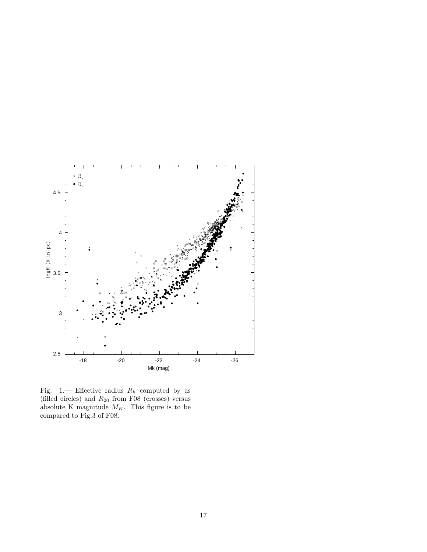

<span id="page-16-0"></span>Fig. 1.— Effective radius  $R_h$  computed by us (filled circles) and  $R_{20}$  from F08 (crosses) versus absolute K magnitude  $M_K$ . This figure is to be compared to Fig.3 of F08.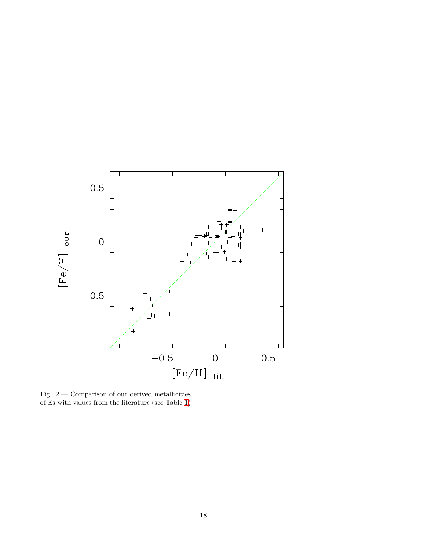

Fig. 2.— Comparison of our derived metallicities of Es with values from the literature (see Table [1\)](#page-27-0)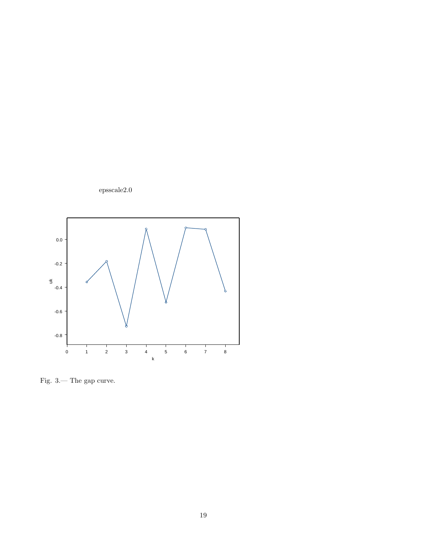

epsscale2.0

Fig. 3.— The gap curve.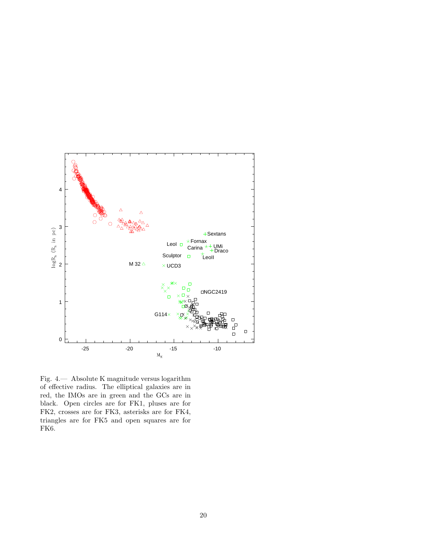

<span id="page-19-0"></span>Fig. 4.— Absolute K magnitude versus logarithm of effective radius. The elliptical galaxies are in red, the IMOs are in green and the GCs are in black. Open circles are for FK1, pluses are for FK2, crosses are for FK3, asterisks are for FK4, triangles are for FK5 and open squares are for FK6.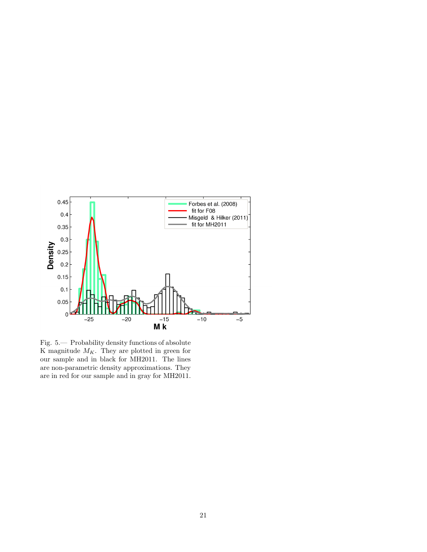

Fig. 5.— Probability density functions of absolute K magnitude  $M_K$ . They are plotted in green for our sample and in black for MH2011. The lines are non-parametric density approximations. They are in red for our sample and in gray for MH2011.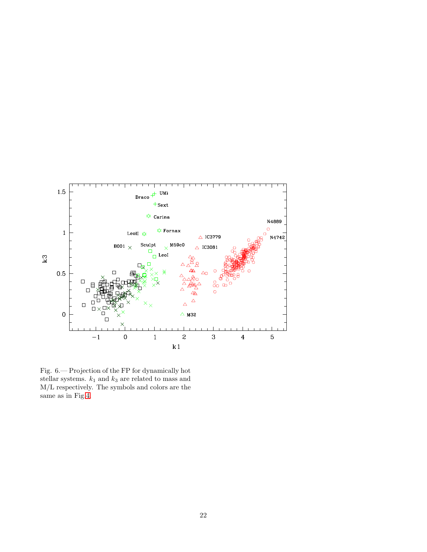

Fig. 6.— Projection of the FP for dynamically hot stellar systems.  $k_1$  and  $k_3$  are related to mass and M/L respectively. The symbols and colors are the same as in Fig[.4.](#page-19-0)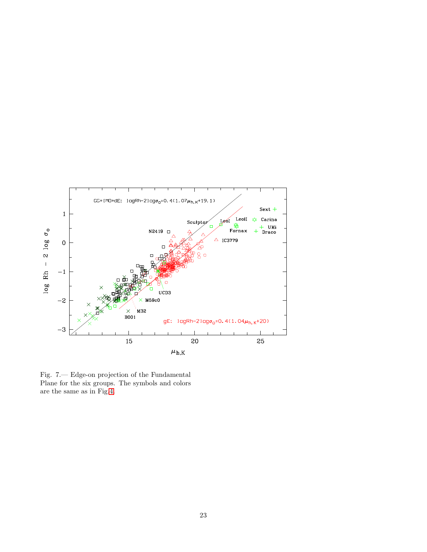

Fig. 7.— Edge-on projection of the Fundamental Plane for the six groups. The symbols and colors are the same as in Fig[.4.](#page-19-0)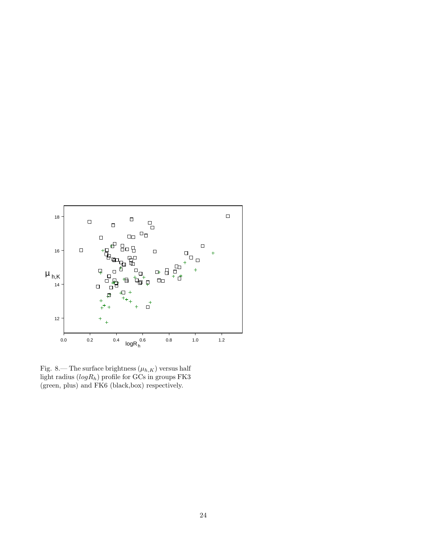

Fig. 8.— The surface brightness  $(\mu_{h,K})$  versus half light radius  $(log R_h)$  profile for GCs in groups FK3 (green, plus) and FK6 (black,box) respectively.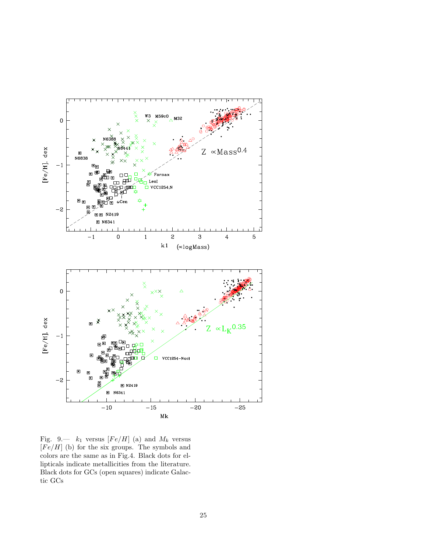

Fig. 9.—  $k_1$  versus  $[Fe/H]$  (a) and  $M_k$  versus  $[Fe/H]$  (b) for the six groups. The symbols and colors are the same as in Fig.4. Black dots for ellipticals indicate metallicities from the literature. Black dots for GCs (open squares) indicate Galactic GCs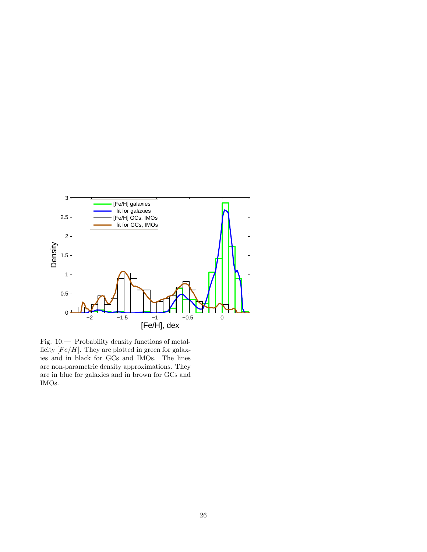

Fig. 10.— Probability density functions of metallicity  $[Fe/H]$ . They are plotted in green for galaxies and in black for GCs and IMOs. The lines are non-parametric density approximations. They are in blue for galaxies and in brown for GCs and IMOs.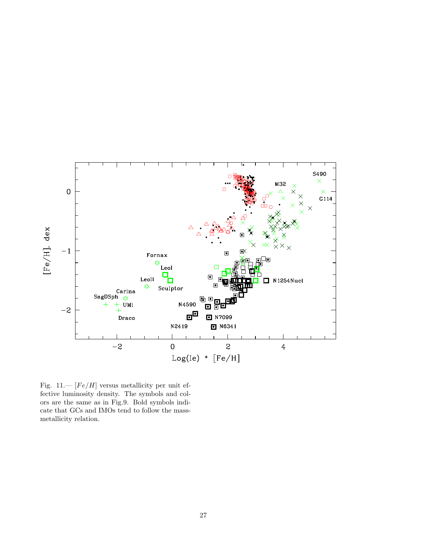

Fig. 11.—  $[Fe/H]$  versus metallicity per unit effective luminosity density. The symbols and colors are the same as in Fig.9. Bold symbols indicate that GCs and IMOs tend to follow the massmetallicity relation.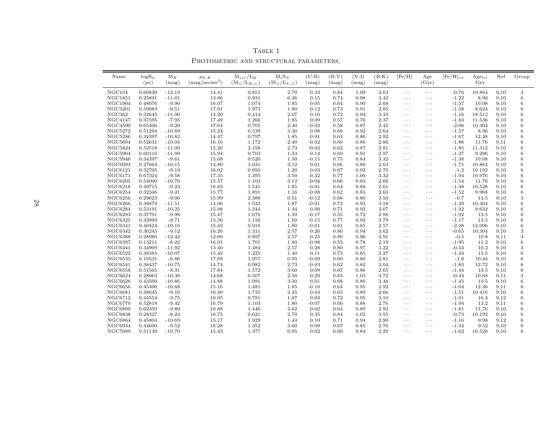| Name                             | $log R_h$          | $M_K$               | $\mu_{h,K}$                | $M_{vir}/L_K$             | $M/L_V$                     | $(U-B)$         | $(B-V)$      | $(V-I)$      | $(B-K)$      | [Fe/H]               | Age                  | $[Fe/H]_{lit}$    | $Age_{lit}$    | Ref          | Group              |
|----------------------------------|--------------------|---------------------|----------------------------|---------------------------|-----------------------------|-----------------|--------------|--------------|--------------|----------------------|----------------------|-------------------|----------------|--------------|--------------------|
|                                  | (pc)               | (mag)               | (mag/arcsec <sup>2</sup> ) | $(M_{\odot}/L_{K,\odot})$ | $(M_{\odot}/L_{V,{\odot}})$ | (mag)           | (mag)        | (mag)        | (mag)        |                      | (Gyr)                |                   | Gyr            |              |                    |
| NGC104                           | 0.60830            | $-12.19$            | 14.41                      | 0.851                     | 2.70                        | 0.33            | 0.84         | 1.09         | 3.63         | $\ldots$             | $\cdots$             | $-0.76$           | 10.864         | 9,10         | $\,3$              |
| <b>NGC1851</b>                   | 0.25891            | $-11.01$            | 13.86                      | 0.931                     | 6.36                        | 0.15            | 0.74         | 0.98         | 3.42         | $\cdots$             | $\cdots$             | $-1.22$           | 8.96           | 9,10         | $\,6\,$            |
| <b>NGC1904</b>                   | 0.48076            | $-9.90$             | 16.07                      | 1.074                     | 1.85                        | 0.05            | 0.64         | 0.90         | 2.68         | $\cdots$             | $\cdots$             | $-1.57$           | 10.08          | 9,10         | $\,6$              |
| <b>NGC3201</b>                   | 0.59083            | $-9.51$             | 17.01                      | 1.973                     | 1.80                        | 0.12            | 0.73         | 0.91         | 2.85         | $\cdots$             | $\cdots$             | $-1.58$           | 8.624          | 9,10         | 6                  |
| NGC362                           | 0.32645            | $-11.00$            | 14.20                      | 0.414                     | 2.07                        | 0.10            | 0.72         | 0.94         | 3.33         | $\cdots$             | $\cdots$             | $-1.16$           | 18.512         | 9,10         | 6                  |
| <b>NGC4147</b>                   | 0.37595            | $-7.95$             | 17.49                      | 1.266                     | 1.85                        | 0.09            | 0.57         | 0.76         | 2.37         | $\cdots$             | $\cdots$             | $-1.83$           | 11.536         | 9,10         | $\,6\,$            |
| <b>NGC4590</b>                   | 0.65406            | $-9.20$             | 17.64                      | 0.705                     | 2.40                        | $-0.02$         | 0.58         | 0.87         | 2.45         | $\cdots$             | $\cdots$             | $-2.06$           | 10.304         | 9,10         | 6                  |
| <b>NGC5272</b>                   | 0.51294            | $-10.89$            | 15.24                      | 0.539                     | 3.30                        | 0.08            | 0.68         | 0.92         | 2.64         | .                    | $\cdots$             | $-1.57$           | 8.96           | 9,10         | $\,6$              |
| <b>NGC5286</b>                   | 0.34397            | $-10.82$            | 14.47                      | 0.797                     | 1.85                        | 0.01            | 0.64         | 0.86         | 2.92         | $\cdots$             | $\cdots$             | $-1.67$           | 12.48          | 9,10         | 6                  |
| <b>NGC5694</b>                   | 0.52631            | $-10.04$            | 16.16                      | 1.172                     | 2.40                        | $-0.02$         | 0.60         | 0.86         | 2.86         | $\cdots$             | $\cdots$             | $-1.86$           | 11.76          | 9,11         | 6                  |
| <b>NGC5824</b>                   | 0.52518            | $-11.00$            | 15.20                      | 2.158                     | 2.73                        | $-0.03$         | 0.62         | 0.87         | 2.81         | $\cdots$             | $\cdots$             | $-1.85$           | 11.312         | 9.10         | 6                  |
| <b>NGC5904</b>                   | 0.69110            | $-11.09$            | 15.94                      | 0.703                     | 1.33                        | 0.14            | 0.69         | 0.91         | 2.97         | $\cdots$             | $\cdots$             | $-1.27$           | 9.296          | 9,10         | 6                  |
| <b>NGC5946</b>                   | 0.34397            | $-9.61$             | 15.68                      | 0.520                     | 1.50                        | $-0.15$         | 0.75         | 0.84         | 3.32         | .                    | $\cdots$             | $-1.38$           | 10.08          | 9,10         | $\,6$              |
| <b>NGC6093</b>                   | 0.27664            | $-10.15$            | 14.80                      | 3.031                     | 3.12                        | 0.01            | 0.66         | 0.86         | 2.63         | $\cdots$             | $\cdots$             | $-1.75$           | 10.864         | 9,10         | 6                  |
| NGC6121                          | 0.32705            | $-9.19$             | 16.02                      | 0.950                     | 1.20                        | 0.03            | 0.67         | 0.92         | 2.76         | $\cdots$             | $\cdots$             | $-1.2$            | 10.192         | 9,10         | $\,6$              |
| NGC6171                          | 0.67324            | $-9.58$             | 17.35                      | 1.395                     | 3.50                        | 0.32            | 0.77         | 1.00         | 3.32         | $\cdots$             | $\cdots$             | $-1.04$           | 10.976         | 9,10         | 6                  |
| <b>NGC6205</b>                   | 0.54000            | $-10.70$            | 15.57                      | 1.103                     | 3.12                        | $-0.04$         | 0.66         | 0.83         | 2.66         | $\cdots$             | $\cdots$             | $-1.54$           | 11.76          | 9,10         | 6                  |
| <b>NGC6218</b>                   | 0.49715            | $-9.23$             | 16.82                      | 1.541                     | 1.85                        | $-0.01$         | 0.64         | 0.88         | 2.61         | $\cdots$             | $\cdots$             | $-1.48$           | 10.528         | 9,10         | $\,6\,$            |
| NGC6254                          | 0.32346            | $-9.41$             | 15.77                      | 1.891                     | 1.16                        | $-0.08$         | 0.62         | 0.83         | 2.63         | $\cdots$             | $\cdots$             | $-1.52$           | 9.968          | 9,10         | $\,6\,$            |
| NGC6256                          | 0.29623            | $-9.06$             | 15.99                      | 2.388                     | 0.51                        | $-0.12$         | 0.66         | 0.80         | 3.50         | $\cdots$             | $\cdots$             | $-0.7$            | 13.5           | 9,10         | $\,3$              |
| <b>NGC6266</b>                   | 0.39873            | $-11.51$            | 14.06                      | 1.532                     | 1.87                        | $-0.01$         | 0.72         | 0.93         | 3.18         | $\cdots$             | $\cdots$             | $-1.29$           | 10.304         | 9,10         | $\,6\,$            |
| NGC6284                          | 0.53191            | $-10.25$            | 15.98                      | 1.244                     | 1.44                        | 0.09            | 0.71         | 0.92         | 3.07         | $\cdots$             | $\cdots$             | $-1.32$           | 9.632          | 9,10         | $\,6\,$            |
| <b>NGC6293</b>                   | 0.37701            | $-9.98$             | 15.47                      | 1.676                     | 1.39                        | $-0.17$         | 0.55         | 0.72         | 2.88         | $\cdots$             | $\cdots$             | $-1.92$           | 13.5           | 9,10         | $\,6\,$            |
| <b>NGC6325</b>                   | 0.33994            | $-9.71$             | 15.56                      | 1.156                     | 1.50                        | $-0.15$         | 0.77         | 0.93         | 3.79         | $\cdots$             | $\cdots$             | $-1.17$           | 13.5           | 9,10         | $\,6\,$            |
| NGC6341                          | 0.40424            | $-10.16$            | 15.43                      | 0.916                     | 1.80                        | $-0.01$         | 0.61         | 0.85         | 2.57         | $\cdots$             | $\cdots$             | $-2.28$           | 12.096         | 9,10         | $\,6\,$            |
| <b>NGC6342</b>                   | 0.36245            | $-9.12$             | 16.26                      | 1.311                     | 2.57                        | 0.26            | 0.80         | 0.94         | 3.62         | $\cdots$             | $\cdots$             | $-0.65$           | 10.304         | 9,10         | 3                  |
| <b>NGC6388</b>                   | 0.28980            | $-12.42$            | 12.60                      | 0.897                     | 2.57                        | 0.25            | 0.80         | 0.96         | 3.91         | $\cdots$             | $\cdots$             | $-0.5$            | 10.8           | 9,11         | $\,3$              |
| NGC6397                          | 0.13211            | $-8.22$             | 16.01                      | 1.701                     | 1.80                        | $-0.08$         | 0.55         | 0.78         | 2.19         | $\cdots$             | $\cdots$             | $-1.95$           | 11.2           | 9,10         | $\,6\,$            |
| <b>NGC6441</b>                   | 0.34909            | $-11.92$            | 13.40                      | 1.484                     | 2.57                        | 0.28            | 0.80         | 0.97         | 3.22         | $\cdots$             | $\cdots$             | $-0.53$           | 10.2           | 9,10         | 3                  |
| <b>NGC6522</b>                   | 0.38385            | $-10.07$            | 15.42                      | 1.225                     | 1.40                        | 0.11            | 0.73         | 0.85         | 3.27         | $\sim$ $\sim$ $\sim$ | $\cdots$             | $-1.44$           | 13.5           | 9,10         | $\,6\,$            |
| <b>NGC6535</b><br><b>NGC6541</b> | 0.19531            | $-6.86$             | 17.69                      | 1.957                     | 0.95                        | $-0.09$         | 0.60         | 0.80         | 2.81         | $\cdots$             | $\cdots$             | $-1.8$<br>$-1.83$ | 10.44<br>12.72 | 9,10         | $\,6\,$            |
| <b>NGC6558</b>                   | 0.38437<br>0.51565 | $-10.75$<br>$-8.31$ | 14.74<br>17.84             | $\,0.982\,$<br>1.572      | 2.73<br>3.60                | $-0.03$<br>0.09 | 0.62<br>0.67 | 0.82<br>0.86 | 3.04<br>2.65 | $\cdots$<br>$\cdots$ | $\cdots$<br>$\cdots$ | $-1.44$           | 13.5           | 9,10<br>9,10 | $\,6\,$<br>$\,6\,$ |
| NGC6624                          | 0.28063            | $-10.30$            | 14.68                      | 0.507                     | 2.50                        | 0.29            | 0.83         | 1.03         | 3.72         | $\cdots$             | $\cdots$             | $-0.44$           | 10.68          | 9,11         | $\,3$              |
| <b>NGC6626</b>                   | 0.43500            | $-10.86$            | 14.88                      | 1.091                     | 3.30                        | 0.01            | 0.68         | 0.86         | 3.48         | $\cdots$             | $\cdots$             | $-1.45$           | 13.5           | 9,10         | $\,6\,$            |
| NGC6656                          | 0.45406            | $-10.68$            | 15.16                      | 1.481                     | 1.85                        | $-0.10$         | 0.64         | 0.95         | 2.92         | $\cdots$             | $\cdots$             | $-1.64$           | 12.36          | 9,11         | $\,6\,$            |
| NGC6681                          | 0.38645            | $-9.10$             | 16.40                      | 1.735                     | 2.45                        | 0.04            | 0.65         | 0.89         | 2.66         | $\cdots$             | $\cdots$             | $-1.51$           | 10.416         | 9,10         | $\,6\,$            |
| NGC6712                          | 0.44554            | $-9.75$             | 16.05                      | 0.781                     | 1.87                        | 0.03            | 0.72         | 0.95         | 3.10         | $\cdots$             | $\cdots$             | $-1.01$           | 10.4           | 9.12         | $\,6\,$            |
| NGC6779                          | 0.52818            | $-9.42$             | 16.79                      | 1.103                     | 1.80                        | $-0.07$         | 0.66         | 0.88         | 2.76         | $\cdots$             | $\cdots$             | $-1.94$           | 13.2           | 9,11         | $\,6\,$            |
| <b>NGC6809</b>                   | 0.62359            | $-9.80$             | 16.88                      | 1.446                     | 4.62                        | 0.02            | 0.64         | 0.89         | 2.92         | $\cdots$             | $\cdots$             | $-1.81$           | 11.76          | 9,10         | $\,6\,$            |
| <b>NGC6838</b>                   | 0.28327            | $-8.23$             | 16.75                      | 0.621                     | 2.70                        | 0.35            | 0.84         | 1.02         | 3.55         | $\cdots$             | $\cdots$             | $-0.73$           | 10.192         | 9,10         | $\,6\,$            |
| <b>NGC6864</b>                   | 0.45804            | $-10.69$            | 15.17                      | 1.929                     | 1.44                        | 0.10            | 0.71         | 0.94         | 2.90         | .                    | $\cdots$             | $-1.16$           | 9.98           | 9,12         | $\,6\,$            |
| <b>NGC6934</b>                   | 0.44600            | $-9.52$             | 16.28                      | 1.352                     | 3.60                        | 0.09            | 0.67         | 0.85         | 2.76         | $\cdots$             | $\cdots$             | $-1.54$           | 9.52           | 9,10         | 6                  |
| <b>NGC7089</b>                   | 0.51139            | $-10.70$            | 15.43                      | 1.377                     | 0.95                        | 0.02            | 0.60         | 0.84         | 2.29         | $\cdots$             | $\cdots$             | $-1.62$           | 10.528         | 9.10         | 6                  |

<span id="page-27-0"></span>TABLE 1 PHOTOMETRIC AND STRUCTURAL PARAMETERS.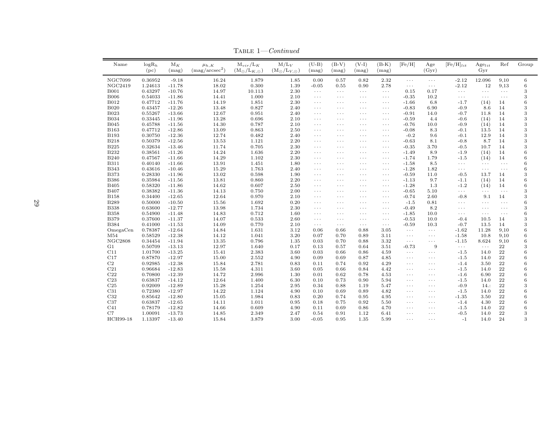| Name                       | $log R_h$<br>(pc)  | $M_K$<br>(mag)       | $\mu_{h,K}$<br>$({\rm mag/arcsec}^2)$ | $M_{vir}/L_K$<br>$(M_{\odot}/L_{K,\odot})$ | $M/L_V$<br>$(M_{\odot}/L_{V,\odot})$ | $(U-B)$<br>(mag)        | $(B-V)$<br>(mag) | $(V-I)$<br>(mag)     | $(B-K)$<br>(mag)     | [Fe/H]               | Age<br>(Gyr)  | $[Fe/H]_{lit}$   | $Age_{lit}$<br>Gyr | Ref        | Group   |
|----------------------------|--------------------|----------------------|---------------------------------------|--------------------------------------------|--------------------------------------|-------------------------|------------------|----------------------|----------------------|----------------------|---------------|------------------|--------------------|------------|---------|
| <b>NGC7099</b>             | 0.36952            | $-9.18$              | 16.24                                 | 1.879                                      | 1.85                                 | 0.00                    | 0.57             | 0.82                 | 2.32                 | $\cdots$             | $\cdots$      | $-2.12$          | 12.096             | 9.10       | 6       |
| NGC2419                    | 1.24613            | $-11.78$             | 18.02                                 | 0.300                                      | 1.39                                 | $-0.05$                 | 0.55             | 0.90                 | 2.78                 | $\cdots$             | $\ldots$      | $-2.12$          | 12                 | 9,13       | 6       |
| <b>B001</b>                | 0.43297            | $-10.76$             | 14.97                                 | 10.113                                     | 2.30                                 | $\cdots$                | $\cdots$         | $\cdots$             | $\cdots$             | 0.15                 | 0.17          | $\ldots$ .       | $\cdots$           | $\cdots$   | 3       |
| <b>B006</b>                | 0.54033            | $-11.86$             | 14.41                                 | 1.000                                      | 2.10                                 | $\cdots$                | $\cdots$         | $\cdots$             | $\cdots$             | $-0.35$              | 10.2          | $\cdots$         | $\cdots$           | $\ldots$   | 3       |
| <b>B012</b>                | 0.47712            | $-11.76$             | 14.19                                 | 1.851                                      | 2.30                                 | $\ldots$                | .                | $\cdots$             | $\cdots$             | $-1.66$              | 6.8           | $-1.7$           | (14)               | 14         | 6       |
| <b>B020</b>                | 0.43457            | $-12.26$             | 13.48                                 | 0.827                                      | 2.40                                 | $\ldots$                | .                | $\cdots$             | $\cdots$             | $-0.83$              | 6.90          | $-0.9$           | 8.6                | 14         | 3       |
| <b>B023</b>                | 0.55267            | $-13.66$             | 12.67                                 | 0.951                                      | 2.40                                 | .                       | .                | .                    | .                    | $-0.91$              | 14.0          | $-0.7$           | 11.8               | 14         | $\,3$   |
| <b>B034</b>                | 0.33445            | $-11.96$             | 13.28                                 | 0.696                                      | 2.10                                 | $\cdots$                | $\cdots$         | $\cdots$             | $\cdots$             | $-0.59$              | 4.4           | $-0.6$           | (14)               | 14         | 3       |
| <b>B045</b>                | 0.45788            | $-11.56$             | 14.30                                 | 0.787                                      | 2.10                                 | $\cdots$                | .                | .                    | .                    | $-0.76$              | 10.0          | $-0.9$           | (14)               | 14         | $\,3$   |
| <b>B163</b>                | 0.47712            | $-12.86$             | 13.09                                 | 0.863                                      | 2.50                                 | $\ldots$                | .                | $\cdots$             | $\cdots$             | $-0.08$              | 8.3           | $-0.1$           | 13.5               | 14         | 3       |
| <b>B193</b>                | 0.30750            | $-12.36$             | 12.74                                 | 0.482                                      | 2.40                                 | $\cdots$                | $\cdots$         | $\cdots$             | $\cdots$             | $-0.2$               | 9.6           | $-0.1$           | 12.9               | 14         | 3       |
| <b>B218</b>                | 0.50379            | $-12.56$             | 13.53                                 | 1.121                                      | 2.20                                 | $\cdots$                | $\cdots$         | $\cdots$             | $\cdots$             | $-0.63$              | 8.1           | $-0.8$           | 8.7                | 14         | 3<br>3  |
| <b>B225</b><br><b>B232</b> | 0.32634<br>0.38561 | $-13.46$<br>$-11.26$ | 11.74<br>14.24                        | 0.705<br>1.636                             | 2.30<br>2.20                         | $\cdots$<br>$\cdots$    | .<br>.           | $\cdots$<br>$\cdots$ | $\cdots$             | $-0.35$              | 3.70<br>8.9   | $-0.5$<br>$-1.9$ | 10.7<br>(14)       | 14<br>14   | 6       |
| <b>B240</b>                | 0.47567            | $-11.66$             | 14.29                                 | 1.102                                      | 2.30                                 | $\ldots$                | .                | $\cdots$             | $\cdots$<br>$\cdots$ | $-1.49$<br>$-1.74$   | 1.79          | $-1.5$           | (14)               | 14         | 6       |
| <b>B311</b>                | 0.40140            | $-11.66$             | 13.91                                 | 1.451                                      | 1.80                                 | $\cdots$                | .                | $\cdots$             | $\cdots$             | $-1.58$              | 8.5           | $\cdots$         | $\cdots$           | $\cdots$   | $\,6\,$ |
| <b>B343</b>                | 0.43616            | $-10.46$             | 15.29                                 | 1.763                                      | 2.40                                 | $\ldots$                | .                | $\cdots$             | $\cdots$             | $-1.28$              | 1.82          | $\cdots$         | $\cdots$           | $\cdots$   | 6       |
| <b>B373</b>                | 0.28330            | $-11.96$             | 13.02                                 | 0.598                                      | 1.90                                 | $\cdot$ $\cdot$ $\cdot$ | .                | $\cdots$             | $\cdots$             | $-0.59$              | 11.0          | $-0.5$           | 13.7               | 14         | 3       |
| <b>B386</b>                | 0.35984            | $-11.56$             | 13.81                                 | 0.860                                      | 2.20                                 | $\cdots$                | .                | $\cdots$             | $\cdots$             | $-1.13$              | 9.7           | $-1.1$           | (14)               | 14         | 6       |
| <b>B405</b>                | 0.58320            | $-11.86$             | 14.62                                 | 0.607                                      | 2.50                                 | $\cdots$                | .                | .                    | .                    | $-1.28$              | 1.3           | $-1.2$           | (14)               | 14         | $\,6\,$ |
| <b>B407</b>                | 0.38382            | $-11.36$             | 14.13                                 | 0.750                                      | 2.00                                 | $\cdots$                | .                | .                    | $\cdots$             | $-0.65$              | 5.10          | $\cdots$         | $\ldots$           | $\cdots$   | 3       |
| <b>B158</b>                | 0.34400            | $-12.65$             | 12.64                                 | 0.970                                      | 2.10                                 | $\cdots$                | .                | $\cdots$             | $\cdots$             | $-0.74$              | 2.60          | $-0.8$           | 9.1                | 14         | 3       |
| <b>B289</b>                | 0.50000            | $-10.50$             | 15.56                                 | 1.692                                      | 0.20                                 | $\cdots$                | .                | $\cdots$             | $\cdots$             | $-1.5$               | 0.81          | $\cdots$         | $\cdots$           | $\cdots$   | 6       |
| <b>B338</b>                | 0.63600            | $-12.77$             | 13.98                                 | 1.734                                      | 2.30                                 | $\cdots$                | .                | $\cdots$             | $\cdots$             | $-0.49$              | 8.2           | $\cdots$         | .                  | $\cdots$   | 3       |
| <b>B358</b>                | 0.54900            | $-11.48$             | 14.83                                 | 0.712                                      | 1.60                                 | $\cdots$                | $\cdots$         | $\cdots$             | $\cdots$             | $-1.85$              | 10.0          | $\cdots$         | $\cdots$           | $\cdots$   | 6       |
| <b>B379</b>                | 0.37600            | $-11.37$             | 14.07                                 | 0.533                                      | 2.60                                 | $\ldots$                | .                | $\cdots$             | $\cdots$             | $-0.53$              | 10.0          | $-0.4$           | 10.5               | 14         | 3       |
| <b>B384</b>                | 0.41000            | $-11.53$             | 14.09                                 | 0.770                                      | 2.10                                 | $\cdots$                | $\cdots$         | $\cdots$             | $\cdots$             | $-0.59$              | 10.3          | $-0.7$           | 13.5               | 14         | 3       |
| OmegaCen                   | 0.78387            | $-12.64$             | 14.84                                 | 1.631                                      | 3.12                                 | 0.06                    | 0.66             | 0.88                 | 3.05                 | $\ldots$             | $\ldots$      | $-1.62$          | 11.28              | 9,10       | 6       |
| M54                        | 0.58529            | $-12.38$             | 14.12                                 | 1.041                                      | 3.20                                 | 0.07                    | 0.70             | 0.89                 | 3.11                 | $\cdots$             | $\cdots$      | $-1.58$          | 10.8               | 9,10       | 6       |
| <b>NGC2808</b>             | 0.34454            | $-11.94$             | 13.35                                 | 0.796                                      | 1.35                                 | 0.03                    | 0.70             | 0.88                 | 3.32                 | $\cdots$             | $\cdots$      | $-1.15$          | 8.624              | 9,10       | 6       |
| G1                         | 0.50709            | $-13.13$             | 12.97                                 | 1.640                                      | 0.17                                 | 0.13                    | 0.57             | 0.64                 | 3.51                 | $-0.73$              | 9             | $\ldots$         | $\ldots$           | 22         | 3       |
| C11                        | 1.01700            | $-13.25$             | 15.41                                 | 2.383                                      | 3.60                                 | 0.03                    | 0.66             | 0.86                 | 4.59                 | $\ldots$             | $\cdots$      | $-1.5$           | 14.0               | $22\,$     | 6       |
| C17                        | 0.87870            | $-12.97$             | 15.00                                 | 2.552                                      | 4.90                                 | 0.09                    | 0.69             | 0.87                 | 4.85                 | $\cdots$             | $\cdots$      | $-1.5$           | 14.0               | 22         | 6       |
| $\rm C2$                   | 0.92985            | $-12.38$             | 15.84                                 | 2.781                                      | 0.83                                 | 0.11                    | 0.74             | 0.92                 | 4.29                 | $\cdots$             | $\cdots$      | $-1.4$           | 3.50               | 22         | 6       |
| C21                        | 0.96684            | $-12.83$             | 15.58                                 | 4.311                                      | 3.60                                 | 0.05                    | 0.66             | 0.84                 | 4.42                 | $\cdots$             | $\cdots$      | $-1.5$           | 14.0               | 22         | 6       |
| C22                        | 0.70800            | $-12.39$             | 14.72                                 | 2.996                                      | 1.30                                 | 0.01                    | 0.62             | 0.78                 | 4.53                 | $\cdots$             | $\cdots$      | $-1.6$           | 6.90               | 22<br>22   | 6<br>6  |
| C23<br>C <sub>25</sub>     | 0.63837            | $-14.12$             | 12.64                                 | 1.400                                      | 6.30                                 | 0.10                    | 0.73             | 0.90                 | 5.94                 | $\cdots$             | $\ldots$      | $-1.5$           | 14.0               | 22         | 3       |
| C31                        | 0.92009<br>0.72380 | $-12.89$<br>$-12.97$ | 15.28<br>14.22                        | 1.254<br>1.124                             | 2.95<br>4.90                         | 0.34<br>0.10            | 0.88<br>0.69     | 1.19<br>0.89         | 5.47<br>4.82         | $\cdots$<br>$\cdots$ | .<br>$\cdots$ | $-0.9$<br>$-1.5$ | $14.$ :<br>14.0    | 22         | 6       |
| C32                        | 0.85642            | $-12.80$             | 15.05                                 | 1.984                                      | 0.83                                 | 0.20                    | 0.74             | 0.95                 | 4.95                 | $\cdots$             | $\cdots$      | $-1.35$          | 3.50               | 22         | $\,6\,$ |
| C37                        | 0.63837            | $-12.65$             | 14.11                                 | 1.011                                      | 0.95                                 | 0.18                    | 0.75             | 0.92                 | 5.50                 | $\cdots$             | $\cdots$      | $-1.4$           | 4.30               | 22         | 6       |
| C41                        | 0.78179            | $-12.82$             | 14.66                                 | 0.609                                      | 4.90                                 | 0.11                    | 0.69             | 0.86                 | 4.70                 | $\cdots$             | $\cdots$      | $-1.5$           | 14.0               | 22         | 6       |
| C7                         | 1.00091            | $-13.73$             | 14.85                                 | 2.349                                      | 2.47                                 | 0.54                    | 0.91             | 1.12                 | 6.41                 | $\cdots$             | $\cdots$      | $-0.5$           | 14.0               | ${\bf 22}$ | 3       |
| <b>HCH99-18</b>            | 1.13397            | $-13.40$             | 15.84                                 | 3.879                                      | 3.00                                 | $-0.05$                 | 0.95             | 1.35                 | 5.99                 | $\cdots$             | .             | $-1$             | 14.0               | 24         | 3       |
|                            |                    |                      |                                       |                                            |                                      |                         |                  |                      |                      |                      |               |                  |                    |            |         |

TABLE  $1$ —Continued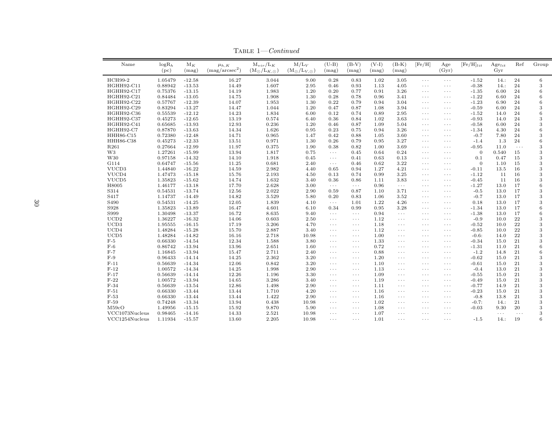| Name              | $log R_h$ | $M_K$    | $\mu_{h,K}$                | $M_{vir}/L_K$             | $M/L_V$                   | $(U-B)$              | $(B-V)$              | $(V-I)$ | $(B-K)$              | [Fe/H]               | Age                  | $[Fe/H]_{lit}$ | $Age_{lit}$ | Ref                  | Group   |
|-------------------|-----------|----------|----------------------------|---------------------------|---------------------------|----------------------|----------------------|---------|----------------------|----------------------|----------------------|----------------|-------------|----------------------|---------|
|                   | (pc)      | (mag)    | (mag/arcsec <sup>2</sup> ) | $(M_{\odot}/L_{K,\odot})$ | $(M_{\odot}/L_{V,\odot})$ | (mag)                | (mag)                | (mag)   | (mag)                |                      | (Gyr)                |                | Gyr         |                      |         |
| HCH99-2           | 1.05479   | $-12.58$ | 16.27                      | 3.044                     | 9.00                      | 0.28                 | 0.83                 | 1.02    | 3.05                 | $\ldots$             | $\cdots$             | $-1.52$        | $14.$ :     | 24                   | 6       |
| $HGHH92-C11$      | 0.88942   | $-13.53$ | 14.49                      | 1.607                     | 2.95                      | 0.46                 | 0.93                 | 1.13    | 4.05                 | $\cdots$             | $\cdots$             | $-0.38$        | $14.$ :     | 24                   | $\,3$   |
| HGHH92-C17        | 0.75376   | $-13.15$ | 14.19                      | 1.983                     | 1.20                      | 0.20                 | 0.77                 | 0.91    | 3.26                 | $\ldots$             | $\cdots$             | $-1.35$        | 6.00        | 24                   | 6       |
| $HGHH92-C21$      | 0.84484   | $-13.05$ | 14.75                      | 1.908                     | 1.30                      | 0.28                 | 0.78                 | 0.96    | 3.41                 | $\cdots$             | $\cdots$             | $-1.22$        | 6.60        | 24                   | 6       |
| HGHH92-C22        | 0.57767   | $-12.39$ | 14.07                      | 1.953                     | 1.30                      | 0.22                 | 0.79                 | 0.94    | 3.04                 | $\cdots$             | $\cdots$             | $-1.23$        | 6.90        | 24                   | 6       |
| HGHH92-C29        | 0.83294   | $-13.27$ | 14.47                      | 1.044                     | 1.20                      | 0.47                 | 0.87                 | 1.08    | 3.94                 | $\cdots$             | $\cdots$             | $-0.59$        | 6.00        | 24                   | 3       |
| HGHH92-C36        | 0.55539   | $-12.12$ | 14.23                      | 1.834                     | 6.00                      | 0.12                 | 0.74                 | 0.89    | 2.95                 | $\ldots$ .           | $\ldots$ .           | $-1.52$        | 14.0        | 24                   | 6       |
| HGHH92-C37        | 0.45273   | $-12.65$ | 13.19                      | 0.574                     | 6.40                      | 0.36                 | 0.84                 | 1.02    | 3.63                 | $\ldots$             | $\cdots$             | $-0.93$        | 14.0        | 24                   | 3       |
| HGHH92-C41        | 0.65685   | $-13.93$ | 12.93                      | 0.236                     | 1.20                      | 0.46                 | 0.87                 | 1.09    | 5.04                 | $\cdots$             | $\cdots$             | $-0.58$        | 6.00        | 24                   | 3       |
| HGHH92-C7         | 0.87870   | $-13.63$ | 14.34                      | 1.626                     | 0.95                      | 0.23                 | 0.75                 | 0.94    | 3.26                 | $\cdots$             | $\cdots$             | $-1.34$        | 4.30        | 24                   | 6       |
| HHH86-C15         | 0.72380   | $-12.48$ | 14.71                      | 0.965                     | 1.47                      | 0.42                 | 0.88                 | 1.05    | 3.60                 | $\ldots$             | $\ldots$ .           | $-0.7$         | 7.80        | 24                   | 3       |
| HHH86-C38         | 0.45273   | $-12.33$ | 13.51                      | 0.971                     | 1.30                      | 0.26                 | 0.79                 | 0.95    | 3.27                 | $\cdots$             | $\cdots$             | $-1.4$         | 1.3         | 24                   | 6       |
| R <sub>261</sub>  | 0.27664   | $-12.99$ | 11.97                      | 0.375                     | 1.90                      | 0.38                 | 0.82                 | 1.00    | 3.69                 | $\ldots$             | $\cdots$             | $-0.95$        | 11.0        | $\sim$ $\sim$ $\sim$ | 3       |
| W <sub>3</sub>    | 1.27261   | $-15.99$ | 13.94                      | 1.817                     | 0.75                      | $\cdots$             | 0.45                 | 0.64    | 0.24                 | $\sim$ $\sim$ $\sim$ | $\sim$ $\sim$ $\sim$ | $\overline{0}$ | 0.540       | 15                   | 3       |
| W30               | 0.97158   | $-14.32$ | 14.10                      | 1.918                     | 0.45                      | $\ldots$             | 0.41                 | 0.63    | 0.13                 | $\ldots$             | $\sim$ $\sim$ $\sim$ | 0.1            | 0.47        | 15                   | 3       |
| G114              | 0.64747   | $-15.56$ | 11.25                      | 0.681                     | 2.40                      | $\ldots$             | 0.46                 | 0.62    | 3.22                 | $\cdots$             | $\cdots$             | $\overline{0}$ | 1.10        | 15                   | $\,3$   |
| VUCD3             | 1.44840   | $-16.22$ | 14.59                      | 2.982                     | 4.40                      | 0.65                 | 0.94                 | 1.27    | 4.21                 | $\cdots$             | $\cdots$             | $-0.11$        | 13.5        | 16                   | 3       |
| VUCD4             | 1.47473   | $-15.18$ | 15.76                      | 2.193                     | 4.50                      | 0.13                 | 0.74                 | 0.99    | 3.25                 | $\sim$ $\sim$ $\sim$ | $\cdots$             | $-1.12$        | 11          | 16                   | 3       |
| VUCD <sub>5</sub> | 1.35823   | $-15.62$ | 14.74                      | 1.632                     | 3.40                      | 0.36                 | 0.86                 | 1.11    | 3.83                 | $\sim$ $\sim$ $\sim$ | $\cdots$             | $-0.45$        | 11          | 16                   | 3       |
| H8005             | 1.46177   | $-13.18$ | 17.70                      | 2.628                     | 3.00                      | $\sim$ $\sim$ $\sim$ | $\sim$ $\sim$ $\sim$ | 0.96    | $\sim$ $\sim$ $\sim$ | $\sim$ $\sim$ $\sim$ | $\cdots$             | $-1.27$        | 13.0        | 17                   | 6       |
|                   |           |          |                            |                           |                           |                      |                      |         | 3.71                 |                      |                      |                |             | 17                   | 3       |
| S314              | 0.54531   | $-13.74$ | 12.56                      | 2.022                     | 2.90                      | 0.59                 | 0.87                 | 1.10    |                      | $\cdots$             | $\cdots$             | $-0.5$         | 13.0        |                      |         |
| S417              | 1.14737   | $-14.49$ | 14.82                      | 3.529                     | 5.80                      | 0.20                 | 0.83                 | 1.06    | 3.52                 | $\ldots$             | $\ldots$ .           | $-0.7$         | 13.0        | 17                   | 3       |
| S <sub>490</sub>  | 0.54531   | $-14.25$ | 12.05                      | 1.839                     | 4.10                      | $\sim$ $\sim$ $\sim$ | 1.01                 | 1.22    | 4.26                 | $\cdots$             | $\cdots$             | 0.18           | 13.0        | 17                   | 3       |
| S928              | 1.35823   | $-13.89$ | 16.47                      | 4.601                     | 6.10                      | 0.34                 | 0.99                 | 0.95    | 3.28                 | $\cdots$             | $\cdots$             | $-1.34$        | 13.0        | 17                   | $\,6\,$ |
| S999              | 1.30498   | $-13.37$ | 16.72                      | 8.635                     | 9.40                      | $\cdots$             | $\ldots$ .           | 0.94    | $\sim$ $\sim$ $\sim$ | $\cdots$             | $\cdots$             | $-1.38$        | 13.0        | 17                   | 6       |
| UCD2              | 1.36227   | $-16.32$ | 14.06                      | 0.603                     | 2.50                      | $\ldots$             | $\cdots$             | 1.12    | $\ldots$ .           | $\sim$ $\sim$ $\sim$ | $\ldots$ .           | $-0.9$         | 10.0        | 22                   | 3       |
| UCD <sub>3</sub>  | 1.95555   | $-16.15$ | 17.19                      | 3.206                     | 4.70                      | $\cdots$             | $\cdots$             | 1.18    | $\sim$ $\sim$ $\sim$ | $\cdots$             | $\cdots$             | $-0.52$        | 10.0        | ${\bf 22}$           | 3       |
| UCD4              | 1.48284   | $-15.28$ | 15.70                      | 2.887                     | 3.40                      | $\cdots$             | $\sim$ $\sim$ $\sim$ | 1.12    | $\cdots$             | $\sim$ $\sim$ $\sim$ | $\ldots$ .           | $-0.85$        | 10.0        | 22                   | 3       |
| UCD5              | 1.48284   | $-14.82$ | 16.16                      | 2.718                     | 10.98                     | $\cdots$             | $\cdots$             | 1.00    | $\sim$ $\sim$ $\sim$ | $\cdots$             | $\cdots$             | $-0.6$         | 14.0        | 22                   | 3       |
| $F-5$             | 0.66330   | $-14.54$ | 12.34                      | 1.588                     | 3.80                      | $\cdots$             | $\cdots$             | 1.33    | $\cdots$             | $\ldots$             | $\ldots$ .           | $-0.34$        | 15.0        | 21                   | 3       |
| $F-6$             | 0.86742   | $-13.94$ | 13.96                      | 2.651                     | 1.60                      | $\cdots$             | $\cdots$             | 0.72    | $\sim$ $\sim$ $\sim$ | $\cdots$             | $\cdots$             | $-1.31$        | 11.0        | 21                   | 6       |
| $F-7$             | 1.16845   | $-13.94$ | 15.47                      | 2.711                     | 2.40                      | $\cdots$             | $\sim$ $\sim$ $\sim$ | 0.88    | $\cdots$             | $\sim$ $\sim$ $\sim$ | $\cdots$             | $-1.2$         | 14.8        | 21                   | 6       |
| $F-9$             | 0.96433   | $-14.14$ | 14.25                      | 2.362                     | 3.20                      | $\cdots$             | $\cdots$             | 1.20    | $\cdots$             | $\sim$ $\sim$ $\sim$ | $\cdots$             | $-0.62$        | 15.0        | 21                   | $\,3$   |
| $F-11$            | 0.56639   | $-14.34$ | 12.06                      | 0.842                     | 3.20                      | $\cdots$             | $\ldots$             | 1.10    | $\cdots$             | $\sim$ $\sim$ $\sim$ | $\cdots$             | $-0.61$        | 15.0        | 21                   | 3       |
| $F-12$            | 1.00572   | $-14.34$ | 14.25                      | 1.998                     | 2.90                      | $\cdots$             | $\cdots$             | 1.13    | $\cdots$             | $\cdots$             | $\cdots$             | $-0.4$         | 13.0        | 21                   | 3       |
| $F-17$            | 0.56639   | $-14.14$ | 12.26                      | 1.196                     | 3.30                      | $\cdots$             | $\cdots$             | 1.09    | $\cdots$             | $\sim$ $\sim$ $\sim$ | $\cdots$             | $-0.55$        | 15.0        | 21                   | 3       |
| $F-22$            | 1.00572   | $-13.94$ | 14.65                      | 3.286                     | 3.40                      | $\ldots$             | $\cdots$             | 1.19    | $\cdots$             | $\sim$ $\sim$ $\sim$ | $\ldots$ .           | $-0.49$        | 15.0        | 21                   | 3       |
| $F-34$            | 0.56639   | $-13.54$ | 12.86                      | 1.498                     | 2.90                      | $\cdots$             | $\cdots$             | 1.11    | $\cdots$             | $\sim$ $\sim$ $\sim$ | $\cdots$             | $-0.77$        | 14.9        | 21                   | 3       |
| $F-51$            | 0.66330   | $-13.44$ | 13.44                      | 1.710                     | 4.20                      | $\cdots$             | $\cdots$             | 1.16    | $\cdots$             | $\cdots$             | $\sim$ $\sim$ $\sim$ | $-0.23$        | 15.0        | 21                   | 3       |
| $F-53$            | 0.66330   | $-13.44$ | 13.44                      | 1.422                     | 2.90                      | $\cdots$             | $\cdots$             | 1.16    | $\ldots$ .           | $\sim$ $\sim$ $\sim$ | $\cdots$             | $-0.8$         | 13.8        | 21                   | 3       |
| $F-59$            | 0.74248   | $-13.34$ | 13.94                      | 0.438                     | 10.98                     | $\cdots$             | $\cdots$             | 1.02    | $\cdots$             | $\sim$ $\sim$ $\sim$ | $\ldots$ .           | $-0.7$ :       | $14.$ :     | 21                   | 3       |
| M59cO             | 1.49956   | $-15.15$ | 15.92                      | 9.870                     | 5.90                      | $\cdots$             | $\cdots$             | 1.08    | $\cdots$             | $\cdots$             | $\cdots$             | $-0.03$        | 9.30        | 20                   | 3       |
| VCC1073Nucleus    | 0.98465   | $-14.16$ | 14.33                      | 2.521                     | 10.98                     | $\cdots$             | $\cdots$             | 1.07    | $\sim$ $\sim$ $\sim$ | $\cdots$             | $\cdots$             |                | $\ldots$    | $\cdots$             | 3       |
| VCC1254Nucleus    | 1.11934   | $-15.57$ | 13.60                      | 2.205                     | 10.98                     | $\cdots$             | $\sim$ $\sim$ $\sim$ | 1.01    | $\cdots$             | $\cdots$             | $\cdots$             | $-1.5$         | $14.$ :     | 19                   | 6       |
|                   |           |          |                            |                           |                           |                      |                      |         |                      |                      |                      |                |             |                      |         |

TABLE  $1$ —Continued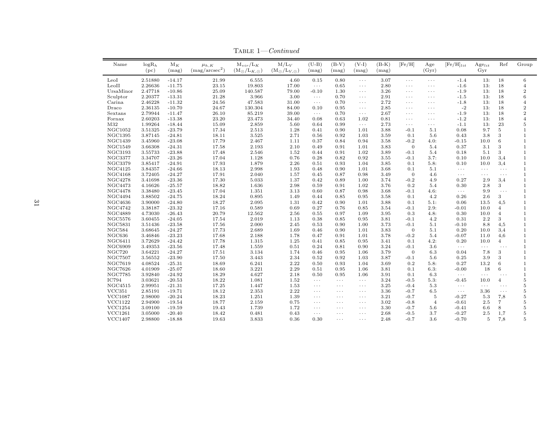| Name                             | $log R_h$          | $\mathcal{M}_K$      | $\mu_{h,K}$            | $M_{vir}/L_K$             | $M/L_V$                   | $(U-B)$              | $(B-V)$      | $(V-I)$      | $(B-K)$      | [Fe/H]               | Age            | $[Fe/H]_{lit}$  | $Age_{lit}$<br>Gyr | Ref                              | Group             |
|----------------------------------|--------------------|----------------------|------------------------|---------------------------|---------------------------|----------------------|--------------|--------------|--------------|----------------------|----------------|-----------------|--------------------|----------------------------------|-------------------|
|                                  | (pc)               | (mag)                | $({\rm mag/arcsec}^2)$ | $(M_{\odot}/L_{K,\odot})$ | $(M_{\odot}/L_{V,\odot})$ | (mag)                | (mag)        | (mag)        | (mag)        |                      | (Gyr)          |                 |                    |                                  |                   |
| LeoI                             | 2.51880            | $-14.17$             | 21.99                  | 6.555                     | 4.60                      | 0.15                 | 0.80         | $\cdots$     | 3.07         | $\ldots$             | $\cdots$       | $-1.4$          | 13:                | 18                               | 6                 |
| LeoII                            | 2.26636            | $-11.75$             | 23.15                  | 19.803                    | 17.00                     | $\sim$ $\sim$ $\sim$ | 0.65         | $\cdots$     | 2.80         | $\ldots$             | $\cdots$       | $-1.6$          | 13:                | 18                               | $\overline{4}$    |
| UrsaMinor                        | 2.47718            | $-10.86$             | 25.09                  | 140.587                   | 79.00                     | $-0.10$              | 1.30         | .            | 3.26         | $\cdots$             | .              | $-1.9$          | 13:                | 18                               | $\boldsymbol{2}$  |
| Sculptor                         | 2.20377            | $-13.31$             | 21.28                  | 3.966                     | 3.00                      | $\ldots$             | 0.70         | $\cdots$     | 2.91         | $\sim$ $\sim$ $\sim$ | $\cdots$       | $-1.5$          | 13:                | 18                               | 6                 |
| Carina                           | 2.46228            | $-11.32$             | 24.56                  | 47.583                    | 31.00                     | $\cdots$             | 0.70         | $\cdots$     | 2.72         | $\cdots$             | .              | $-1.8$          | 13:                | 18                               | $\overline{4}$    |
| Draco                            | 2.36135            | $-10.70$             | 24.67                  | 130.304                   | 84.00                     | 0.10                 | 0.95         | $\cdots$     | 2.85         | $\cdots$             | $\cdots$       | $-2$            | 13:                | 18                               | $\overline{2}$    |
| Sextans                          | 2.79944            | $-11.47$             | 26.10                  | 85.219                    | 39.00                     | $\sim$ $\sim$ $\sim$ | 0.70         | $\cdots$     | 2.67         | .                    | .              | $-1.9$          | 13:                | 18                               | $\overline{2}$    |
| Fornax                           | 2.60203            | $-13.38$             | 23.20                  | 23.473                    | 34.40                     | 0.08                 | 0.63         | 1.02         | 0.81         | $\cdots$             | $\cdots$       | $-1.2$          | 13:                | 18                               | $\overline{4}$    |
| M32                              | 1.99264            | $-18.44$             | 15.09                  | 2.859                     | 5.60                      | 0.64                 | 0.99         | $\ldots$ .   | 2.73         | $\cdots$             | .              | $-1.1$          | 13:                | 23                               | $\overline{5}$    |
| NGC1052                          | 3.51325            | $-23.79$             | 17.34                  | 2.513                     | 1.28                      | 0.41                 | 0.90         | 1.01         | 3.88         | $-0.1$               | 5.1            | 0.08            | 9.7                | 5                                | $\mathbf{1}$      |
| <b>NGC1395</b>                   | 3.87145            | $-24.81$             | 18.11                  | 3.525                     | 2.71                      | 0.56                 | 0.92         | 1.03         | 3.59         | 0.1                  | 5.6            | 0.43            | 3.8                | 3                                | $\mathbf{1}$      |
| <b>NGC1439</b>                   | 3.45960            | $-23.08$             | 17.79                  | 2.467                     | 1.11                      | 0.37                 | 0.84         | 0.94         | 3.58         | $-0.2$               | 4.0:           | $-0.15$         | 10.0               | $\,6$                            | 1                 |
| <b>NGC1549</b>                   | 3.66308            | $-24.31$             | 17.58                  | 2.193                     | 2.10                      | 0.49                 | 0.91         | 1.01         | 3.83         | $\theta$             | 5.4            | 0.37            | 3.1                | 3                                | 1                 |
| <b>NGC3193</b>                   | 3.55733            | $-23.88$             | 17.48                  | 2.546                     | 1.52                      | 0.44                 | 0.91         | 1.02         | 3.89         | $-0.1$               | 5.4            | 0.18            | 5.1                | 3                                | $\mathbf{1}$      |
| <b>NGC3377</b>                   | 3.34707            | $-23.26$             | 17.04                  | 1.128                     | 0.76                      | 0.28                 | 0.82         | 0.92         | 3.55         | $-0.1$               | 3.7:           | 0.10            | 10.0               | 3,4                              | 1                 |
| <b>NGC3379</b>                   | 3.85417            | $-24.91$             | 17.93                  | 1.879                     | 2.26                      | 0.51                 | 0.93         | 1.04         | 3.85         | 0.1                  | 5.8:           | 0.10            | 10.0               | 3,4                              | $\mathbf{1}$      |
| NGC4125                          | 3.84357            | $-24.66$             | 18.13                  | 2.998                     | 1.93                      | 0.48                 | 0.90         | 1.01         | 3.68         | 0.1                  | 5.1            | $\cdots$        | $\cdots$           | $\cdots$                         | 1                 |
| <b>NGC4168</b>                   | 3.72405            | $-24.27$             | 17.91                  | 2.040                     | 1.57                      | 0.45                 | 0.87         | 0.98         | 3.49         | $\mathbf{0}$         | 4.6            | $\cdots$        | $\cdots$           | $\ldots$ .                       | $\mathbf{1}$      |
| <b>NGC4278</b>                   | 3.41698            | $-23.36$             | 17.30                  | 5.033                     | 1.37                      | 0.42                 | 0.89         | 1.00         | 3.74         | $-0.2$               | 4.9            | 0.27            | 2.9                | 3,4                              | $\mathbf{1}$      |
| <b>NGC4473</b>                   | 4.16626            | $-25.57$             | 18.82                  | 1.636                     | 2.98                      | 0.59                 | 0.91         | 1.02         | 3.76         | 0.2                  | 5.4            | 0.30            | 2.8                | 3                                | $\mathbf{1}$      |
| <b>NGC4478</b>                   | 3.38480            | $-23.45$             | 17.04                  | 1.351                     | 3.13                      | 0.60                 | 0.87         | 0.98         | 3.68         | $-0.1$               | 4.6:           | $\cdots$        | 9.9                | $\ldots$                         | 1                 |
| <b>NGC4494</b>                   | 3.88502            | $-24.75$             | 18.24                  | 0.895                     | 1.49                      | 0.44                 | 0.85         | 0.95         | 3.58         | 0.1                  | 4.2            | 0.26            | 2.6                | 3                                | $\mathbf{1}$      |
| NGC4636                          | 3.90000            | $-24.80$             | 18.27                  | 2.095                     | 1.31                      | 0.42                 | 0.90         | 1.01         | 3.88         | 0.1                  | 5.1:           | 0.06            | 13.5               | 4,5                              | 1<br>1            |
| <b>NGC4742</b>                   | 3.38187            | $-23.32$             | 17.16                  | 0.589                     | 0.69                      | 0.27                 | 0.76         | 0.85         | 3.54         | $-0.1$               | 2.9:           | $-0.01$         | 10.0               | $\overline{4}$<br>$\overline{4}$ |                   |
| <b>NGC4889</b>                   | 4.73030            | $-26.43$             | 20.79                  | 12.562<br>2.019           | 2.56                      | 0.55                 | 0.97         | 1.09         | 3.95         | 0.3                  | 4.8:           | 0.30            | 10.0<br>2.2        | 3                                | $\mathbf{1}$<br>1 |
| <b>NGC5576</b><br><b>NGC5831</b> | 3.60455<br>3.51436 | $-24.05$<br>$-23.58$ | 17.54<br>17.56         | 2.000                     | 1.13<br>2.45              | 0.38<br>0.53         | 0.85<br>0.90 | 0.95<br>1.00 | 3.81<br>3.73 | $-0.1$<br>$-0.1$     | 4.2<br>5.1     | 0.31<br>$-0.10$ | 8.8                | 4,5                              | $\mathbf{1}$      |
| <b>NGC584</b>                    | 3.68645            | $-24.27$             | 17.73                  | 2.689                     | 1.69                      | 0.46                 | 0.90         | 1.01         | 3.83         | $\mathbf{0}$         | 5.1            | 0.20            | 10.0               | 3,4                              | $\mathbf{1}$      |
| NGC636                           | 3.46846            | $-23.23$             | 17.68                  | 2.188                     | 1.78                      | 0.47                 | 0.91         | 1.01         | 3.78         | $-0.2$               | 5.4            | $-0.07$         | 11.0               | 4,6                              | 1                 |
| NGC6411                          | 3.72629            | $-24.42$             | 17.78                  | 1.315                     | 1.25                      | 0.41                 | 0.85         | 0.95         | 3.41         | 0.1                  | 4.2:           | 0.20            | 10.0               | $\overline{4}$                   | 1                 |
| <b>NGC6909</b>                   | 3.49353            | $-23.56$             | 17.48                  | 1.559                     | 0.51                      | 0.24                 | 0.81         | 0.90         | 3.24         | $-0.1$               | 3.6            | $\ldots$ .      | $\cdots$           | $\cdots$                         | 1                 |
| NGC720                           | 3.64221            | $-24.27$             | 17.51                  | 3.134                     | 1.74                      | 0.46                 | 0.95         | 1.06         | 3.79         | $\theta$             | 6.3            | 0.04            | 7.8                | 3                                | $\mathbf{1}$      |
| NGC7507                          | 3.56552            | $-23.90$             | 17.50                  | 3.443                     | 2.34                      | 0.52                 | 0.92         | 1.03         | 3.87         | $-0.1$               | 5.6            | 0.25            | 3.9                | 3                                | 1                 |
| NGC7619                          | 4.08524            | $-25.31$             | 18.69                  | 6.241                     | 2.22                      | 0.50                 | 0.93         | 1.04         | 3.69         | 0.2                  | 5.8:           | 0.27            | 13.2               | 6                                | 1                 |
| NGC7626                          | 4.01909            | $-25.07$             | 18.60                  | 3.221                     | 2.29                      | 0.51                 | 0.95         | 1.06         | 3.81         | 0.1                  | 6.3:           | $-0.00$         | 18                 | 6                                | $\mathbf{1}$      |
| <b>NGC7785</b>                   | 3.92840            | $-24.92$             | 18.29                  | 4.627                     | 2.18                      | 0.50                 | 0.95         | 1.06         | 3.91         | 0.1                  | 6.3            | $\cdots$        | $\cdots$           | $\ldots$ .                       | $\mathbf{1}$      |
| <b>IC794</b>                     | 3.03621            | $-20.53$             | 18.22                  | 1.081                     | 1.52                      | $\ldots$             | $\cdots$     | $\cdots$     | 3.24         | $-0.5$               | 5.3:           | $-0.45$         | 10.0               | $\overline{4}$                   | $\overline{5}$    |
| NGC4515                          | 2.99951            | $-21.31$             | 17.25                  | 1.447                     | 1.53                      | $\cdots$             | $\cdots$     | $\cdots$     | 3.25         | $-0.4$               | 5.3            | $\cdots$        | $\cdots$           | $\cdots$                         | $\overline{5}$    |
| VCC351                           | 2.85191            | $-19.71$             | 18.12                  | 2.353                     | 2.22                      | $\ldots$             | $\cdots$     | $\cdots$     | 3.36         | $-0.7$               | 6.5            | $\ldots$        | 3.36               | $\ldots$ .                       | 5                 |
| <b>VCC1087</b>                   | 2.98000            | $-20.24$             | 18.23                  | 1.251                     | 1.39                      | $\cdots$             | $\cdots$     | $\cdots$     | 3.21         | $-0.7$               | 5              | $-0.27$         | 5.3                | 7,8                              | $\overline{5}$    |
| VCC1122                          | 2.94900            | $-19.54$             | 18.77                  | 2.159                     | 0.75                      | $\cdots$             | $\cdots$     | $\cdots$     | 3.02         | $-0.8$               | $\overline{4}$ | $-0.61$         | 2.5                | $\overline{7}$                   | 5                 |
| VCC1254                          | 3.09100            | $-19.59$             | 19.43                  | 1.739                     | 1.72                      | $\cdots$             | $\cdots$     | .            | 3.30         | $-0.7$               | 5.6            | $-0.41$         | 6.6                | 8                                | $\overline{5}$    |
| VCC1261                          | 3.05000            | $-20.40$             | 18.42                  | 0.481                     | 0.43                      | $\cdots$             | $\cdots$     | .            | 2.68         | $-0.5$               | 3.7            | $-0.27$         | 2.5                | 1,7                              | 5                 |
| VCC1407                          | 2.98800            | $-18.88$             | 19.63                  | 3.833                     | 0.36                      | 0.30                 | $\cdots$     | .            | 2.48         | $-0.7$               | 3.6            | $-0.70$         | 5                  | 7,8                              | 5                 |

TABLE  $1$ —Continued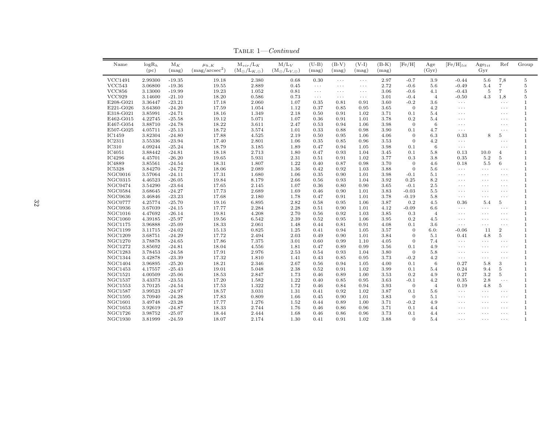| Name                             | $log R_h$<br>(pc)  | $M_K$<br>(mag)       | $\mu_{h,K}$<br>$({\rm mag/arcsec}^2)$ | $M_{vir}/L_K$<br>$(M_{\odot}/L_{K,\odot})$ | $M/L_V$<br>$(M_{\odot}/L_{V,\odot})$ | $(U-B)$<br>(mag)     | $(B-V)$<br>(mag) | $(V-I)$<br>(mag) | $(B-K)$<br>(mag) | [Fe/H]              | Age<br>(Gyr)   | $[Fe/H]_{lit}$                               | $Age_{lit}$<br>Gyr   | Ref                  | Group                        |
|----------------------------------|--------------------|----------------------|---------------------------------------|--------------------------------------------|--------------------------------------|----------------------|------------------|------------------|------------------|---------------------|----------------|----------------------------------------------|----------------------|----------------------|------------------------------|
|                                  |                    |                      |                                       |                                            |                                      |                      |                  |                  |                  |                     |                |                                              |                      |                      |                              |
| VCC1491                          | 2.99300            | $-19.35$             | 19.18                                 | 2.380                                      | 0.68                                 | 0.30                 | $\cdots$         | $\ldots$         | 2.97             | $-0.7$              | 3.9            | $-0.44$                                      | 5.6                  | 7,8                  | 5                            |
| VCC543                           | 3.06800            | $-19.36$             | 19.55                                 | 2.889                                      | 0.45                                 | $\sim$ $\sim$ $\sim$ | $\cdots$         | $\cdots$         | 2.72             | $-0.6$              | 5.6            | $-0.49$                                      | 5.4                  | 7                    | 5                            |
| VCC856                           | 3.13000            | $-19.99$             | 19.23                                 | 1.052                                      | 0.81                                 | $\cdots$             | .                | $\cdots$         | 3.06             | $-0.6$              | 4.1            | $-0.43$                                      | $\overline{5}$       | $\overline{7}$       | 5                            |
| VCC929                           | 3.14600            | $-21.10$             | 18.20                                 | 0.586                                      | 0.73                                 | $\ldots$             | $\ldots$ .       | $\ldots$         | 3.01             | $-0.4$              | $\overline{4}$ | $-0.50$                                      | 4.3                  | 1,8                  | 5                            |
| E208-G021                        | 3.36447            | $-23.21$             | 17.18                                 | 2.060                                      | 1.07                                 | 0.35                 | 0.81             | 0.91             | 3.60             | $-0.2$              | $3.6\,$        | $\ldots$ .                                   |                      | $\cdots$             | $\mathbf{1}$                 |
| E221-G026                        | 3.64360            | $-24.20$             | 17.59                                 | 1.054                                      | 1.12                                 | 0.37                 | 0.85             | 0.95             | 3.65             | $\theta$            | 4.2            | $\ldots$                                     |                      | .                    | $\mathbf{1}$                 |
| E318-G021                        | 3.85991            | $-24.71$             | 18.16                                 | 1.349                                      | 2.18                                 | 0.50                 | 0.91             | 1.02             | 3.71             | 0.1                 | 5.4            | $\cdots$                                     |                      | .                    | $\mathbf{1}$                 |
| E462-G015                        | 4.22745            | $-25.58$             | 19.12                                 | 5.071                                      | 1.07                                 | 0.36                 | 0.91             | 1.01             | 3.78             | 0.2                 | 5.4            | $\ldots$                                     |                      | $\cdots$             | $\mathbf{1}$                 |
| E467-G054                        | 3.88710            | $-24.78$             | 18.22                                 | 3.611                                      | 2.47                                 | 0.53                 | 0.94             | 1.06             | 3.98             | $\theta$            | 6              | $\cdots$                                     |                      | .                    | $\mathbf{1}$                 |
| E507-G025                        | 4.05711            | $-25.13$             | 18.72                                 | 3.574                                      | 1.01                                 | 0.33                 | 0.88             | 0.98             | 3.90             | 0.1                 | 4.7            | $\ldots$                                     |                      | .                    | $\mathbf{1}$                 |
| IC1459                           | 3.82304            | $-24.80$             | 17.88                                 | 4.525                                      | 2.19                                 | 0.50                 | 0.95             | 1.06             | 4.06             | $\theta$            | 6.3            | 0.33                                         | 8                    | 5                    | $\mathbf{1}$                 |
| IC2311                           | 3.55336            | $-23.94$             | 17.40                                 | 2.801                                      | 1.06                                 | 0.35                 | 0.85             | 0.96             | 3.53             | $\theta$            | 4.2            | $\cdots$                                     |                      | .                    | $\mathbf{1}$                 |
| <b>IC310</b>                     | 4.09244            | $-25.24$             | 18.79                                 | 3.185                                      | 1.89                                 | 0.47                 | 0.94             | 1.05             | 3.98             | 0.1                 | 6              | $\cdots$                                     |                      | .                    | $\mathbf{1}$                 |
| IC4051                           | 3.88442            | $-24.81$             | 18.18                                 | 2.713                                      | 1.80                                 | 0.47                 | 0.93             | 1.04             | 3.45             | 0.1                 | 5.8            | 0.13                                         | 10.0                 | $\overline{4}$       | $\mathbf{1}$                 |
| IC4296                           | 4.45701            | $-26.20$             | 19.65                                 | 5.931                                      | 2.31                                 | 0.51                 | 0.91             | 1.02             | 3.77             | 0.3                 | 3.8            | 0.35                                         | 5.2                  | 5                    | $\mathbf{1}$                 |
| IC4889                           | 3.85561            | $-24.54$             | 18.31                                 | 1.807                                      | 1.22                                 | 0.40                 | 0.87             | 0.98             | 3.70             | $\mathbf{0}$        | 4.6            | 0.18                                         | 5.5                  | 6                    | $\mathbf{1}$                 |
| IC5328                           | 3.84270            | $-24.72$             | 18.06                                 | 2.089                                      | 1.36                                 | 0.42                 | 0.92             | 1.03             | 3.88             | $\theta$            | 5.6            | $\cdots$                                     | $\cdots$             | $\cdots$             | $\mathbf{1}$                 |
| <b>NGC0016</b>                   | 3.57064            | $-24.11$             | 17.31                                 | 1.680                                      | 1.06                                 | 0.35                 | 0.90             | 1.01             | 3.98             | $-0.1$              | 5.1            | $\sim$ $\sim$ $\sim$                         | $\cdots$             | $\cdots$             | $\mathbf{1}$                 |
| NGC0315                          | 4.46523            | $-26.05$             | 19.84                                 | 8.179                                      | 2.66                                 | 0.56                 | 0.93             | 1.04             | 3.92             | 0.25                | 8.2            | $\cdots$                                     | $\cdots$             | .                    | $\mathbf{1}$                 |
| <b>NGC0474</b>                   | 3.54290            | $-23.64$             | 17.65                                 | 2.145                                      | 1.07                                 | 0.36                 | 0.80             | 0.90             | 3.65             | $-0.1$              | 2.5            | $\cdots$                                     | .                    | .                    | $\mathbf{1}$                 |
| NGC0584                          | 3.68645            | $-24.27$             | 17.73                                 | 2.689                                      | 1.69                                 | 0.46                 | 0.90             | 1.01             | 3.83             | $-0.03$             | 5.5            | $\sim$ $\sim$ $\sim$                         | $\cdots$             | .                    | $\mathbf{1}$                 |
| NGC0636                          | 3.46846            | $-23.23$             | 17.68                                 | 2.180                                      | 1.78                                 | 0.47                 | 0.91             | 1.01             | 3.78             | $-0.19$             | 5.8            | $\ldots$                                     | $\cdots$             | $\cdots$             | $1\,$                        |
| NGC0777                          | 4.25774            | $-25.70$             | 19.16                                 | 6.895                                      | 2.82                                 | 0.58                 | 0.95             | 1.06             | 3.87             | 0.2                 | 4.5            | 0.36                                         | 5.4                  | 5                    | $\mathbf{1}$                 |
| <b>NGC0936</b>                   | 3.67039            | $-24.15$             | 17.77                                 | 2.284                                      | 2.28                                 | 0.51                 | 0.90             | 1.01             | 4.12             | $-0.09$             | 6.6            | $\cdots$                                     | $\cdots$             | $\cdots$             | $\mathbf{1}$                 |
| NGC1016                          | 4.47692            | $-26.14$             | 19.81                                 | 4.208                                      | 2.70                                 | 0.56                 | 0.92             | 1.03             | 3.85             | 0.3                 | $\overline{4}$ | $\ldots$                                     | $\cdots$             | .                    | $\mathbf{1}$                 |
| <b>NGC1060</b><br><b>NGC1175</b> | 4.39185<br>3.96888 | $-25.97$<br>$-25.09$ | 19.56<br>18.33                        | 6.542                                      | 2.39                                 | 0.52                 | 0.95             | 1.06             | 3.95             | 0.2                 | 4.5<br>3.6     | $\sim$ $\sim$ $\sim$<br>$\sim$ $\sim$ $\sim$ | $\cdots$<br>$\cdots$ | $\cdots$<br>$\cdots$ | $\mathbf{1}$<br>$\mathbf{1}$ |
| <b>NGC1199</b>                   | 3.11715            | $-24.02$             | 15.13                                 | 2.061<br>0.825                             | 1.48<br>1.25                         | 0.44<br>0.41         | 0.81<br>0.94     | 0.91<br>1.05     | 4.08<br>3.57     | 0.1<br>$\mathbf{0}$ | 6.0:           | $-0.06$                                      | 11                   | $\overline{2}$       | $\mathbf{1}$                 |
| NGC1209                          | 3.68751            | $-24.29$             | 17.72                                 |                                            | 2.03                                 | 0.49                 | 0.90             | 1.01             |                  | $\theta$            | 5.1            |                                              | 4.8                  | 5                    |                              |
| <b>NGC1270</b>                   | 3.78878            | $-24.65$             | 17.86                                 | 2.494<br>7.375                             | 3.01                                 | 0.60                 | 0.99             | 1.10             | 3.84<br>4.05     | $\theta$            | 7.4            | 0.41<br>$\sim$ $\sim$ $\sim$                 | $\cdots$             | $\cdots$             | $\mathbf{1}$<br>$\mathbf{1}$ |
| <b>NGC1272</b>                   | 3.85692            | $-24.81$             | 18.04                                 | 4.556                                      | 1.81                                 | 0.47                 | 0.89             | 0.99             | 3.56             | 0.1                 | 4.9            | $\ldots$                                     | $\cdots$             | $\cdots$             | $\mathbf{1}$                 |
| <b>NGC1283</b>                   | 3.78453            | $-24.58$             | 17.91                                 | 2.976                                      | 2.53                                 | 0.54                 | 0.93             | 1.04             | 3.80             | $\mathbf{0}$        | 5.8            | $\cdots$                                     | .                    | .                    | $1\,$                        |
| NGC1344                          | 3.42878            | $-23.39$             | 17.32                                 | 1.810                                      | 1.41                                 | 0.43                 | 0.85             | 0.95             | 3.73             | $-0.2$              | 4.2            | $\cdots$                                     | $\cdots$             | $\cdots$             | $\mathbf{1}$                 |
| <b>NGC1404</b>                   | 3.96895            | $-25.20$             | 18.21                                 | 2.346                                      | 2.67                                 | 0.56                 | 0.94             | 1.05             | 4.00             | 0.1                 | 6              | 0.27                                         | 5.8                  | 3                    | $\mathbf{1}$                 |
| NGC1453                          | 4.17557            | $-25.43$             | 19.01                                 | 5.048                                      | 2.38                                 | 0.52                 | 0.91             | 1.02             | 3.99             | 0.1                 | 5.4            | 0.24                                         | 9.4                  | 5                    | $\mathbf{1}$                 |
| <b>NGC1521</b>                   | 4.00509            | $-25.06$             | 18.53                                 | 2.847                                      | 1.73                                 | 0.46                 | 0.89             | 1.00             | 3.53             | 0.2                 | 4.9            | 0.27                                         | 3.2                  | 5                    | $1\,$                        |
| <b>NGC1537</b>                   | 3.43373            | $-23.53$             | 17.20                                 | 1.582                                      | 1.22                                 | 0.40                 | 0.85             | 0.95             | 3.63             | $-0.1$              | 4.2            | 0.35                                         | 2.8                  | $\cdots$             | $\mathbf{1}$                 |
| <b>NGC1553</b>                   | 3.70125            | $-24.54$             | 17.53                                 | 1.322                                      | 1.72                                 | 0.46                 | 0.84             | 0.94             | 3.93             | $\theta$            | $\overline{4}$ | 0.19                                         | 4.8                  | 5                    | $1\,$                        |
| <b>NGC1587</b>                   | 3.99523            | $-24.97$             | 18.57                                 | 3.031                                      | 1.31                                 | 0.41                 | 0.92             | 1.02             | 3.87             | 0.1                 | 5.6            | $\ldots$ .                                   | $\cdots$             | $\cdots$             | $\mathbf{1}$                 |
| <b>NGC1595</b>                   | 3.70940            | $-24.28$             | 17.83                                 | 0.809                                      | 1.66                                 | 0.45                 | 0.90             | 1.01             | 3.83             | $\theta$            | 5.1            | $\cdots$                                     | $\cdots$             | $\cdots$             | $\mathbf{1}$                 |
| <b>NGC1601</b>                   | 3.49748            | $-23.28$             | 17.77                                 | 1.276                                      | 1.52                                 | 0.44                 | 0.89             | 1.00             | 3.71             | $-0.2$              | 4.9            | $\cdots$                                     | $\cdots$             | $\cdots$             | $\mathbf{1}$                 |
| <b>NGC1653</b>                   | 3.92619            | $-24.87$             | 18.33                                 | 2.744                                      | 1.76                                 | 0.46                 | 0.86             | 0.96             | 3.71             | 0.1                 | 4.4            | $\cdots$                                     | .                    | .                    | $\mathbf{1}$                 |
| <b>NGC1726</b>                   | 3.98752            | $-25.07$             | 18.44                                 | 2.444                                      | 1.68                                 | 0.46                 | 0.86             | 0.96             | 3.73             | 0.1                 | 4.4            | .                                            | .                    | .                    | $\mathbf{1}$                 |
| <b>NGC1930</b>                   | 3.81999            | $-24.59$             | 18.07                                 | 2.174                                      | 1.30                                 | 0.41                 | 0.91             | 1.02             | 3.88             | $\Omega$            | 5.4            | $\cdots$                                     | .                    | .                    | $\mathbf{1}$                 |
|                                  |                    |                      |                                       |                                            |                                      |                      |                  |                  |                  |                     |                |                                              |                      |                      |                              |

TABLE  $1$ —Continued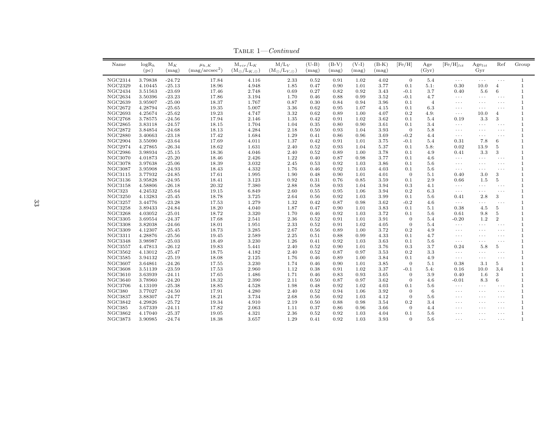| Name                             | $log R_h$<br>(pc)  | $M_K$<br>(mag)       | $\mu_{h,K}$<br>$({\rm mag/arcsec}^2)$ | $M_{vir}/L_K$<br>$(M_{\odot}/L_{K,\odot})$ | $M/L_V$<br>$(M_{\odot}/L_{V,\odot})$ | $(U-B)$<br>(mag) | $(B-V)$<br>(mag) | $(V-I)$<br>(mag) | $(B-K)$<br>(mag) | [Fe/H]         | Age<br>(Gyr)   | $[Fe/H]_{lit}$         | $Age_{lit}$<br>Gyr   | Ref                  | Group                        |
|----------------------------------|--------------------|----------------------|---------------------------------------|--------------------------------------------|--------------------------------------|------------------|------------------|------------------|------------------|----------------|----------------|------------------------|----------------------|----------------------|------------------------------|
|                                  |                    |                      |                                       |                                            |                                      |                  |                  |                  |                  |                |                |                        |                      |                      |                              |
| <b>NGC2314</b>                   | 3.79838            | $-24.72$             | 17.84                                 | 4.116                                      | 2.33                                 | 0.52             | 0.91             | 1.02             | 4.02             | $\overline{0}$ | 5.4            | $\cdots$               | $\ldots$             | $\cdots$             | $\mathbf{1}$                 |
| NGC2329                          | 4.10445            | $-25.13$             | 18.96                                 | 4.948                                      | 1.85                                 | 0.47             | 0.90             | 1.01             | 3.77             | 0.1            | 5.1:           | 0.30                   | 10.0                 | $\overline{4}$       | $\mathbf{1}$                 |
| <b>NGC2434</b>                   | 3.51563            | $-23.69$             | 17.46                                 | 2.748                                      | 0.69                                 | 0.27             | 0.82             | 0.92             | 3.43             | $-0.1$         | 3.7            | 0.40                   | 5.6                  | 6                    | $\mathbf{1}$                 |
| <b>NGC2634</b>                   | 3.50396            | $-23.23$             | 17.86                                 | 3.194                                      | 1.70                                 | 0.46             | 0.88             | 0.99             | 3.52             | $-0.1$         | 4.7            | $\ldots$ .             | $\ldots$             | $\ldots$             | $\mathbf{1}$                 |
| NGC2639                          | 3.95907            | $-25.00$             | 18.37                                 | 1.767                                      | 0.87                                 | 0.30             | 0.84             | 0.94             | 3.96             | 0.1            | $\overline{4}$ | $\cdots$               | $\cdots$             | $\cdots$             | $\mathbf{1}$                 |
| NGC2672                          | 4.28794            | $-25.65$             | 19.35                                 | 5.007                                      | 3.36                                 | 0.62             | 0.95             | 1.07             | 4.15             | 0.1            | 6.3            | $\cdots$               | $\cdots$             | $\cdots$             | $\mathbf{1}$                 |
| <b>NGC2693</b>                   | 4.25674            | $-25.62$             | 19.23                                 | 4.747                                      | 3.32                                 | 0.62             | 0.89             | 1.00             | 4.07             | 0.2            | 4.9:           | $\cdots$               | 10.0                 | $\overline{4}$       | $1\,$                        |
| <b>NGC2768</b>                   | 3.78575            | $-24.56$             | 17.94                                 | 2.146                                      | 1.35                                 | 0.42             | 0.91             | 1.02             | 3.62             | 0.1            | 5.4            | 0.19                   | 3.3                  | 3                    | $\mathbf{1}$                 |
| <b>NGC2865</b>                   | 3.83118            | $-24.57$             | 18.15                                 | 1.704                                      | 1.04                                 | 0.35             | 0.80             | 0.90             | 3.61             | 0.1            | 3.4            | $\ldots$               | $\cdots$             | $\cdots$             | $\mathbf{1}$                 |
| <b>NGC2872</b>                   | 3.84854            | $-24.68$             | 18.13                                 | 4.284                                      | 2.18                                 | 0.50             | 0.93             | 1.04             | 3.93             | $\theta$       | 5.8            | $\ldots$               | $\cdots$             | $\cdots$             | $\mathbf{1}$                 |
| <b>NGC2880</b>                   | 3.40663            | $-23.18$             | 17.42                                 | 1.684                                      | 1.29                                 | 0.41             | 0.86             | 0.96             | 3.69             | $-0.2$         | 4.4            | $\ldots$               | $\cdots$             | $\cdots$             | $\mathbf{1}$                 |
| <b>NGC2904</b>                   | 3.55090            | $-23.64$             | 17.69                                 | 4.011                                      | 1.37                                 | 0.42             | 0.91             | 1.01             | 3.75             | $-0.1$         | 5.4            | 0.31                   | 7.8                  | 6                    | $1\,$                        |
| <b>NGC2974</b>                   | 4.27865            | $-26.34$             | 18.62                                 | 1.631                                      | 2.40                                 | 0.52             | 0.93             | 1.04             | 5.37             | 0.1            | 5.8:           | 0.02                   | 13.9                 | 5                    | $\mathbf{1}$                 |
| <b>NGC2986</b>                   | 3.98934            | $-25.15$             | 18.36                                 | 4.046                                      | 2.40                                 | 0.52             | 0.89             | 1.00             | 3.78             | 0.1            | 4.9            | 0.41                   | 3.3                  | 3                    | $1\,$                        |
| <b>NGC3070</b>                   | 4.01873            | $-25.20$             | 18.46                                 | 2.426                                      | 1.22                                 | 0.40             | 0.87             | 0.98             | 3.77             | 0.1            | 4.6            | $\ldots$               | $\ldots$             | $\cdots$             | $\mathbf{1}$                 |
| <b>NGC3078</b>                   | 3.97638            | $-25.06$             | 18.39                                 | 3.032                                      | 2.45                                 | 0.53             | 0.92             | 1.03             | 3.86             | 0.1            | 5.6            | $\cdots$               | $\cdots$             | $\cdots$             | $1\,$                        |
| NGC3087                          | 3.95908            | $-24.93$             | 18.43                                 | 4.332                                      | 1.76                                 | 0.46             | 0.92             | 1.03             | 4.03             | 0.1            | 5.6            | $\ldots$ .             | $\ldots$             | $\ldots$             | $\mathbf{1}$                 |
| <b>NGC3115</b>                   | 3.77932            | $-24.85$             | 17.61                                 | 1.995                                      | 1.90                                 | 0.48             | 0.90             | 1.01             | 4.01             | $\mathbf{0}$   | 5.1            | 0.40                   | 3.0                  | 3                    | $\,1\,$                      |
| <b>NGC3136</b>                   | 3.95828            | $-24.95$             | 18.41                                 | 3.123                                      | 0.92                                 | 0.31             | 0.76             | 0.85             | 3.59             | 0.1            | 2.9            | 0.66                   | 1.5                  | 5                    | $\mathbf{1}$                 |
| <b>NGC3158</b>                   | 4.58806            | $-26.18$             | 20.32                                 | 7.380                                      | 2.88                                 | 0.58             | 0.93             | 1.04             | 3.94             | 0.3            | 4.1            | $\cdots$               | $\cdots$             | $\ldots$             | $\mathbf{1}$                 |
| NGC323                           | 4.24532            | $-25.64$             | 19.15                                 | 6.849                                      | 2.60                                 | 0.55             | 0.95             | 1.06             | 3.94             | 0.2            | 6.3            | $\ldots$               | $\cdots$             | $\ldots$             | $\mathbf{1}$                 |
| <b>NGC3250</b>                   | 4.13283            | $-25.45$             | 18.78                                 | 3.725                                      | 2.64                                 | 0.56             | 0.92             | 1.03             | 3.99             | 0.1            | 5.6            | 0.41                   | 2.8                  | 3                    | $\mathbf{1}$                 |
| <b>NGC3257</b>                   | 3.44776            | $-23.28$             | 17.53                                 | 1.279                                      | 1.32                                 | 0.42             | 0.87             | 0.98             | 3.62             | $-0.2$         | 4.6            | $\ldots$ .             | .                    | $\ldots$             | $\mathbf{1}$                 |
| <b>NGC3258</b>                   | 3.89433            | $-24.84$             | 18.20                                 | 4.040                                      | 1.87                                 | 0.47             | 0.90             | 1.01             | 3.83             | 0.1            | 5.1            | 0.38                   | 4.5                  | 5                    | $\mathbf{1}$                 |
| <b>NGC3268</b>                   | 4.03052            | $-25.01$             | 18.72                                 | 3.320                                      | 1.70                                 | 0.46             | 0.92             | 1.03             | 3.72             | 0.1            | 5.6            | 0.61                   | 9.8                  | 5                    | $\mathbf{1}$                 |
| <b>NGC3305</b>                   | 3.69554            | $-24.37$             | 17.68                                 | 2.541                                      | 2.36                                 | 0.52             | 0.91             | 1.01             | 3.91             | $\mathbf{0}$   | 5.4            | $-0.20$                | 1.2                  | $\overline{2}$       | $\mathbf{1}$                 |
| NGC3308                          | 3.82038            | $-24.66$             | 18.01                                 | 1.951<br>3.285                             | 2.33                                 | 0.52             | 0.91             | 1.02             | 4.05             | $\theta$       | 5.4            | $\ldots$ .<br>$\cdots$ | $\ldots$             | $\ldots$             | $\mathbf{1}$                 |
| <b>NGC3309</b>                   | 4.12307            | $-25.45$             | 18.73                                 |                                            | 2.67                                 | 0.56             | 0.89             | 1.00             | 3.72             | 0.2            | 4.9            |                        | $\cdots$             | .                    | $\mathbf{1}$                 |
| <b>NGC3311</b><br><b>NGC3348</b> | 4.28876<br>3.98987 | $-25.56$<br>$-25.03$ | 19.45<br>18.49                        | 2.589<br>3.230                             | 2.25<br>1.26                         | 0.51<br>0.41     | 0.88<br>0.92     | 0.99<br>1.03     | 4.33<br>3.63     | 0.1<br>0.1     | 4.7<br>5.6     | $\cdots$<br>$\cdots$   | $\cdots$             | $\cdots$<br>$\cdots$ | $\mathbf{1}$<br>$\mathbf{1}$ |
| <b>NGC3557</b>                   | 4.47813            | $-26.12$             | 19.83                                 | 5.441                                      | 2.40                                 | 0.52             | 0.90             | 1.01             | 3.76             | 0.3            | 3.7            | 0.24                   | $\cdots$<br>5.8      | 5                    | $\mathbf{1}$                 |
| <b>NGC3562</b>                   | 4.13012            | $-25.47$             | 18.75                                 | 4.182                                      | 2.40                                 | 0.52             | 0.87             | 0.97             | 3.53             | 0.2            | 3.3            | $\ldots$               |                      |                      | $\mathbf{1}$                 |
| NGC3585                          | 3.94132            | $-25.19$             | 18.08                                 | 2.125                                      | 1.76                                 | 0.46             | 0.89             | 1.00             | 3.84             | 0.1            | 4.9            | $\ldots$               | $\cdots$<br>$\ldots$ | $\ldots$<br>$\ldots$ | $\mathbf{1}$                 |
| <b>NGC3607</b>                   | 3.64861            | $-24.26$             | 17.55                                 | 3.230                                      | 1.74                                 | 0.46             | 0.90             | 1.01             | 3.85             | $\theta$       | 5.1            | 0.38                   | 3.1                  | 5                    | $1\,$                        |
| <b>NGC3608</b>                   | 3.51139            | $-23.59$             | 17.53                                 | 2.960                                      | 1.12                                 | 0.38             | 0.91             | 1.02             | 3.37             | $-0.1$         | 5.4:           | 0.16                   | 10.0                 | 3,4                  | $\mathbf{1}$                 |
| <b>NGC3610</b>                   | 3.63939            | $-24.11$             | 17.65                                 | 1.486                                      | 1.71                                 | 0.46             | 0.83             | 0.93             | 3.65             | $\theta$       | 3.9            | 0.40                   | 1.6                  | 3                    | $\mathbf{1}$                 |
| <b>NGC3640</b>                   | 3.78960            | $-24.20$             | 18.32                                 | 2.390                                      | 2.11                                 | 0.50             | 0.87             | 0.97             | 3.62             | $\theta$       | 4.6            | $-0.01$                | 8.3                  | 6                    | $\mathbf{1}$                 |
| <b>NGC3706</b>                   | 4.13109            | $-25.38$             | 18.85                                 | 4.528                                      | 1.98                                 | 0.48             | 0.92             | 1.02             | 4.03             | 0.1            | 5.6            | $\ldots$               | $\cdots$             | $\cdots$             | $1\,$                        |
| <b>NGC380</b>                    | 3.77027            | $-24.50$             | 17.91                                 | 4.280                                      | 2.40                                 | 0.52             | 0.94             | 1.06             | 3.92             | $\overline{0}$ | 6              | $\cdots$               | $\cdots$             | $\cdots$             | $\mathbf{1}$                 |
| <b>NGC3837</b>                   | 3.88307            | $-24.77$             | 18.21                                 | 3.734                                      | 2.68                                 | 0.56             | 0.92             | 1.03             | 4.12             | $\theta$       | 5.6            | $\cdots$               | $\cdots$             | $\cdots$             | $\mathbf{1}$                 |
| <b>NGC3842</b>                   | 4.29826            | $-25.72$             | 19.34                                 | 4.910                                      | 2.19                                 | 0.50             | 0.88             | 0.98             | 3.54             | 0.2            | 3.4            | $\cdots$               | $\cdots$             | .                    | $\mathbf{1}$                 |
| NGC385                           | 3.67339            | $-24.11$             | 17.82                                 | 2.063                                      | 1.11                                 | 0.37             | 0.86             | 0.96             | 3.66             | $\mathbf{0}$   | 4.4            | $\cdots$               | .                    | .                    | $1\,$                        |
| <b>NGC3862</b>                   | 4.17040            | $-25.37$             | 19.05                                 | 4.321                                      | 2.36                                 | 0.52             | 0.92             | 1.03             | 4.04             | 0.1            | 5.6            | $\cdots$               | .                    | .                    | $\mathbf{1}$                 |
| <b>NGC3873</b>                   | 3.90985            | $-24.74$             | 18.38                                 | 3.657                                      | 1.29                                 | 0.41             | 0.92             | 1.03             | 3.93             | $\theta$       | 5.6            | .                      | .                    | .                    | $1\,$                        |
|                                  |                    |                      |                                       |                                            |                                      |                  |                  |                  |                  |                |                |                        |                      |                      |                              |

TABLE  $1$ —Continued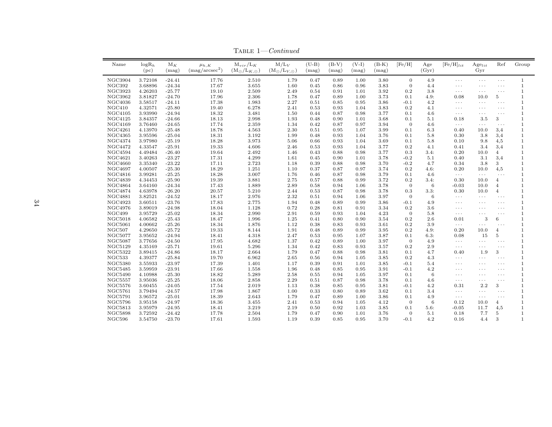| Name                      | $log R_h$          | $M_K$                | $\mu_{h,K}$            | $M_{vir}/L_K$             | $M/L_V$                   | $(U-B)$      | $(B-V)$      | $(V-I)$      | $(B-K)$      | [Fe/H]              | Age        | $[Fe/H]_{lit}$       | $Age_{lit}$     | Ref            | Group                        |
|---------------------------|--------------------|----------------------|------------------------|---------------------------|---------------------------|--------------|--------------|--------------|--------------|---------------------|------------|----------------------|-----------------|----------------|------------------------------|
|                           | (pc)               | (mag)                | $({\rm mag/arcsec}^2)$ | $(M_{\odot}/L_{K,\odot})$ | $(M_{\odot}/L_{V,\odot})$ | (mag)        | (mag)        | (mag)        | (mag)        |                     | (Gyr)      |                      | Gyr             |                |                              |
| <b>NGC3904</b>            | 3.72108            | $-24.41$             | 17.76                  | 2.510                     | 1.79                      | 0.47         | 0.89         | 1.00         | 3.80         | $\theta$            | 4.9        | $\cdots$             | $\cdots$        | $\cdots$       | $\mathbf{1}$                 |
| NGC392                    | 3.68896            | $-24.34$             | 17.67                  | 3.655                     | 1.60                      | 0.45         | 0.86         | 0.96         | 3.83         | $\theta$            | 4.4        | $\cdots$             | $\cdots$        | $\ldots$       | $\mathbf{1}$                 |
| <b>NGC3923</b>            | 4.26203            | $-25.77$             | 19.10                  | 2.509                     | 2.49                      | 0.54         | 0.91         | 1.01         | 3.92         | 0.2                 | $3.8\,$    | $\cdots$             | $\cdots$        | $\cdots$       | $\mathbf{1}$                 |
| <b>NGC3962</b>            | 3.81827            | $-24.70$             | 17.96                  | 2.306                     | 1.78                      | 0.47         | 0.89         | 1.00         | 3.73         | 0.1                 | 4.9:       | 0.08                 | 10.0            | 5              | $\mathbf{1}$                 |
| NGC4036                   | 3.58517            | $-24.11$             | 17.38                  | 1.983                     | 2.27                      | 0.51         | 0.85         | 0.95         | 3.86         | $-0.1$              | 4.2        | $\ldots$             | $\ldots$        | $\cdots$       | $\mathbf{1}$                 |
| NGC410                    | 4.32571            | $-25.80$             | 19.40                  | 6.278                     | 2.41                      | 0.53         | 0.93         | 1.04         | 3.83         | 0.2                 | 4.1        | $\cdots$             | $\cdots$        | $\cdots$       | $\mathbf{1}$                 |
| NGC4105                   | 3.93990            | $-24.94$             | 18.32                  | 3.481                     | 1.50                      | 0.44         | 0.87         | 0.98         | 3.77         | 0.1                 | 4.6        | $\cdots$             | $\cdots$        | $\cdots$       | $\mathbf{1}$                 |
| <b>NGC4125</b>            | 3.84357            | $-24.66$             | 18.13                  | 2.998                     | 1.93                      | 0.48         | 0.90         | 1.01         | 3.68         | 0.1                 | 5.1        | 0.18                 | 3.5             | 3              | $\mathbf{1}$                 |
| NGC4169                   | 3.76460            | $-24.65$             | 17.74                  | 2.359                     | 1.34                      | 0.42         | 0.87         | 0.97         | 3.94         | $\mathbf{0}$        | 4.6        | $\sim$ $\sim$ $\sim$ | $\ldots$        | $\ldots$       | $\mathbf{1}$                 |
| NGC4261                   | 4.13970            | $-25.48$             | 18.78                  | 4.563                     | 2.30                      | 0.51         | 0.95         | 1.07         | 3.99         | 0.1                 | 6.3        | 0.40                 | 10.0            | 3,4            | $\mathbf{1}$                 |
| NGC4365                   | 3.95596            | $-25.04$             | 18.31                  | 3.192                     | 1.99                      | 0.48         | 0.93         | 1.04         | 3.76         | 0.1                 | 5.8        | 0.30                 | 3.8             | 3,4            | $\,1\,$                      |
| ${\rm NGC4374}$           | 3.97980            | $-25.19$             | 18.28                  | 3.973                     | 5.06                      | 0.66         | 0.93         | 1.04         | 3.69         | 0.1                 | 5.8        | 0.10                 | 9.8             | 4,5            | $1\,$                        |
| <b>NGC4472</b>            | 4.33547            | $-25.91$             | 19.33                  | 4.606                     | 2.46                      | 0.53         | 0.93         | 1.04         | 3.77         | 0.2                 | 4.1        | 0.41                 | 3.4             | 3,4            | $\mathbf{1}$                 |
| <b>NGC4594</b>            | 4.49484            | $-26.40$             | 19.64                  | 2.492                     | 1.46                      | 0.43         | 0.88         | 0.98         | 3.77         | 0.3                 | 3.4:       | 0.20                 | 10.0            | $\overline{4}$ | $\,1\,$                      |
| NGC4621                   | 3.40263            | $-23.27$             | 17.31                  | 4.299                     | 1.61                      | 0.45         | 0.90         | 1.01         | 3.78         | $-0.2$              | 5.1        | 0.40                 | 3.1             | 3,4            | $\mathbf{1}$                 |
| <b>NGC4660</b>            | 3.35340            | $-23.22$             | 17.11                  | 2.723                     | 1.18                      | 0.39         | 0.88         | 0.98         | 3.70         | $-0.2$              | 4.7        | 0.34                 | 3.8             | 3              | $\mathbf{1}$                 |
| NGC4697                   | 4.00507            | $-25.30$             | 18.29                  | 1.251                     | 1.10                      | 0.37         | 0.87         | 0.97         | 3.74         | 0.2                 | 4.6:       | 0.20                 | 10.0            | 4,5            | $\mathbf{1}$                 |
| NGC4816                   | 3.99281            | $-25.25$             | 18.28                  | 3.007                     | 1.76                      | 0.46         | 0.87         | 0.98         | 3.79         | 0.1                 | 4.6        | .                    | $\ldots$        | $\ldots$       | $\mathbf{1}$                 |
| NGC4839                   | 4.34453            | $-25.90$             | 19.39                  | 3.881                     | 2.75                      | 0.57         | 0.88         | 0.99         | 3.72         | 0.2                 | 3.4:       | 0.30                 | 10.0            | $\overline{4}$ | $\mathbf{1}$                 |
| NGC4864                   | 3.64160            | $-24.34$             | 17.43                  | 1.889                     | 2.89                      | 0.58         | 0.94         | 1.06         | 3.78         | $\mathbf{0}$        | 6          | $-0.03$              | 10.0            | $\overline{4}$ | $\mathbf{1}$                 |
| <b>NGC4874</b>            | 4.63978            | $-26.20$             | 20.57                  | 5.210                     | 2.44                      | 0.53         | 0.87         | 0.98         | 3.78         | $0.3\,$             | 3.3:       | 0.30                 | 10.0            | $\overline{4}$ | $\mathbf{1}$                 |
| <b>NGC4881</b>            | 3.82521            | $-24.52$             | 18.17                  | 2.976                     | 2.32                      | 0.51         | 0.94         | 1.06         | 3.97         | $\theta$            | 6          | $\ldots$             | $\ldots$        | $\ldots$       | $\mathbf{1}$                 |
| NGC4923                   | 3.60511            | $-23.76$             | 17.83                  | 2.775                     | 1.94                      | 0.48         | 0.89         | 0.99         | 3.86         | $-0.1$              | 4.9        | $\cdots$             | $\cdots$        | $\cdots$       | $\mathbf{1}$                 |
| <b>NGC4976</b>            | 3.89019            | $-24.98$             | 18.04                  | 1.128                     | 0.72                      | 0.28         | 0.81         | 0.91         | 3.34         | 0.2                 | 3.6        | $\cdots$             | $\cdots$        | $\cdots$       | $\mathbf{1}$                 |
| NGC499                    | 3.95729            | $-25.02$             | 18.34                  | 2.990                     | 2.91                      | 0.59         | 0.93         | 1.04         | 4.23         | $\mathbf{0}$        | 5.8        | $\ldots$             | $\cdots$        | $\cdots$       | $\mathbf{1}$                 |
| <b>NGC5018</b>            | 4.06582            | $-25.43$             | 18.47                  | 1.996                     | 1.25                      | 0.41         | 0.80         | 0.90         | 3.54         | 0.2                 | 2.6        | 0.01                 | 3               | 6              | $\mathbf{1}$                 |
| <b>NGC5061</b>            | 4.00662            | $-25.26$             | 18.34                  | 1.876                     | 1.12                      | 0.38         | 0.83         | 0.93         | 3.61         | 0.2                 | 3.9        | $\ldots$ .           | $\ldots$        | $\ldots$       | $\mathbf{1}$<br>$\mathbf{1}$ |
| NGC507                    | 4.29650            | $-25.72$             | 19.33                  | 8.144                     | 1.91                      | 0.48         | 0.89         | 0.99         | 3.95         | 0.2                 | 4.9:       | 0.20                 | 10.0            | $\overline{4}$ | $\mathbf{1}$                 |
| <b>NGC5077</b>            | 3.95652            | $-24.94$             | 18.41                  | 4.318                     | 2.47                      | 0.53         | 0.95         | 1.07         | 3.87         | 0.1                 | 6.3:       | 0.08<br>$\ldots$     | 15              | 5              |                              |
| NGC5087<br><b>NGC5129</b> | 3.77656            | $-24.50$<br>$-25.71$ | 17.95<br>19.61         | 4.682                     | 1.37                      | 0.42         | 0.89         | 1.00         | 3.97         | $\mathbf{0}$<br>0.2 | 4.9<br>2.9 |                      | $\cdots$        | $\cdots$       | $\mathbf{1}$<br>$\mathbf{1}$ |
| <b>NGC5322</b>            | 4.35169            |                      | 18.17                  | 5.296<br>2.664            | 1.34                      | 0.42         | 0.83         | 0.93         | 3.57         |                     | 4.7        | $\ldots$ .           | $\cdots$        | $\ldots$<br>3  | $\mathbf{1}$                 |
| NGC533                    | 3.89415<br>4.39377 | $-24.86$<br>$-25.84$ | 19.70                  | 6.962                     | 1.79<br>2.65              | 0.47         | 0.88<br>0.94 | 0.98         | 3.81<br>3.85 | 0.1<br>0.2          | 4.3        | 0.40<br>$\ldots$     | 1.9<br>$\cdots$ | $\cdots$       | $\mathbf{1}$                 |
| NGC5380                   | 3.55933            | $-23.97$             | 17.39                  | 1.401                     | 1.17                      | 0.56<br>0.39 | 0.91         | 1.05<br>1.01 | 3.85         | $-0.1$              | 5.4        | $\cdots$             | $\cdots$        | $\cdots$       | $\mathbf{1}$                 |
| <b>NGC5485</b>            | 3.59959            | $-23.91$             | 17.66                  | 1.558                     | 1.96                      | 0.48         | 0.85         | 0.95         | 3.91         | $-0.1$              | 4.2        | $\cdots$             | $\cdots$        | $\cdots$       | $\mathbf{1}$                 |
| NGC5490                   | 4.10988            | $-25.30$             | 18.82                  | 5.289                     | 2.58                      | 0.55         | 0.94         | 1.05         | 3.97         | 0.1                 | 6          | $\ldots$             | $\cdots$        | $\ldots$       | $\mathbf{1}$                 |
| <b>NGC5557</b>            | 3.95036            | $-25.25$             | 18.06                  | 2.858                     | 2.29                      | 0.51         | 0.87         | 0.98         | 3.78         | 0.1                 | 4.6        | $\ldots$             | $\cdots$        | $\ldots$       | $\mathbf{1}$                 |
| <b>NGC5576</b>            | 3.60455            | $-24.05$             | 17.54                  | 2.019                     | 1.13                      | 0.38         | 0.85         | 0.95         | 3.81         | $-0.1$              | 4.2        | 0.31                 | 2.2             | 3              | $\mathbf{1}$                 |
| <b>NGC5761</b>            | 3.79494            | $-24.57$             | 17.98                  | 1.867                     | 1.00                      | 0.33         | 0.80         | 0.89         | 3.62         | 0.1                 | 3.4        | $\ldots$             | $\cdots$        | $\cdots$       | $\mathbf{1}$                 |
| <b>NGC5791</b>            | 3.96572            | $-25.01$             | 18.39                  | 2.643                     | 1.79                      | 0.47         | 0.89         | 1.00         | 3.86         | 0.1                 | 4.9        | $\ldots$             | $\cdots$        | $\cdots$       | $\mathbf{1}$                 |
| <b>NGC5796</b>            | 3.95158            | $-24.97$             | 18.36                  | 3.455                     | 2.41                      | 0.53         | 0.94         | 1.05         | 4.12         | $\mathbf{0}$        | 6          | 0.12                 | 10.0            | $\overline{4}$ | $\mathbf{1}$                 |
| <b>NGC5813</b>            | 3.95979            | $-24.95$             | 18.41                  | 3.219                     | 2.19                      | 0.50         | 0.92         | 1.03         | 3.85         | 0.1                 | 5.6:       | $-0.05$              | 11.7            | 4,5            | $\mathbf{1}$                 |
| NGC5898                   | 3.72592            | $-24.42$             | 17.78                  | 2.504                     | 1.79                      | 0.47         | 0.90         | 1.01         | 3.76         | $\mathbf{0}$        | 5.1        | 0.18                 | 7.7             | 5              | $\mathbf{1}$                 |
| NGC596                    | 3.54750            | $-23.70$             | 17.61                  | 1.593                     | 1.19                      | 0.39         | 0.85         | 0.95         | 3.70         | $-0.1$              | 4.2        | 0.16                 | 4.4             | 3              | $1\,$                        |
|                           |                    |                      |                        |                           |                           |              |              |              |              |                     |            |                      |                 |                |                              |

TABLE  $1$ —Continued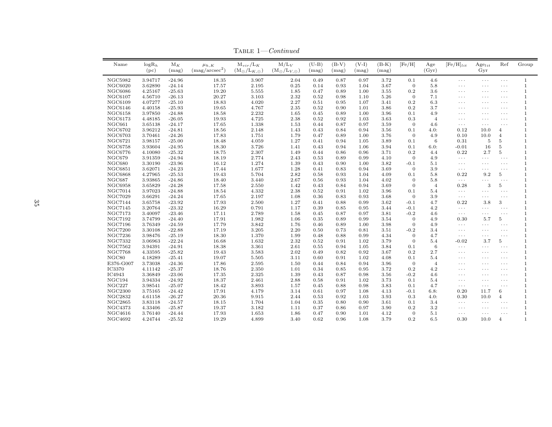| Name           | $\mathrm{logR}_h$ | $M_K$    | $\mu_{h,K}$<br>$({\rm mag/arcsec}^2)$ | $M_{vir}/L_K$<br>$(M_{\odot}/L_{K,\odot})$ | $M/L_V$<br>$(M_{\odot}/L_{V,\odot})$ | $(U-B)$ | $(B-V)$ | $(V-I)$ | $(B-K)$ | [Fe/H]         | Age<br>(Gyr)   | $[Fe/H]_{lit}$       | $Age_{lit}$<br>Gyr   | Ref            | Group          |
|----------------|-------------------|----------|---------------------------------------|--------------------------------------------|--------------------------------------|---------|---------|---------|---------|----------------|----------------|----------------------|----------------------|----------------|----------------|
|                | (pc)              | (mag)    |                                       |                                            |                                      | (mag)   | (mag)   | (mag)   | (mag)   |                |                |                      |                      |                |                |
| <b>NGC5982</b> | 3.94717           | $-24.96$ | 18.35                                 | 3.907                                      | 2.04                                 | 0.49    | 0.87    | 0.97    | 3.72    | 0.1            | 4.6            | $\sim$ $\sim$ $\sim$ | $\cdots$             | $\cdots$       | $\mathbf{1}$   |
| <b>NGC6020</b> | 3.62890           | $-24.14$ | 17.57                                 | 2.195                                      | 0.25                                 | 0.14    | 0.93    | 1.04    | 3.67    | $\theta$       | 5.8            | $\cdots$             | $\cdots$             | $\cdots$       | $\mathbf{1}$   |
| <b>NGC6086</b> | 4.25167           | $-25.63$ | 19.20                                 | $5.555\,$                                  | 1.85                                 | 0.47    | 0.89    | 1.00    | 3.55    | 0.2            | 3.6            | $\cdots$             | $\cdots$             | $\cdots$       | $\mathbf{1}$   |
| <b>NGC6107</b> | 4.56710           | $-26.13$ | 20.27                                 | 3.103                                      | 2.32                                 | 0.52    | 0.98    | 1.10    | 5.26    | $\theta$       | 7.1            | $\cdots$             | .                    | $\cdots$       | $\mathbf{1}$   |
| NGC6109        | 4.07277           | $-25.10$ | 18.83                                 | 4.020                                      | 2.27                                 | 0.51    | 0.95    | 1.07    | 3.41    | 0.2            | 6.3            | $\cdots$             | $\cdots$             | .              | $\mathbf{1}$   |
| NGC6146        | 4.40158           | $-25.93$ | 19.65                                 | 4.767                                      | 2.35                                 | 0.52    | 0.90    | 1.01    | 3.86    | 0.2            | 3.7            | $\cdots$             | .                    | .              | $\mathbf{1}$   |
| NGC6158        | 3.97850           | $-24.88$ | 18.58                                 | 2.232                                      | 1.65                                 | 0.45    | 0.89    | 1.00    | 3.96    | 0.1            | 4.9            | $\cdots$             | .                    | $\cdots$       | $\mathbf{1}$   |
| NGC6173        | 4.48185           | $-26.05$ | 19.93                                 | 4.725                                      | 2.38                                 | 0.52    | 0.92    | 1.03    | 3.63    | 0.3            | $\overline{4}$ | $\cdots$             | $\cdots$             | $\cdots$       | $\mathbf{1}$   |
| NGC661         | 3.65138           | $-24.17$ | 17.65                                 | 1.338                                      | 1.53                                 | 0.44    | 0.87    | 0.97    | 3.59    | $\theta$       | 4.6            | $\sim$ $\sim$ $\sim$ | $\sim$ $\sim$ $\sim$ | $\cdots$       | $\mathbf{1}$   |
| NGC6702        | 3.96212           | $-24.81$ | 18.56                                 | 2.148                                      | 1.43                                 | 0.43    | 0.84    | 0.94    | 3.56    | 0.1            | 4.0:           | 0.12                 | 10.0                 | $\overline{4}$ | $\mathbf{1}$   |
| NGC6703        | 3.70461           | $-24.26$ | 17.83                                 | 1.751                                      | 1.79                                 | 0.47    | 0.89    | 1.00    | 3.76    | $\theta$       | 4.9            | 0.10                 | 10.0                 | $\overline{4}$ | $\mathbf{1}$   |
| NGC6721        | 3.98157           | $-25.00$ | 18.48                                 | 4.059                                      | 1.27                                 | 0.41    | 0.94    | 1.05    | 3.89    | 0.1            | 6              | 0.31                 | $\overline{5}$       | $\overline{5}$ | $\mathbf{1}$   |
| NGC6758        | 3.93604           | $-24.95$ | 18.30                                 | 3.726                                      | 1.41                                 | 0.43    | 0.94    | 1.06    | 3.94    | 0.1            | 6.0:           | $-0.01$              | 16                   | 5              | $\mathbf{1}$   |
| NGC6776        | 4.10080           | $-25.32$ | 18.75                                 | 2.307                                      | 1.49                                 | 0.44    | 0.86    | 0.96    | 3.71    | 0.2            | 4.4            | 0.22                 | 2.7                  | 5              | $\mathbf{1}$   |
| NGC679         | 3.91359           | $-24.94$ | 18.19                                 | 2.774                                      | 2.43                                 | 0.53    | 0.89    | 0.99    | 4.10    | $\theta$       | 4.9            | $\cdots$             | $\cdots$             | $\cdots$       | $\mathbf{1}$   |
| <b>NGC680</b>  | 3.30190           | $-23.96$ | 16.12                                 | 1.274                                      | 1.39                                 | 0.43    | 0.90    | 1.00    | 3.82    | $-0.1$         | 5.1            | $\ldots$             | $\cdots$             | $\cdots$       | $\mathbf{1}$   |
| <b>NGC6851</b> | 3.62071           | $-24.23$ | 17.44                                 | 1.677                                      | 1.28                                 | 0.41    | 0.83    | 0.94    | 3.69    | $\mathbf{0}$   | 3.9            | $\cdots$             | .                    | $\cdots$       | $1\,$          |
| <b>NGC6868</b> | 4.27965           | $-25.53$ | 19.43                                 | 5.704                                      | 2.82                                 | 0.58    | 0.93    | 1.04    | 4.09    | 0.1            | 5.8            | 0.22                 | 9.2                  | 5              | $\mathbf{1}$   |
| <b>NGC687</b>  | 3.93865           | $-24.86$ | 18.40                                 | 3.440                                      | 2.67                                 | 0.56    | 0.93    | 1.04    | 4.02    | $\Omega$       | 5.8            | $\ldots$ .           | $\cdots$             | $\cdots$       | $\mathbf{1}$   |
| <b>NGC6958</b> | 3.65829           | $-24.28$ | 17.58                                 | 2.550                                      | 1.42                                 | 0.43    | 0.84    | 0.94    | 3.69    | $\overline{0}$ | $\overline{4}$ | 0.28                 | 3                    | 5              | $1\,$          |
| <b>NGC7014</b> | 3.97023           | $-24.88$ | 18.54                                 | 4.332                                      | 2.38                                 | 0.52    | 0.91    | 1.02    | 3.96    | 0.1            | 5.4            | $\cdots$             | .                    | $\cdots$       | $\mathbf{1}$   |
| NGC7029        | 3.66291           | $-24.24$ | 17.65                                 | 2.197                                      | 1.08                                 | 0.36    | 0.83    | 0.93    | 3.68    | $\theta$       | 3.9            | $\ldots$ .           | $\cdots$             | $\ldots$       | $\mathbf{1}$   |
| <b>NGC7144</b> | 3.65758           | $-23.92$ | 17.93                                 | 2.500                                      | 1.27                                 | 0.41    | 0.88    | 0.99    | 3.62    | $-0.1$         | 4.7            | 0.22                 | 3.8                  | 3              | $\mathbf{1}$   |
| <b>NGC7145</b> | 3.20764           | $-23.32$ | 16.29                                 | 0.791                                      | 1.17                                 | 0.39    | 0.85    | 0.95    | 3.44    | $-0.1$         | 4.2            | $\cdots$             | $\cdots$             | $\cdots$       | $\mathbf{1}$   |
| <b>NGC7173</b> | 3.40097           | $-23.46$ | 17.11                                 | 2.789                                      | 1.58                                 | 0.45    | 0.87    | 0.97    | 3.81    | $-0.2$         | 4.6            | $\cdots$             | $\cdots$             | $\cdots$       | $\mathbf{1}$   |
| <b>NGC7192</b> | 3.74799           | $-24.40$ | 17.91                                 | 1.982                                      | 1.06                                 | 0.35    | 0.89    | 0.99    | 3.54    | $\mathbf{0}$   | 4.9            | 0.30                 | 5.7                  | 5              | $\mathbf{1}$   |
| NGC7196        | 3.76349           | $-24.59$ | 17.79                                 | 3.842                                      | 1.76                                 | 0.46    | 0.89    | 1.00    | 3.98    | $\theta$       | 4.9            | $\sim$ $\sim$ $\sim$ | .                    | $\cdots$       | 1              |
| <b>NGC7200</b> | 3.30108           | $-22.88$ | 17.19                                 | 3.205                                      | 2.20                                 | 0.50    | 0.73    | 0.81    | 3.51    | $-0.2$         | 3.4            | $\cdots$             | .                    | $\cdots$       | $\mathbf{1}$   |
| <b>NGC7236</b> | 3.98476           | $-25.19$ | 18.30                                 | 1.370                                      | 1.99                                 | 0.48    | 0.88    | 0.99    | 4.34    | $\theta$       | 4.7            | $\ldots$             | $\cdots$             | $\cdots$       | $\mathbf{1}$   |
| <b>NGC7332</b> | 3.06963           | $-22.24$ | 16.68                                 | 1.632                                      | 2.32                                 | 0.52    | 0.91    | 1.02    | 3.79    | $\theta$       | 5.4            | $-0.02$              | 3.7                  | 5              | $\mathbf{1}$   |
| NGC7562        | 3.94391           | $-24.91$ | 18.38                                 | 3.361                                      | 2.61                                 | 0.55    | 0.94    | 1.05    | 3.84    | 0.1            | 6              | $\ldots$ .           | $\cdots$             | $\cdots$       | $\mathbf{1}$   |
| <b>NGC7768</b> | 4.33595           | $-25.82$ | 19.43                                 | 3.583                                      | 2.02                                 | 0.49    | 0.82    | 0.92    | 3.67    | 0.2            | 2.7            | $\ldots$             | .                    | .              | $\mathbf{1}$   |
| NGC80          | 4.18289           | $-25.41$ | 19.07                                 | 5.505                                      | 3.11                                 | 0.60    | 0.91    | 1.02    | 4.08    | 0.1            | 5.4            | $\cdots$             | .                    | $\cdots$       | $\mathbf{1}$   |
| E376-G007      | 3.73038           | $-24.36$ | 17.86                                 | 2.595                                      | 1.50                                 | 0.44    | 0.84    | 0.94    | 3.96    | $\theta$       | $\overline{4}$ | $\cdots$             | .                    | $\cdots$       | $\mathbf{1}$   |
| IC3370         | 4.11142           | $-25.37$ | 18.76                                 | 2.350                                      | 1.01                                 | 0.34    | 0.85    | 0.95    | 3.72    | 0.2            | 4.2            | $\cdots$             | .                    | .              | $\mathbf{1}$   |
| IC4943         | 3.36849           | $-23.06$ | 17.35                                 | 2.325                                      | 1.39                                 | 0.43    | 0.87    | 0.98    | 3.56    | $-0.2$         | 4.6            | $\cdots$             | $\cdots$             | $\cdots$       | $\mathbf{1}$   |
| NGC194         | 3.94334           | $-24.92$ | 18.37                                 | 2.461                                      | 2.88                                 | 0.58    | 0.91    | 1.02    | 3.73    | 0.1            | 5.4            | $\cdots$             | .                    | $\cdots$       | $\mathbf{1}$   |
| NGC227         | 3.98541           | $-25.07$ | 18.42                                 | 3.893                                      | 1.57                                 | 0.45    | 0.88    | 0.98    | 3.83    | 0.1            | 4.7            | $\cdots$             | .                    | $\cdots$       | $\mathbf{1}$   |
| <b>NGC2300</b> | 3.75165           | $-24.42$ | 17.91                                 | 4.179                                      | 3.14                                 | 0.61    | 0.97    | 1.08    | 4.13    | $-0.1$         | 6.8:           | 0.20                 | 11.7                 | 6              | $\mathbf{1}$   |
| NGC2832        | 4.61158           | $-26.27$ | 20.36                                 | 9.915                                      | 2.44                                 | 0.53    | 0.92    | 1.03    | 3.93    | 0.3            | 4.0:           | 0.30                 | 10.0                 | $\overline{4}$ | $\overline{1}$ |
| <b>NGC2865</b> | 3.83118           | $-24.57$ | 18.15                                 | 1.704                                      | 1.04                                 | 0.35    | 0.80    | 0.90    | 3.61    | 0.1            | 3.4            | $\sim$ $\sim$ $\sim$ | $\cdots$             | $\cdots$       | $\mathbf{1}$   |
| NGC4373        | 4.33406           | $-25.87$ | 19.37                                 | 3.182                                      | 1.11                                 | 0.37    | 0.86    | 0.97    | 3.90    | 0.2            | 3.2            | $\ldots$             | $\cdots$             | $\cdots$       | $\mathbf{1}$   |
| NGC4616        | 3.76140           | $-24.44$ | 17.93                                 | 1.653                                      | 1.86                                 | 0.47    | 0.90    | 1.01    | 4.12    | $\theta$       | 5.1            | $\cdots$             | .                    | $\cdots$       | $\mathbf{1}$   |
| NGC4692        | 4.24744           | $-25.52$ | 19.29                                 | 4.899                                      | 3.40                                 | 0.62    | 0.96    | 1.08    | 3.79    | 0.2            | 6.5            | 0.30                 | 10.0                 | $\overline{4}$ | $1\,$          |

TABLE  $1$ —Continued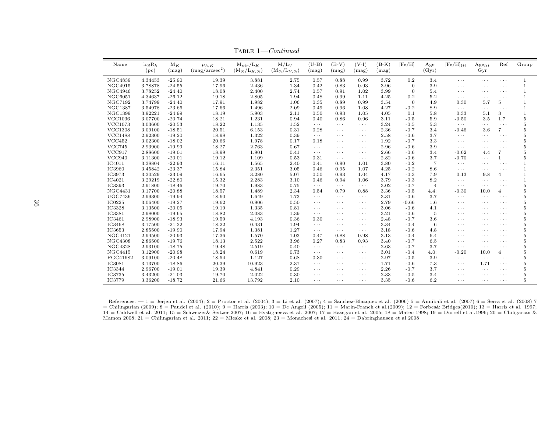| Name           | $log R_h$ | $M_K$    | $\mu_{h,K}$            | $M_{vir}/L_K$             | $M/L_V$                   | $(U-B)$  | $(B-V)$                 | $(V-I)$  | $(B-K)$ | [Fe/H]   | Age            | $[Fe/H]_{lit}$ | $Age_{lit}$ | Ref                     | Group          |
|----------------|-----------|----------|------------------------|---------------------------|---------------------------|----------|-------------------------|----------|---------|----------|----------------|----------------|-------------|-------------------------|----------------|
|                | (pc)      | (mag)    | $({\rm mag/arcsec}^2)$ | $(M_{\odot}/L_{K,\odot})$ | $(M_{\odot}/L_{V,\odot})$ | (mag)    | (mag)                   | (mag)    | (mag)   |          | (Gyr)          |                | Gyr         |                         |                |
| NGC4839        | 4.34453   | $-25.90$ | 19.39                  | 3.881                     | 2.75                      | 0.57     | 0.88                    | 0.99     | 3.72    | 0.2      | 3.4            | $\cdots$       | $\cdots$    | $\cdots$                | 1              |
| NGC4915        | 3.78878   | $-24.55$ | 17.96                  | 2.436                     | 1.34                      | 0.42     | 0.83                    | 0.93     | 3.96    | $\theta$ | 3.9            | $\cdots$       | $\cdots$    | $\cdots$                | $\mathbf{1}$   |
| NGC4946        | 3.78252   | $-24.40$ | 18.08                  | 2.400                     | 2.74                      | 0.57     | 0.91                    | 1.02     | 3.99    | $\Omega$ | 5.4            | $\cdots$       | $\cdots$    | $\cdots$                | 1              |
| <b>NGC6051</b> | 4.34637   | $-26.12$ | 19.18                  | 2.805                     | 1.94                      | 0.48     | 0.99                    | 1.11     | 4.25    | 0.2      | 5.2            | $\cdots$       | .           | .                       | 1              |
| <b>NGC7192</b> | 3.74799   | $-24.40$ | 17.91                  | 1.982                     | 1.06                      | 0.35     | 0.89                    | 0.99     | 3.54    | $\theta$ | 4.9            | 0.30           | 5.7         | 5                       | 1              |
| <b>NGC1387</b> | 3.54978   | $-23.66$ | 17.66                  | 1.496                     | 2.09                      | 0.49     | 0.96                    | 1.08     | 4.27    | $-0.2$   | 8.9            | $\cdots$       | .           | $\cdots$                | 1              |
| <b>NGC1399</b> | 3.92221   | $-24.99$ | 18.19                  | 5.903                     | 2.11                      | 0.50     | 0.93                    | 1.05     | 4.05    | 0.1      | 5.8            | 0.33           | 5.1         | 3                       | 1              |
| <b>VCC1036</b> | 3.07700   | $-20.74$ | 18.21                  | 1.231                     | 0.94                      | 0.40     | 0.86                    | 0.96     | 3.11    | $-0.5$   | 5.9            | $-0.50$        | 3.5         | 1,7                     | 5              |
| <b>VCC1073</b> | 3.03600   | $-20.53$ | 18.22                  | 1.135                     | 1.52                      | $\cdots$ | $\cdots$                | $\cdots$ | 3.24    | $-0.5$   | 5.3            | $\cdots$       | .           | $\cdots$                | 5              |
| <b>VCC1308</b> | 3.09100   | $-18.51$ | 20.51                  | 6.153                     | 0.31                      | 0.28     | $\cdots$                | $\cdots$ | 2.36    | $-0.7$   | 3.4            | $-0.46$        | 3.6         | $\overline{7}$          | $\bf 5$        |
| <b>VCC1488</b> | 2.92300   | $-19.20$ | 18.98                  | 1.322                     | 0.39                      | $\cdots$ | $\cdots$                | $\cdots$ | 2.58    | $-0.6$   | 3.7            | $\cdots$       | .           | .                       | 5              |
| VCC452         | 3.02300   | $-18.02$ | 20.66                  | 1.978                     | 0.17                      | 0.18     | $\cdots$                | $\cdots$ | 1.92    | $-0.7$   | 3.3            | $\cdots$       | .           | .                       | 5              |
| VCC745         | 2.93900   | $-19.99$ | 18.27                  | 2.763                     | 0.67                      | $\cdots$ | .                       | $\cdots$ | 2.96    | $-0.6$   | 3.9            | $\cdots$       | .           | .                       | 5              |
| VCC917         | 2.88600   | $-19.01$ | 18.99                  | 1.901                     | 0.41                      | $\cdots$ | $\cdots$                | $\cdots$ | 2.66    | $-0.6$   | 3.4            | $-0.62$        | 4.4         | 7                       | $\overline{5}$ |
| VCC940         | 3.11300   | $-20.01$ | 19.12                  | 1.109                     | 0.53                      | 0.31     | $\cdots$                | $\cdots$ | 2.82    | $-0.6$   | 3.7            | $-0.70$        | .           | $\mathbf{1}$            | 5              |
| IC4011         | 3.38804   | $-22.93$ | 16.11                  | 1.565                     | 2.40                      | 0.41     | 0.90                    | 1.01     | 3.80    | $-0.2$   | $\overline{7}$ | $\cdots$       | $\cdots$    | $\cdots$                | 1              |
| IC3960         | 3.45842   | $-23.37$ | 15.84                  | 2.351                     | 3.05                      | 0.46     | 0.95                    | 1.07     | 4.25    | $-0.2$   | 8.6            | $\cdots$       | $\cdots$    | $\cdots$                | 1              |
| IC3973         | 3.30529   | $-23.09$ | 16.65                  | 3.280                     | 5.07                      | 0.50     | 0.93                    | 1.04     | 4.17    | $-0.3$   | 7.9            | 0.13           | 9.8         | 4                       | 1              |
| IC4021         | 3.29219   | $-22.80$ | 15.32                  | 2.283                     | 3.10                      | 0.46     | 0.94                    | 1.06     | 3.79    | $-0.3$   | 8.2            | $\cdots$       | $\cdots$    | $\cdots$                | 1              |
| IC3393         | 2.91800   | $-18.46$ | 19.70                  | 1.983                     | 0.75                      | $\cdots$ | $\cdots$                | $\cdots$ | 3.02    | $-0.7$   | $\overline{4}$ | $\cdots$       | .           | .                       | 5              |
| <b>NGC4431</b> | 3.17700   | $-20.88$ | 18.57                  | 1.489                     | 2.34                      | 0.54     | 0.79                    | 0.88     | 3.36    | $-0.5$   | 4.4:           | $-0.30$        | 10.0        | 4                       | $\overline{5}$ |
| <b>UGC7436</b> | 2.99300   | $-19.94$ | 18.60                  | 1.649                     | 1.73                      | $\cdots$ | $\cdots$                | $\cdots$ | 3.31    | $-0.6$   | 3.7            | $\cdots$       | $\cdots$    | $\cdots$                | 5              |
| IC0225         | 3.06400   | $-19.27$ | 19.62                  | 0.906                     | 0.50                      | $\cdots$ | .                       | $\cdots$ | 2.79    | $-0.66$  | 1.6            | $\cdots$       | $\cdots$    | .                       | $\overline{5}$ |
| IC3328         | 3.13500   | $-20.05$ | 19.19                  | 1.335                     | 0.81                      | .        | $\cdots$                | $\cdots$ | 3.06    | $-0.6$   | 4.1            | $\cdots$       | $\cdots$    | $\cdots$                | 5              |
| IC3381         | 2.98000   | $-19.65$ | 18.82                  | 2.083                     | 1.39                      | $\cdots$ | $\cdots$                | $\cdots$ | 3.21    | $-0.6$   | 5              | $\cdots$       | .           | $\cdots$                | 5              |
| IC3461         | 2.98900   | $-18.93$ | 19.59                  | 4.193                     | 0.36                      | 0.30     | $\cdots$                | $\cdots$ | 2.48    | $-0.7$   | 3.6            | $\cdots$       | $\cdots$    | .                       | $\overline{5}$ |
| IC3468         | 3.17500   | $-21.22$ | 18.22                  | 0.431                     | 1.94                      | $\cdots$ | .                       | $\cdots$ | 3.34    | $-0.4$   | 6              | $\cdots$       | $\cdots$    | .                       | 5              |
| IC3653         | 2.85500   | $-19.90$ | 17.94                  | 1.381                     | 1.27                      | $\cdots$ | .                       | $\cdots$ | 3.18    | $-0.6$   | 4.8            | $\cdots$       | $\cdots$    | $\cdots$                | 5              |
| NGC4121        | 2.94500   | $-20.93$ | 17.36                  | 1.570                     | 1.03                      | 0.47     | 0.88                    | 0.98     | 3.13    | $-0.4$   | 6.4            | $\cdots$       | .           | $\cdots$                | 5              |
| <b>NGC4308</b> | 2.86500   | $-19.76$ | 18.13                  | 2.522                     | 3.96                      | 0.27     | 0.83                    | 0.93     | 3.40    | $-0.7$   | 6.5            | $\cdots$       | .           | $\cdot$ $\cdot$ $\cdot$ | 5              |
| NGC4328        | 2.93100   | $-18.75$ | 19.48                  | 2.519                     | 0.40                      | $\cdots$ | $\cdots$                | $\cdots$ | 2.63    | $-0.7$   | 3.7            | $\cdots$       | .           | .                       | 5              |
| <b>NGC4415</b> | 3.12900   | $-20.98$ | 18.24                  | 0.619                     | 0.73                      | $\cdots$ | .                       | $\cdots$ | 3.01    | $-0.4$   | 4.0:           | $-0.20$        | 10.0        | 4                       | 5              |
| PGC41682       | 3.09100   | $-20.48$ | 18.54                  | 1.127                     | 0.68                      | 0.30     | $\cdot$ $\cdot$ $\cdot$ | $\cdots$ | 2.97    | $-0.5$   | 3.9            | $\cdots$       | $\ldots$    | .                       | 5              |
| IC3081         | 3.13700   | $-18.86$ | 20.39                  | 10.923                    | 2.37                      | $\cdots$ | $\cdot$                 | $\cdots$ | 1.71    | $-0.6$   | 7.3            | $\cdots$       | 1.71        | .                       | 5              |
| IC3344         | 2.96700   | $-19.01$ | 19.39                  | 4.841                     | 0.29                      | $\cdots$ | $\cdot$ $\cdot$ $\cdot$ | .        | 2.26    | $-0.7$   | 3.7            | $\cdots$       | $\cdots$    | $\cdots$                | 5              |
| IC3735         | 3.43200   | $-21.03$ | 19.70                  | 2.022                     | 0.30                      | .        | $\cdots$                | $\cdots$ | 2.33    | $-0.5$   | 3.4            | $\cdots$       | $\cdots$    | $\cdots$                | 5              |
| IC3779         | 3.36200   | $-18.72$ | 21.66                  | 13.792                    | 2.10                      | $\cdots$ | $\cdots$                | $\cdots$ | 3.35    | $-0.6$   | 6.2            | $\cdots$       | .           | .                       | 5              |

Table 1—Continued

References. — 1 = Jerjen et al. (2004); 2 = Proctor et al. (2004); 3 = Li et al. (2007); 4 = Sanchez-Blazquez et al. (2006) 5 = Annibali et al. (2007) 6 = Serra et al. (2008) 7<br>Chilingarian (2009); 8 = Paudel et al. (2010)  $14 = \text{Caldwell et al. } 2011$ ;  $15 = \text{Schweizer} \& \text{Seitzer } 2007$ ;  $16 = \text{Evstigneeva et al. } 2007$ ;  $17 = \text{Hasegan et al. } 2005$ ;  $18 = \text{Mateo } 1998$ ;  $19 = \text{Durrell et al. } 1996$ ;  $20 = \text{Chiligarian } \& \text{Lé, } 2000$ Mamon 2008; 21 = Chilingarian et al. 2011; 22 = Mieske et al. 2008; 23 = Monachesi et al. 2011; 24 = Dabringhausen et al 2008